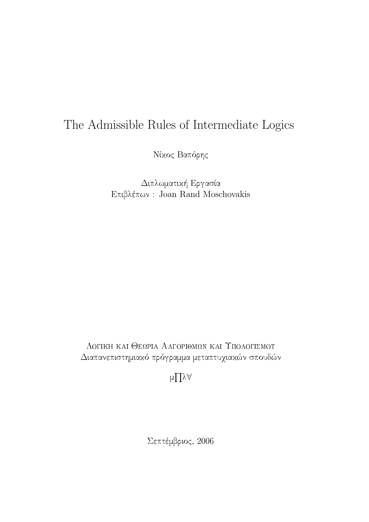# The Admissible Rules of Intermediate Logics

Νίκος Βαπόρης

Διπλωματική Εργασία  $E$ πιβλέπων: Joan Rand Moschovakis

ΛΟΓΙΚΗ ΚΑΙ ΘΕΩΡΙΑ ΑΛΓΟΡΙΘΜΩΝ ΚΑΙ ΥΠΟΛΟΓΙΣΜΟΥ Διαπανεπιστημιακό πρόγραμμα μεταπτυχιακών σπουδών

 $\mu \prod \lambda \forall$ 

Σεπτέμβριος, 2006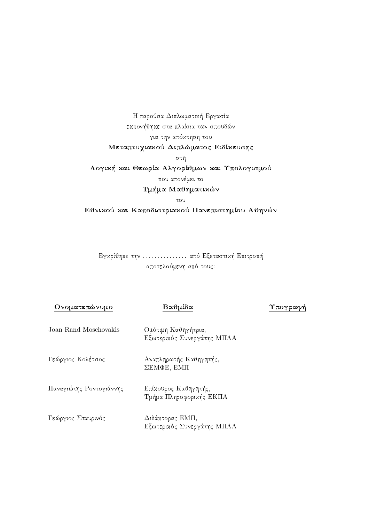Η παρούσα Διπλωματική Εργασία εκπονήθηκε στα πλαίσια των σπουδών για την απόκτηση του Μεταπτυχιακού Διπλώματος Ειδίκευσης στη Λογική και Θεωρία Αλγορίθμων και Υπολογισμού που απονέμει το Τμήμα Μαθηματικών  $\tau$ ov

Εθνικού και Καποδιστριακού Πανεπιστημίου Αθηνών

Εγκρίθηκε την ............... από Εξεταστική Επιτροπή αποτελούμενη από τους:

Ονοματεπώνυμο

### Βαθμίδα

Υπογραφή

Joan Rand Moschovakis Ομότιμη Καθηγήτρια, Εξωτερικός Συνεργάτης ΜΠΛΑ

Γεώργιος Κολέτσος Αναπληρωτής Καθηγητής,  $\Sigma$ EM $\Phi$ E, EM $\Pi$ 

Παναγιώτης Ροντογιάννης Επίκουρος Καθηγητής, Τμήμα Πληροφορικής ΕΚΠΑ

Γεώργιος Σταυρινός Διδάκτορας ΕΜΠ, Εξωτερικός Συνεργάτης ΜΠΛΑ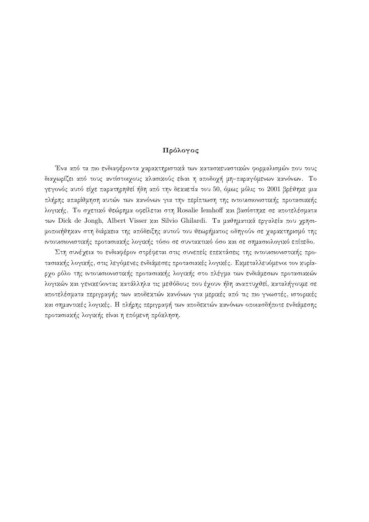### Πρόλογος

Ένα από τα πιο ενδιαφέροντα χαρακτηριστικά των κατασκευαστικών φορμαλισμών που τους διαχωρίζει από τους αντίστοιχους κλασικούς είναι η αποδοχή μη-παραγόμενων κανόνων. Το γεγονός αυτό είχε παρατηρηθεί ήδη από την δεχαετία του 50, όμως μόλις το 2001 βρέθηχε μια πλήρης απαρίθμηση αυτών των κανόνων για την περίπτωση της ιντουισιονιστικής προτασιακής λογικής. Το σγετικό θεώρημα οφείλεται στη Rosalie Iemhoff και βασίστηκε σε αποτελέσματα των Dick de Jongh, Albert Visser και Silvio Ghilardi. Τα μαθηματικά εργαλεία που γρησιμοποιήθηκαν στη διάρκεια της απόδειξης αυτού του θεωρήματος οδηγούν σε χαρακτηρισμό της ιντουισιονιστικής προτασιακής λογικής τόσο σε συντακτικό όσο και σε σημασιολογικό επίπεδο.

Στη συνέχεια το ενδιαφέρον στρέφεται στις συνεπείς επεχτάσεις της ιντουισιονιστιχής προτασιαχής λογικής, στις λεγόμενες ενδιάμεσες προτασιαχές λογιχές. Εχμεταλλευόμενοι τον χυρίαρχο ρόλο της ιντουισιονιστικής προτασιακής λογικής στο πλέγμα των ενδιάμεσων προτασιακών λογικών και γενικεύοντας κατάλληλα τις μεθόδους που έχουν ήδη αναπτυχθεί, καταλήγουμε σε αποτελέσματα περιγραφής των αποδεκτών κανόνων για μερικές από τις πιο γνωστές, ιστορικές και σημαντικές λογικές. Η πλήρης περιγραφή των αποδεκτών κανόνων οποιασδήποτε ενδιάμεσης προτασιαχής λογικής είναι η επόμενη πρόχληση.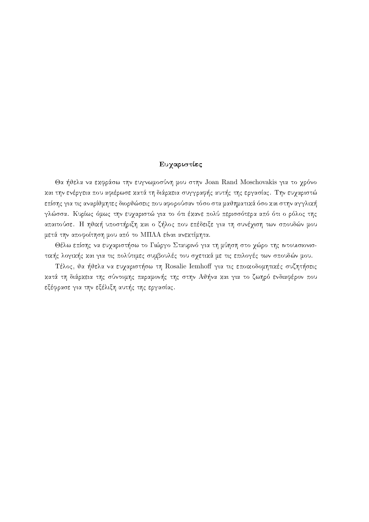### Ευχαριστίες

Θα ήθελα να εκφράσω την ευγνωμοσύνη μου στην Joan Rand Moschovakis για το χρόνο και την ενέργεια που αφιέρωσε κατά τη διάρκεια συγγραφής αυτής της εργασίας. Την ευχαριστώ επίσης για τις αναρίθμητες διορθώσεις που αφορούσαν τόσο στα μαθηματικά όσο και στην αγγλική γλώσσα. Κυρίως όμως την ευχαριστώ για το ότι έχανε πολύ περισσότερα από ότι ο ρόλος της απαιτούσε. Η ηθική υποστήριξη και ο ζήλος που επέδειξε για τη συνέχιση των σπουδών μου μετά την αποφοίτηση μου από το ΜΠΛΑ είναι ανεκτίμητα.

Θέλω επίσης να ευχαριστήσω το Γιώργο Σταυρινό για τη μύηση στο χώρο της ιντουισιονιστικής λογικής και για τις πολύτιμες συμβουλές του σχετικά με τις επιλογές των σπουδών μου.

Τέλος, θα ήθελα να ευχαριστήσω τη Rosalie Iemhoff για τις εποικοδομητικές συζητήσεις κατά τη διάρχεια της σύντομης παραμονής της στην Αθήνα και για το ζωηρό ενδιαφέρον που εξέφρασε για την εξέλιξη αυτής της εργασίας.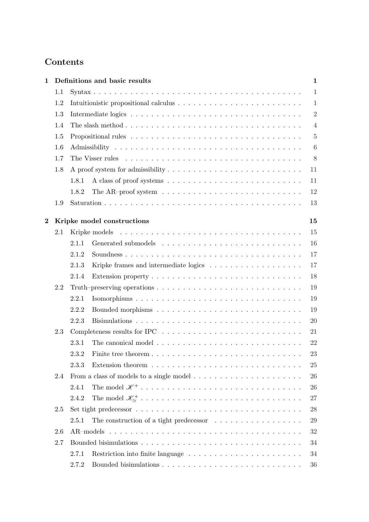## Contents

| $\mathbf{1}$   |     | Definitions and basic results                                                                    | $\mathbf{1}$    |
|----------------|-----|--------------------------------------------------------------------------------------------------|-----------------|
|                | 1.1 |                                                                                                  | $\mathbf{1}$    |
|                | 1.2 |                                                                                                  | 1               |
|                | 1.3 |                                                                                                  | $\overline{2}$  |
|                | 1.4 |                                                                                                  | $\overline{4}$  |
|                | 1.5 |                                                                                                  | $\overline{5}$  |
|                | 1.6 |                                                                                                  | $6\phantom{.}6$ |
|                | 1.7 |                                                                                                  | 8               |
|                | 1.8 | 11                                                                                               |                 |
|                |     | 11<br>1.8.1                                                                                      |                 |
|                |     | The AR-proof system $\dots \dots \dots \dots \dots \dots \dots \dots \dots \dots \dots$<br>1.8.2 | 12              |
|                | 1.9 | 13                                                                                               |                 |
| $\overline{2}$ |     | 15<br>Kripke model constructions                                                                 |                 |
|                | 2.1 | 15                                                                                               |                 |
|                |     | 16<br>2.1.1                                                                                      |                 |
|                |     | 2.1.2                                                                                            | 17              |
|                |     | 2.1.3                                                                                            | 17              |
|                |     | 18<br>2.1.4                                                                                      |                 |
|                | 2.2 |                                                                                                  | 19              |
|                |     | 2.2.1                                                                                            | 19              |
|                |     | 2.2.2                                                                                            | 19              |
|                |     | 2.2.3<br>20                                                                                      |                 |
|                | 2.3 | 21                                                                                               |                 |
|                |     | 22<br>2.3.1                                                                                      |                 |
|                |     | 23                                                                                               |                 |
|                |     | 2.3.3                                                                                            | 25              |
|                | 2.4 | From a class of models to a single model $\dots \dots \dots \dots \dots \dots \dots$<br>26       |                 |
|                |     | 2.4.1<br>26                                                                                      |                 |
|                |     | 2.4.2                                                                                            | 27              |
|                | 2.5 |                                                                                                  | 28              |
|                |     | The construction of a tight predecessor $\ldots \ldots \ldots \ldots \ldots$<br>2.5.1            | 29              |
|                | 2.6 |                                                                                                  | $32\,$          |
|                | 2.7 | 34                                                                                               |                 |
|                |     | 34<br>2.7.1                                                                                      |                 |
|                |     | 2.7.2                                                                                            | 36              |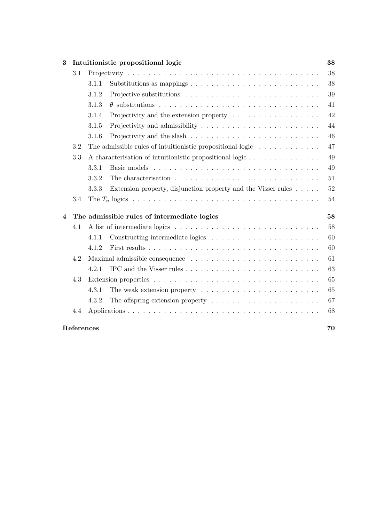| 3 | Intuitionistic propositional logic |                                                   |                                                                                      |    |  |  |  |  |
|---|------------------------------------|---------------------------------------------------|--------------------------------------------------------------------------------------|----|--|--|--|--|
|   | 3.1                                |                                                   |                                                                                      | 38 |  |  |  |  |
|   |                                    | 3.1.1                                             | Substitutions as mappings $\dots \dots \dots \dots \dots \dots \dots \dots \dots$    | 38 |  |  |  |  |
|   |                                    | 3.1.2                                             |                                                                                      | 39 |  |  |  |  |
|   |                                    | 3.1.3                                             |                                                                                      | 41 |  |  |  |  |
|   |                                    | 3.1.4                                             | Projectivity and the extension property $\dots \dots \dots \dots \dots \dots$        | 42 |  |  |  |  |
|   |                                    | 3.1.5                                             |                                                                                      | 44 |  |  |  |  |
|   |                                    | 3.1.6                                             |                                                                                      | 46 |  |  |  |  |
|   | 3.2                                |                                                   | The admissible rules of intuitionistic propositional logic $\dots \dots \dots \dots$ | 47 |  |  |  |  |
|   | 3.3                                |                                                   | A characterisation of intuitionistic propositional logic                             | 49 |  |  |  |  |
|   |                                    | 3.3.1                                             |                                                                                      | 49 |  |  |  |  |
|   |                                    | 3.3.2                                             |                                                                                      | 51 |  |  |  |  |
|   |                                    | 3.3.3                                             | Extension property, disjunction property and the Visser rules $\dots$ .              | 52 |  |  |  |  |
|   | 3.4                                |                                                   |                                                                                      | 54 |  |  |  |  |
| 4 |                                    | 58<br>The admissible rules of intermediate logics |                                                                                      |    |  |  |  |  |
|   | 4.1                                |                                                   |                                                                                      | 58 |  |  |  |  |
|   |                                    | 4.1.1                                             |                                                                                      | 60 |  |  |  |  |
|   |                                    | 4.1.2                                             |                                                                                      | 60 |  |  |  |  |
|   | 4.2                                |                                                   |                                                                                      | 61 |  |  |  |  |
|   |                                    | 4.2.1                                             |                                                                                      | 63 |  |  |  |  |
|   | 4.3                                |                                                   |                                                                                      | 65 |  |  |  |  |
|   |                                    | 4.3.1                                             | The weak extension property $\dots \dots \dots \dots \dots \dots \dots \dots$        | 65 |  |  |  |  |
|   |                                    | 4.3.2                                             | The offspring extension property $\dots \dots \dots \dots \dots \dots \dots$         | 67 |  |  |  |  |
|   | 4.4                                |                                                   |                                                                                      | 68 |  |  |  |  |
|   | References                         |                                                   |                                                                                      | 70 |  |  |  |  |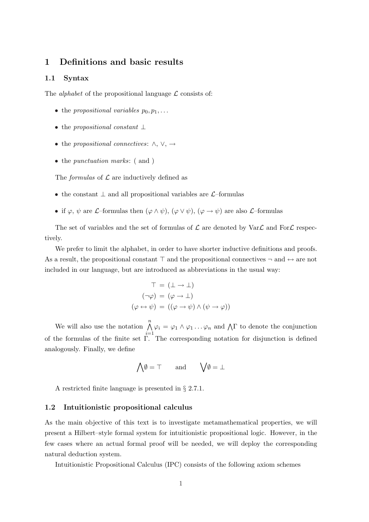### 1 Definitions and basic results

### 1.1 Syntax

The *alphabet* of the propositional language  $\mathcal L$  consists of:

- the propositional variables  $p_0, p_1, \ldots$
- the propositional constant  $\perp$
- the propositional connectives:  $\land$ ,  $\lor$ ,  $\rightarrow$
- the *punctuation marks*: (and)

The *formulas* of  $\mathcal L$  are inductively defined as

- the constant  $\perp$  and all propositional variables are  $\mathcal{L}$ –formulas
- if  $\varphi, \psi$  are L–formulas then  $(\varphi \wedge \psi), (\varphi \vee \psi), (\varphi \rightarrow \psi)$  are also L–formulas

The set of variables and the set of formulas of  $\mathcal L$  are denoted by Var $\mathcal L$  and For  $\mathcal L$  respectively.

We prefer to limit the alphabet, in order to have shorter inductive definitions and proofs. As a result, the propositional constant  $\top$  and the propositional connectives  $\neg$  and  $\leftrightarrow$  are not included in our language, but are introduced as abbreviations in the usual way:

$$
T = (\bot \to \bot)
$$

$$
(\neg \varphi) = (\varphi \to \bot)
$$

$$
(\varphi \leftrightarrow \psi) = ((\varphi \to \psi) \land (\psi \to \varphi))
$$

We will also use the notation  $\bigwedge^n$  $i=1$  $\varphi_i = \varphi_1 \wedge \varphi_1 \dots \varphi_n$  and  $\Lambda \Gamma$  to denote the conjunction of the formulas of the finite set Γ. The corresponding notation for disjunction is defined analogously. Finally, we define

$$
\bigwedge \emptyset = \top
$$
 and  $\bigvee \emptyset = \bot$ 

A restricted finite language is presented in § 2.7.1.

### 1.2 Intuitionistic propositional calculus

As the main objective of this text is to investigate metamathematical properties, we will present a Hilbert–style formal system for intuitionistic propositional logic. However, in the few cases where an actual formal proof will be needed, we will deploy the corresponding natural deduction system.

Intuitionistic Propositional Calculus (IPC) consists of the following axiom schemes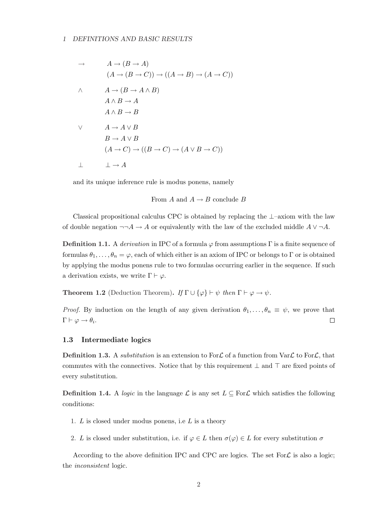### 1 DEFINITIONS AND BASIC RESULTS

$$
\rightarrow \qquad A \rightarrow (B \rightarrow A)
$$
  
\n
$$
(A \rightarrow (B \rightarrow C)) \rightarrow ((A \rightarrow B) \rightarrow (A \rightarrow C))
$$
  
\n
$$
\land \qquad A \rightarrow (B \rightarrow A \land B)
$$
  
\n
$$
A \land B \rightarrow A
$$
  
\n
$$
A \land B \rightarrow B
$$
  
\n
$$
\lor \qquad A \rightarrow A \lor B
$$
  
\n
$$
B \rightarrow A \lor B
$$
  
\n
$$
(A \rightarrow C) \rightarrow ((B \rightarrow C) \rightarrow (A \lor B \rightarrow C))
$$
  
\n
$$
\perp \qquad \perp \rightarrow A
$$

and its unique inference rule is modus ponens, namely

From  $A$  and  $A \rightarrow B$  conclude  $B$ 

Classical propositional calculus CPC is obtained by replacing the  $\perp$ –axiom with the law of double negation  $\neg\neg A \rightarrow A$  or equivalently with the law of the excluded middle  $A \vee \neg A$ .

**Definition 1.1.** A derivation in IPC of a formula  $\varphi$  from assumptions  $\Gamma$  is a finite sequence of formulas  $\theta_1, \ldots, \theta_n = \varphi$ , each of which either is an axiom of IPC or belongs to Γ or is obtained by applying the modus ponens rule to two formulas occurring earlier in the sequence. If such a derivation exists, we write  $\Gamma \vdash \varphi$ .

**Theorem 1.2** (Deduction Theorem). If  $\Gamma \cup {\varphi} \vdash \psi$  then  $\Gamma \vdash \varphi \rightarrow \psi$ .

*Proof.* By induction on the length of any given derivation  $\theta_1, \ldots, \theta_n \equiv \psi$ , we prove that  $\Gamma \vdash \varphi \rightarrow \theta_i.$  $\Box$ 

### 1.3 Intermediate logics

**Definition 1.3.** A substitution is an extension to For $\mathcal{L}$  of a function from Var $\mathcal{L}$  to For $\mathcal{L}$ , that commutes with the connectives. Notice that by this requirement  $\perp$  and  $\top$  are fixed points of every substitution.

**Definition 1.4.** A logic in the language  $\mathcal{L}$  is any set  $L \subseteq \text{For } \mathcal{L}$  which satisfies the following conditions:

- 1.  $L$  is closed under modus ponens, i.e  $L$  is a theory
- 2. L is closed under substitution, i.e. if  $\varphi \in L$  then  $\sigma(\varphi) \in L$  for every substitution  $\sigma$

According to the above definition IPC and CPC are logics. The set For  $\mathcal L$  is also a logic; the inconsistent logic.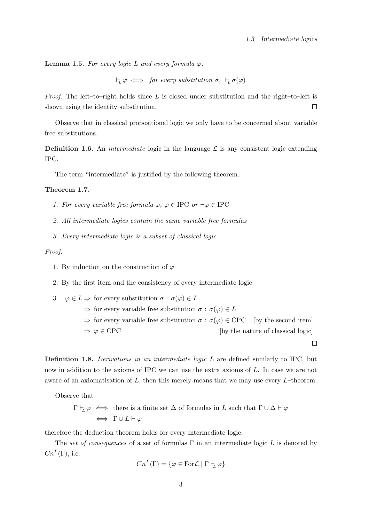**Lemma 1.5.** For every logic L and every formula  $\varphi$ ,

 $\vdash_L \varphi \iff \text{for every substitution } \sigma, \vdash_L \sigma(\varphi)$ 

*Proof.* The left–to–right holds since L is closed under substitution and the right–to–left is shown using the identity substitution.  $\Box$ 

Observe that in classical propositional logic we only have to be concerned about variable free substitutions.

**Definition 1.6.** An *intermediate* logic in the language  $\mathcal{L}$  is any consistent logic extending IPC.

The term "intermediate" is justified by the following theorem.

### Theorem 1.7.

- 1. For every variable free formula  $\varphi, \varphi \in \text{IPC}$  or  $\neg \varphi \in \text{IPC}$
- 2. All intermediate logics contain the same variable free formulas
- 3. Every intermediate logic is a subset of classical logic

### Proof.

- 1. By induction on the construction of  $\varphi$
- 2. By the first item and the consistency of every intermediate logic

3.  $\varphi \in L \Rightarrow$  for every substitution  $\sigma : \sigma(\varphi) \in L$  $\Rightarrow$  for every variable free substitution  $\sigma : \sigma(\varphi) \in L$  $\Rightarrow$  for every variable free substitution  $\sigma : \sigma(\varphi) \in \text{CPC}$  [by the second item]  $\Rightarrow \varphi \in \text{CPC}$  [by the nature of classical logic]  $\Box$ 

Definition 1.8. Derivations in an intermediate logic L are defined similarly to IPC, but now in addition to the axioms of IPC we can use the extra axioms of L. In case we are not aware of an axiomatisation of  $L$ , then this merely means that we may use every  $L$ –theorem.

Observe that

$$
\Gamma \vdash_{\!\! L} \varphi \iff \text{there is a finite set } \Delta \text{ of formulas in } L \text{ such that } \Gamma \cup \Delta \vdash \varphi
$$
  

$$
\iff \Gamma \cup L \vdash \varphi
$$

therefore the deduction theorem holds for every intermediate logic.

The set of consequences of a set of formulas  $\Gamma$  in an intermediate logic L is denoted by  $Cn^L(\Gamma)$ , i.e.

$$
Cn^{L}(\Gamma) = \{ \varphi \in \text{For } \mathcal{L} \mid \Gamma \vdash_{L} \varphi \}
$$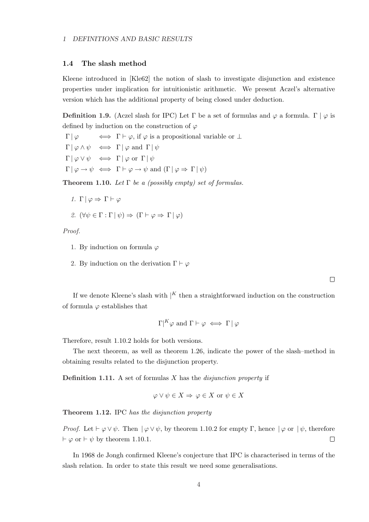### 1.4 The slash method

Kleene introduced in [Kle62] the notion of slash to investigate disjunction and existence properties under implication for intuitionistic arithmetic. We present Aczel's alternative version which has the additional property of being closed under deduction.

Definition 1.9. (Aczel slash for IPC) Let Γ be a set of formulas and  $\varphi$  a formula. Γ  $|\varphi|$  is defined by induction on the construction of  $\varphi$ 

 $\Gamma | \varphi \iff \Gamma \vdash \varphi$ , if  $\varphi$  is a propositional variable or  $\bot$  $\Gamma | \varphi \wedge \psi \iff \Gamma | \varphi \text{ and } \Gamma | \psi$  $\Gamma | \varphi \vee \psi \iff \Gamma | \varphi \text{ or } \Gamma | \psi$  $\Gamma | \varphi \to \psi \iff \Gamma \vdash \varphi \to \psi \text{ and } (\Gamma | \varphi \Rightarrow \Gamma | \psi)$ 

**Theorem 1.10.** Let  $\Gamma$  be a (possibly empty) set of formulas.

1.  $\Gamma | \varphi \Rightarrow \Gamma \vdash \varphi$ 

2. 
$$
(\forall \psi \in \Gamma : \Gamma | \psi) \Rightarrow (\Gamma \vdash \varphi \Rightarrow \Gamma | \varphi)
$$

Proof.

- 1. By induction on formula  $\varphi$
- 2. By induction on the derivation  $\Gamma \vdash \varphi$

 $\Box$ 

If we denote Kleene's slash with  $|K|$  then a straightforward induction on the construction of formula  $\varphi$  establishes that

$$
\Gamma \vert^K \varphi \text{ and } \Gamma \vdash \varphi \iff \Gamma \, \vert \varphi
$$

Therefore, result 1.10.2 holds for both versions.

The next theorem, as well as theorem 1.26, indicate the power of the slash–method in obtaining results related to the disjunction property.

**Definition 1.11.** A set of formulas  $X$  has the *disjunction property* if

$$
\varphi \lor \psi \in X \Rightarrow \varphi \in X \text{ or } \psi \in X
$$

Theorem 1.12. IPC has the disjunction property

*Proof.* Let  $\vdash \varphi \lor \psi$ . Then  $| \varphi \lor \psi$ , by theorem 1.10.2 for empty Γ, hence  $| \varphi$  or  $| \psi$ , therefore  $\vdash \varphi$  or  $\vdash \psi$  by theorem 1.10.1.  $\Box$ 

In 1968 de Jongh confirmed Kleene's conjecture that IPC is characterised in terms of the slash relation. In order to state this result we need some generalisations.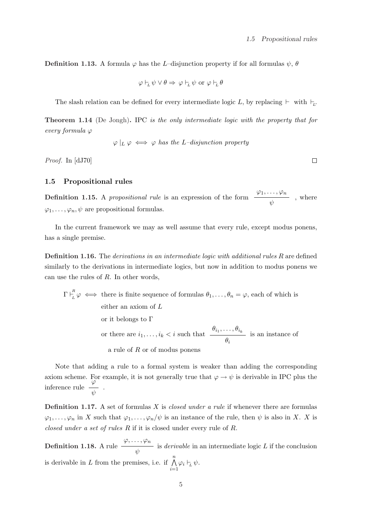**Definition 1.13.** A formula  $\varphi$  has the *L*-disjunction property if for all formulas  $\psi$ ,  $\theta$ 

$$
\varphi \vdash_L \psi \lor \theta \Rightarrow \varphi \vdash_L \psi \text{ or } \varphi \vdash_L \theta
$$

The slash relation can be defined for every intermediate logic L, by replacing  $\vdash$  with  $\vdash_L$ .

Theorem 1.14 (De Jongh). IPC is the only intermediate logic with the property that for every formula  $\varphi$ 

$$
\varphi |_{L} \varphi \iff \varphi
$$
 has the L-disjunction property

Proof. In [dJ70]

### 1.5 Propositional rules

Definition 1.15. A *propositional rule* is an expression of the form  $\varphi_1, \ldots, \varphi_n$ ψ , where  $\varphi_1, \ldots, \varphi_n, \psi$  are propositional formulas.

In the current framework we may as well assume that every rule, except modus ponens, has a single premise.

Definition 1.16. The *derivations in an intermediate logic with additional rules R* are defined similarly to the derivations in intermediate logics, but now in addition to modus ponens we can use the rules of R. In other words,

 $\Gamma\vdash^R_\tau$  $L_L^{\{1\}}\varphi \iff$  there is finite sequence of formulas  $\theta_1,\ldots,\theta_n=\varphi$ , each of which is either an axiom of L or it belongs to Γ or there are  $i_1, \ldots, i_k < i$  such that  $\theta_{i_1}, \ldots, \theta_{i_k}$  $\theta_i$ is an instance of a rule of  $R$  or of modus ponens

Note that adding a rule to a formal system is weaker than adding the corresponding axiom scheme. For example, it is not generally true that  $\varphi \to \psi$  is derivable in IPC plus the inference rule ϕ ψ .

**Definition 1.17.** A set of formulas X is *closed under a rule* if whenever there are formulas  $\varphi_1,\ldots,\varphi_n$  in X such that  $\varphi_1,\ldots,\varphi_n/\psi$  is an instance of the rule, then  $\psi$  is also in X. X is closed under a set of rules R if it is closed under every rule of R.

Definition 1.18. A rule  $\varphi, \ldots, \varphi_n$ ψ is *derivable* in an intermediate logic  $L$  if the conclusion is derivable in L from the premises, i.e. if  $\bigwedge^n$  $\bigwedge_{i=1} \varphi_i \vdash_{\!\!L} \psi.$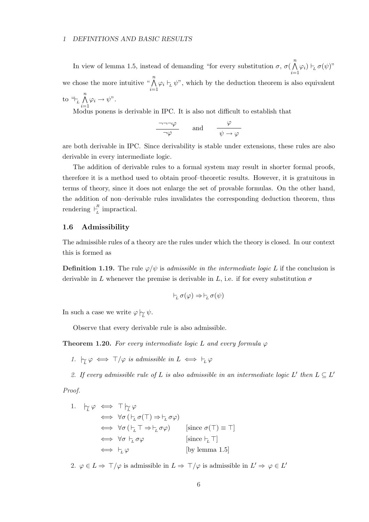### 1 DEFINITIONS AND BASIC RESULTS

In view of lemma 1.5, instead of demanding "for every substitution  $\sigma$ ,  $\sigma$ (  $\frac{n}{\cdot}$  $\bigwedge_{i=1} \varphi_i$ )  $\vdash_L \sigma(\psi)$ " we chose the more intuitive " $\bigwedge^n$  $\bigwedge_{i=1} \varphi_i \vdash_{\mathcal{L}} \psi$ ", which by the deduction theorem is also equivalent to  $\mathfrak{a}_L$  $\frac{n}{\sqrt{2}}$  $i=1$  $\varphi_i \to \psi$ ".

Modus ponens is derivable in IPC. It is also not difficult to establish that

$$
\frac{\neg \neg \neg \varphi}{\neg \varphi} \qquad \text{and} \qquad \frac{\varphi}{\psi \to \varphi}
$$

are both derivable in IPC. Since derivability is stable under extensions, these rules are also derivable in every intermediate logic.

The addition of derivable rules to a formal system may result in shorter formal proofs, therefore it is a method used to obtain proof–theoretic results. However, it is gratuitous in terms of theory, since it does not enlarge the set of provable formulas. On the other hand, the addition of non–derivable rules invalidates the corresponding deduction theorem, thus rendering  $\overline{F}^R$  $\int_{L}^{R}$  impractical.

### 1.6 Admissibility

The admissible rules of a theory are the rules under which the theory is closed. In our context this is formed as

**Definition 1.19.** The rule  $\varphi/\psi$  is admissible in the intermediate logic L if the conclusion is derivable in L whenever the premise is derivable in L, i.e. if for every substitution  $\sigma$ 

$$
\vdash_L \sigma(\varphi) \Rightarrow \vdash_L \sigma(\psi)
$$

In such a case we write  $\varphi \nvert_{\widetilde{L}} \psi$ .

Observe that every derivable rule is also admissible.

**Theorem 1.20.** For every intermediate logic L and every formula  $\varphi$ 

1.  $\vert \zeta_{L} \varphi \iff \top/\varphi$  is admissible in  $L \iff \vdash_{L} \varphi$ 

2. If every admissible rule of L is also admissible in an intermediate logic L' then  $L \subseteq L'$ 

Proof.

1. 
$$
\downarrow_L \varphi \iff \top \downarrow_L \varphi
$$
  
\n $\iff \forall \sigma (\vdash_L \sigma(\top) \Rightarrow \vdash_L \sigma \varphi)$   
\n $\iff \forall \sigma (\vdash_L \top \Rightarrow \vdash_L \sigma \varphi)$  [since  $\sigma(\top) \equiv \top$ ]  
\n $\iff \forall \sigma \vdash_L \sigma \varphi$  [since  $\vdash_L \top$ ]  
\n $\iff \vdash_L \varphi$  [by lemma 1.5]

2.  $\varphi \in L \Rightarrow \top/\varphi$  is admissible in  $L \Rightarrow \top/\varphi$  is admissible in  $L' \Rightarrow \varphi \in L'$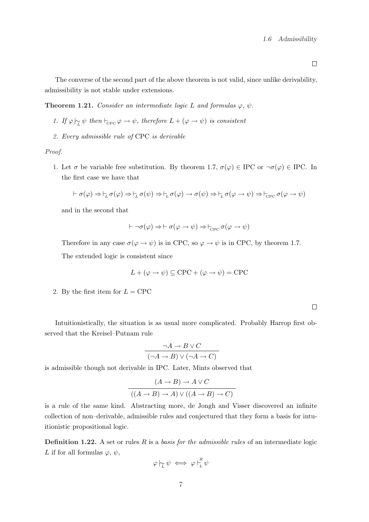$\Box$ 

The converse of the second part of the above theorem is not valid, since unlike derivability, admissibility is not stable under extensions.

**Theorem 1.21.** Consider an intermediate logic L and formulas  $\varphi$ ,  $\psi$ .

- 1. If  $\varphi \upharpoonright_{\mathcal{L}} \psi$  then  $\vdash_{\text{CPC}} \varphi \to \psi$ , therefore  $L + (\varphi \to \psi)$  is consistent
- 2. Every admissible rule of CPC is derivable

Proof.

1. Let  $\sigma$  be variable free substitution. By theorem 1.7,  $\sigma(\varphi) \in \text{IPC}$  or  $\neg \sigma(\varphi) \in \text{IPC}$ . In the first case we have that

$$
\vdash \sigma(\varphi) \Rightarrow \vdash_L \sigma(\varphi) \Rightarrow \vdash_L \sigma(\psi) \Rightarrow \vdash_L \sigma(\varphi) \rightarrow \sigma(\psi) \Rightarrow \vdash_L \sigma(\varphi \rightarrow \psi) \Rightarrow \vdash_{\text{CPC}} \sigma(\varphi \rightarrow \psi)
$$

and in the second that

$$
\vdash \neg \sigma(\varphi) \Rightarrow \vdash \sigma(\varphi \to \psi) \Rightarrow \vdash_{\mathrm{CPC}} \sigma(\varphi \to \psi)
$$

Therefore in any case  $\sigma(\varphi \to \psi)$  is in CPC, so  $\varphi \to \psi$  is in CPC, by theorem 1.7.

The extended logic is consistent since

$$
L + (\varphi \to \psi) \subseteq \text{CPC} + (\varphi \to \psi) = \text{CPC}
$$

2. By the first item for  $L =$  CPC

 $\Box$ 

Intuitionistically, the situation is as usual more complicated. Probably Harrop first observed that the Kreisel–Putnam rule

$$
\neg A \to B \lor C
$$

$$
(\neg A \to B) \lor (\neg A \to C)
$$

is admissible though not derivable in IPC. Later, Mints observed that

$$
(A \to B) \to A \lor C
$$

$$
((A \to B) \to A) \lor ((A \to B) \to C)
$$

is a rule of the same kind. Abstracting more, de Jongh and Visser discovered an infinite collection of non–derivable, admissible rules and conjectured that they form a basis for intuitionistic propositional logic.

**Definition 1.22.** A set or rules  $R$  is a *basis for the admissible rules* of an intermediate logic L if for all formulas  $\varphi, \psi,$ 

$$
\varphi \hspace{0.2em}\sim\hspace{-0.9em}\mid\hspace{0.58em} \psi \iff \varphi \hspace{0.2em}\sim\hspace{-0.9em}\mid\hspace{0.58em} \mathop{\vphantom{\rule{0ex}{0.55em}}\hspace{0.5em}}_{L}^R \psi
$$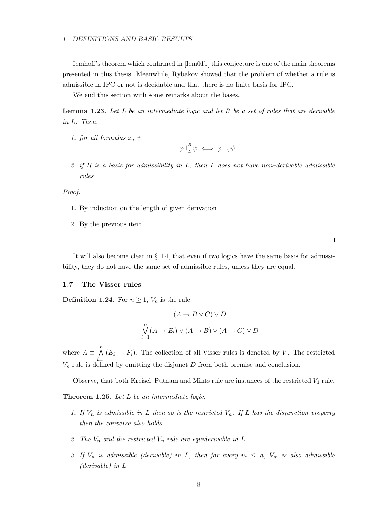### 1 DEFINITIONS AND BASIC RESULTS

Iemhoff's theorem which confirmed in [Iem01b] this conjecture is one of the main theorems presented in this thesis. Meanwhile, Rybakov showed that the problem of whether a rule is admissible in IPC or not is decidable and that there is no finite basis for IPC.

We end this section with some remarks about the bases.

**Lemma 1.23.** Let  $L$  be an intermediate logic and let  $R$  be a set of rules that are derivable in L. Then,

1. for all formulas  $\varphi, \psi$ 

 $\varphi \vdash^R_{\tau}$  $\frac{1}{L} \psi \iff \varphi \vdash_L \psi$ 

2. if R is a basis for admissibility in L, then L does not have non-derivable admissible rules

Proof.

- 1. By induction on the length of given derivation
- 2. By the previous item

 $\Box$ 

It will also become clear in § 4.4, that even if two logics have the same basis for admissibility, they do not have the same set of admissible rules, unless they are equal.

### 1.7 The Visser rules

**Definition 1.24.** For  $n \geq 1$ ,  $V_n$  is the rule

$$
(A \to B \lor C) \lor D
$$
  

$$
\bigvee_{i=1}^{n} (A \to E_i) \lor (A \to B) \lor (A \to C) \lor D
$$

where  $A \equiv$  $\frac{n}{\sqrt{2}}$  $i=1$  $(E_i \rightarrow F_i)$ . The collection of all Visser rules is denoted by V. The restricted  $V_n$  rule is defined by omitting the disjunct D from both premise and conclusion.

Observe, that both Kreisel–Putnam and Mints rule are instances of the restricted  $V_1$  rule.

Theorem 1.25. Let L be an intermediate logic.

- 1. If  $V_n$  is admissible in L then so is the restricted  $V_n$ . If L has the disjunction property then the converse also holds
- 2. The  $V_n$  and the restricted  $V_n$  rule are equiderivable in L
- 3. If  $V_n$  is admissible (derivable) in L, then for every  $m \leq n$ ,  $V_m$  is also admissible (derivable) in L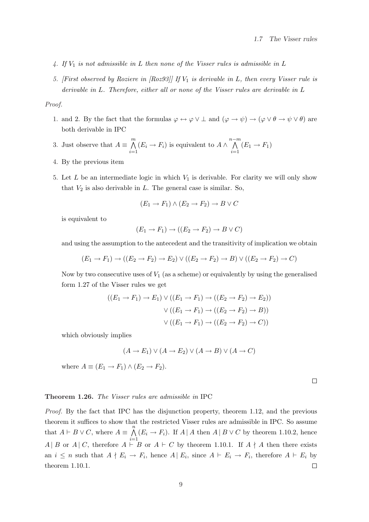- 4. If  $V_1$  is not admissible in L then none of the Visser rules is admissible in L
- 5. [First observed by Roziere in [Roz93]] If  $V_1$  is derivable in L, then every Visser rule is derivable in L. Therefore, either all or none of the Visser rules are derivable in L

### Proof.

- 1. and 2. By the fact that the formulas  $\varphi \leftrightarrow \varphi \lor \bot$  and  $(\varphi \to \psi) \to (\varphi \lor \theta \to \psi \lor \theta)$  are both derivable in IPC
- 3. Just observe that  $A \equiv$  $\sum_{\lambda}$  $i=1$  $(E_i \rightarrow F_i)$  is equivalent to  $A \wedge$  $n-m$  $i=1$  $(E_1 \rightarrow F_1)$
- 4. By the previous item
- 5. Let  $L$  be an intermediate logic in which  $V_1$  is derivable. For clarity we will only show that  $V_2$  is also derivable in  $L$ . The general case is similar. So,

$$
(E_1 \to F_1) \land (E_2 \to F_2) \to B \lor C
$$

is equivalent to

$$
(E_1 \to F_1) \to ((E_2 \to F_2) \to B \lor C)
$$

and using the assumption to the antecedent and the transitivity of implication we obtain

$$
(E_1 \rightarrow F_1) \rightarrow ((E_2 \rightarrow F_2) \rightarrow E_2) \vee ((E_2 \rightarrow F_2) \rightarrow B) \vee ((E_2 \rightarrow F_2) \rightarrow C)
$$

Now by two consecutive uses of  $V_1$  (as a scheme) or equivalently by using the generalised form 1.27 of the Visser rules we get

$$
((E_1 \rightarrow F_1) \rightarrow E_1) \vee ((E_1 \rightarrow F_1) \rightarrow ((E_2 \rightarrow F_2) \rightarrow E_2))
$$

$$
\vee ((E_1 \rightarrow F_1) \rightarrow ((E_2 \rightarrow F_2) \rightarrow B))
$$

$$
\vee ((E_1 \rightarrow F_1) \rightarrow ((E_2 \rightarrow F_2) \rightarrow C))
$$

which obviously implies

$$
(A \to E_1) \lor (A \to E_2) \lor (A \to B) \lor (A \to C)
$$

where  $A \equiv (E_1 \rightarrow F_1) \wedge (E_2 \rightarrow F_2)$ .

 $\Box$ 

#### Theorem 1.26. The Visser rules are admissible in IPC

Proof. By the fact that IPC has the disjunction property, theorem 1.12, and the previous theorem it suffices to show that the restricted Visser rules are admissible in IPC. So assume  $\overline{n}$ that  $A \vdash B \lor C$ , where  $A \equiv$  $(E_i \rightarrow F_i)$ . If  $A \mid A$  then  $A \mid B \lor C$  by theorem 1.10.2, hence  $i=1$ A | B or A | C, therefore  $A \vdash B$  or  $A \vdash C$  by theorem 1.10.1. If  $A \nmid A$  then there exists an  $i \leq n$  such that  $A \nmid E_i \to F_i$ , hence  $A \mid E_i$ , since  $A \vdash E_i \to F_i$ , therefore  $A \vdash E_i$  by theorem 1.10.1.  $\Box$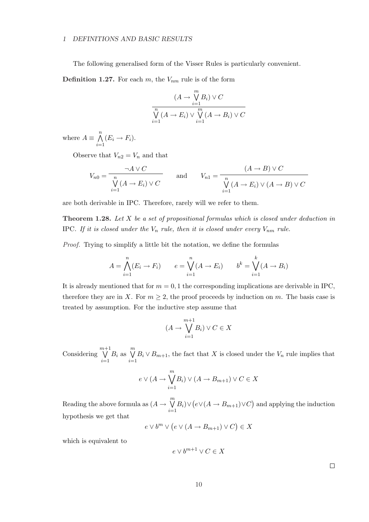### 1 DEFINITIONS AND BASIC RESULTS

The following generalised form of the Visser Rules is particularly convenient.

**Definition 1.27.** For each m, the  $V_{nm}$  rule is of the form

$$
(A \to \bigvee_{i=1}^{m} B_i) \vee C
$$

$$
\bigvee_{i=1}^{n} (A \to E_i) \vee \bigvee_{i=1}^{m} (A \to B_i) \vee C
$$

where  $A \equiv$  $\frac{n}{\sqrt{2}}$  $i=1$  $(E_i \rightarrow F_i).$ 

Observe that  $V_{n2} = V_n$  and that

$$
V_{n0} = \frac{\neg A \lor C}{\bigvee_{i=1}^{n} (A \to E_i) \lor C} \qquad \text{and} \qquad V_{n1} = \frac{(A \to B) \lor C}{\bigvee_{i=1}^{n} (A \to E_i) \lor (A \to B) \lor C}
$$

are both derivable in IPC. Therefore, rarely will we refer to them.

**Theorem 1.28.** Let  $X$  be a set of propositional formulas which is closed under deduction in IPC. If it is closed under the  $V_n$  rule, then it is closed under every  $V_{nm}$  rule.

Proof. Trying to simplify a little bit the notation, we define the formulas

$$
A = \bigwedge_{i=1}^{n} (E_i \to F_i) \qquad e = \bigvee_{i=1}^{n} (A \to E_i) \qquad b^k = \bigvee_{i=1}^{k} (A \to B_i)
$$

It is already mentioned that for  $m = 0, 1$  the corresponding implications are derivable in IPC, therefore they are in X. For  $m \geq 2$ , the proof proceeds by induction on m. The basis case is treated by assumption. For the inductive step assume that

$$
(A \to \bigvee_{i=1}^{m+1} B_i) \lor C \in X
$$

Considering  $m+1$  $i=1$  $B_i$  as  $\bigvee^m$  $i=1$  $B_i \vee B_{m+1}$ , the fact that X is closed under the  $V_n$  rule implies that

$$
e \vee (A \to \bigvee_{i=1}^{m} B_i) \vee (A \to B_{m+1}) \vee C \in X
$$

Reading the above formula as  $(A \rightarrow$  $\mathfrak{m}$  $i=1$  $B_i)$ ∨ ¡  $e\vee (A \rightarrow B_{m+1})\vee C$ ¢ and applying the induction hypothesis we get that

$$
e \vee b^m \vee (e \vee (A \to B_{m+1}) \vee C) \in X
$$

which is equivalent to

$$
e \vee b^{m+1} \vee C \in X
$$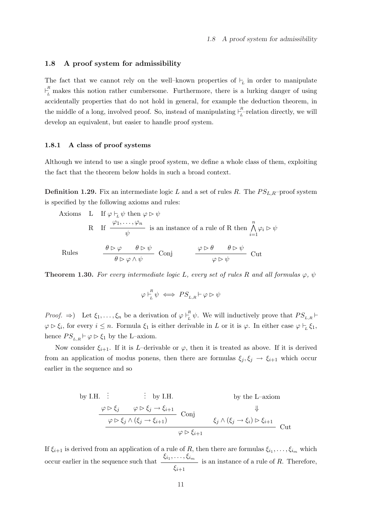### 1.8 A proof system for admissibility

The fact that we cannot rely on the well-known properties of  $\vdash_L$  in order to manipulate  $E_L^R$  makes this notion rather cumbersome. Furthermore, there is a lurking danger of using accidentally properties that do not hold in general, for example the deduction theorem, in the middle of a long, involved proof. So, instead of manipulating  $\bigcup_{i=1}^{R}$  $\int_{L}^{L}$ -relation directly, we will develop an equivalent, but easier to handle proof system.

### 1.8.1 A class of proof systems

Although we intend to use a single proof system, we define a whole class of them, exploiting the fact that the theorem below holds in such a broad context.

**Definition 1.29.** Fix an intermediate logic L and a set of rules R. The  $PS_{L,R}$ –proof system is specified by the following axioms and rules:

Axioms L If  $\varphi \vdash_{\iota} \psi$  then  $\varphi \triangleright \psi$ R If  $\varphi_1, \ldots, \varphi_n$ ψ is an instance of a rule of R then  $\bigwedge^n$  $i=1$  $\varphi_i \rhd \psi$  $\theta \triangleright \varphi$   $\theta \triangleright \psi$ Conj  $\theta \rhd \varphi \wedge \psi$  $\varphi \rhd \theta \qquad \theta \rhd \psi$ Cut  $\varphi \rhd \psi$ 

Rules

**Theorem 1.30.** For every intermediate logic L, every set of rules R and all formulas  $\varphi$ ,  $\psi$ 

$$
\varphi \vdash_L^R \psi \iff PS_{L,R} \vdash \varphi \rhd \psi
$$

*Proof.*  $\Rightarrow$  Let  $\xi_1, \ldots, \xi_n$  be a derivation of  $\varphi \bigcup_{l=1}^R$  $\frac{L}{L}\psi$ . We will inductively prove that  $PS_{L,R} \vdash$  $\varphi \triangleright \xi_i$ , for every  $i \leq n$ . Formula  $\xi_1$  is either derivable in L or it is  $\varphi$ . In either case  $\varphi \vdash_L \xi_1$ , hence  $PS_{LR} \vdash \varphi \triangleright \xi_1$  by the L–axiom.

Now consider  $\xi_{i+1}$ . If it is L–derivable or  $\varphi$ , then it is treated as above. If it is derived from an application of modus ponens, then there are formulas  $\xi_j, \xi_j \to \xi_{i+1}$  which occur earlier in the sequence and so

by I.H. :   
 by I.H. by I.H. by the L-axiom  
\n
$$
\begin{array}{ccc}\n&\varphi \triangleright \xi_j & \varphi \triangleright \xi_j \rightarrow \xi_{i+1} & \text{by the } \mathbf{L} \text{-axiom} \\
&\varphi \triangleright \xi_j \land (\xi_j \rightarrow \xi_{i+1}) & \text{Conj} & \xi_j \land (\xi_j \rightarrow \xi_i) \triangleright \xi_{i+1} \\
&\varphi \triangleright \xi_{i+1} & &\n\end{array}
$$
Cut

If  $\xi_{i+1}$  is derived from an application of a rule of R, then there are formulas  $\xi_{i_1}, \ldots, \xi_{i_m}$  which occur earlier in the sequence such that  $\xrightarrow{\xi_{i_1},\ldots,\xi_{i_m}}$  $\xi_{i+1}$ is an instance of a rule of R. Therefore,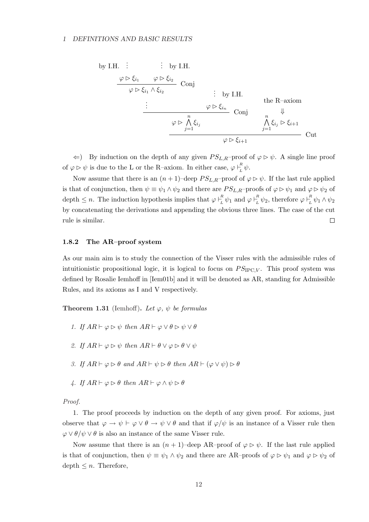### 1 DEFINITIONS AND BASIC RESULTS

by I.H. : 
$$
\begin{array}{c}\n\vdots \\
\varphi \triangleright \xi_{i_1} & \varphi \triangleright \xi_{i_2} \\
\hline\n\varphi \triangleright \xi_{i_1} \wedge \xi_{i_2} & \text{Conj} \\
\vdots \\
\hline\n\varphi \triangleright \frac{n}{\lambda} \xi_{i_j} & \text{Conj} \\
\hline\n\varphi \triangleright \frac{n}{\lambda} \xi_{i_j} & \text{Conj} \\
\hline\n\varphi \triangleright \frac{n}{\lambda} \xi_{i_j} & \text{Conj} \\
\hline\n\varphi \triangleright \xi_{i+1} & \text{Out} \\
\hline\n\varphi \triangleright \xi_{i+1} & \text{Out} \\
\hline\n\varphi \triangleright \xi_{i+1} & \text{Out} \\
\hline\n\end{array}
$$

 $\Leftarrow$ ) By induction on the depth of any given  $PS_{L,R}$ -proof of  $\varphi \triangleright \psi$ . A single line proof of  $\varphi \triangleright \psi$  is due to the L or the R-axiom. In either case,  $\varphi \bigupharpoonright_{I}^{R}$  $\int_L^n \psi.$ 

Now assume that there is an  $(n+1)$ –deep  $PS_{L,R}$ –proof of  $\varphi \triangleright \psi$ . If the last rule applied is that of conjunction, then  $\psi \equiv \psi_1 \wedge \psi_2$  and there are  $PS_{L,R}$ –proofs of  $\varphi \triangleright \psi_1$  and  $\varphi \triangleright \psi_2$  of depth  $\leq n$ . The induction hypothesis implies that  $\varphi \bigcup_{k=1}^{R}$  $\frac{R}{L} \psi_1$  and  $\varphi \vdash_L^R$  $\frac{R}{L} \psi_2$ , therefore  $\varphi \vdash^R_L$  $\frac{1}{L}\psi_1\wedge\psi_2$ by concatenating the derivations and appending the obvious three lines. The case of the cut  $\Box$ rule is similar.

### 1.8.2 The AR–proof system

As our main aim is to study the connection of the Visser rules with the admissible rules of intuitionistic propositional logic, it is logical to focus on  $PS_{\text{IPC},V}$ . This proof system was defined by Rosalie Iemhoff in [Iem01b] and it will be denoted as AR, standing for Admissible Rules, and its axioms as I and V respectively.

**Theorem 1.31** (Iemhoff). Let  $\varphi$ ,  $\psi$  be formulas

- 1. If  $AR \vdash \varphi \triangleright \psi$  then  $AR \vdash \varphi \vee \theta \triangleright \psi \vee \theta$
- 2. If  $AR \vdash \varphi \triangleright \psi$  then  $AR \vdash \theta \vee \varphi \triangleright \theta \vee \psi$
- 3. If  $AR \vdash \varphi \triangleright \theta$  and  $AR \vdash \psi \triangleright \theta$  then  $AR \vdash (\varphi \vee \psi) \triangleright \theta$
- 4. If  $AR \vdash \varphi \triangleright \theta$  then  $AR \vdash \varphi \wedge \psi \triangleright \theta$

Proof.

1. The proof proceeds by induction on the depth of any given proof. For axioms, just observe that  $\varphi \to \psi \vdash \varphi \lor \theta \to \psi \lor \theta$  and that if  $\varphi/\psi$  is an instance of a Visser rule then  $\varphi \vee \theta / \psi \vee \theta$  is also an instance of the same Visser rule.

Now assume that there is an  $(n + 1)$ –deep AR–proof of  $\varphi \triangleright \psi$ . If the last rule applied is that of conjunction, then  $\psi \equiv \psi_1 \wedge \psi_2$  and there are AR–proofs of  $\varphi \triangleright \psi_1$  and  $\varphi \triangleright \psi_2$  of depth  $\leq n$ . Therefore,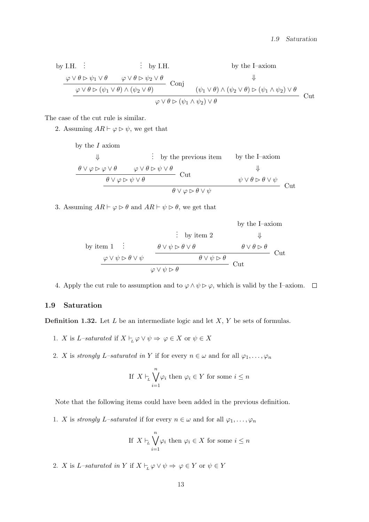by I.H. 
$$
\vdots
$$
 by I.H. by I.H. by the I-axiom  
\n
$$
\begin{array}{ccc}\n\varphi \vee \theta \triangleright \psi_1 \vee \theta & \varphi \vee \theta \triangleright \psi_2 \vee \theta \\
\hline\n\varphi \vee \theta \triangleright (\psi_1 \vee \theta) \wedge (\psi_2 \vee \theta) & \text{(} \psi_1 \vee \theta) \wedge (\psi_2 \vee \theta) \triangleright (\psi_1 \wedge \psi_2) \vee \theta \\
\hline\n\varphi \vee \theta \triangleright (\psi_1 \wedge \psi_2) \vee \theta & & \text{Cut}\n\end{array}
$$

The case of the cut rule is similar.

2. Assuming  $AR \vdash \varphi \triangleright \psi$ , we get that

by the *I* axiom  
\n
$$
\downarrow \qquad \qquad \vdots \qquad \qquad \text{by the previous item} \qquad \qquad \text{by the I-axiom}
$$
\n
$$
\begin{array}{c}\n\theta \vee \varphi \triangleright \varphi \vee \theta \qquad \qquad \varphi \vee \theta \triangleright \psi \vee \theta \\
\hline\n\theta \vee \varphi \triangleright \psi \vee \theta \qquad \qquad \text{Out} \\
\theta \vee \varphi \triangleright \theta \vee \psi \qquad \qquad \theta \vee \varphi \triangleright \theta \vee \psi \qquad \qquad \text{Cut}\n\end{array}
$$

3. Assuming  $AR \vdash \varphi \triangleright \theta$  and  $AR \vdash \psi \triangleright \theta$ , we get that

by the I-axiom  
\nby item 1 : 
$$
\theta \lor \psi \rhd \theta \lor \theta
$$
  
\n $\phi \lor \psi \rhd \theta \lor \psi$   
\n $\theta \lor \psi \rhd \theta$   
\n $\phi \lor \psi \rhd \theta$   
\n $\phi \lor \psi \rhd \theta$   
\n $\phi \lor \psi \rhd \theta$   
\n $\phi \lor \psi \rhd \theta$   
\n $\phi \lor \psi \rhd \theta$ 

4. Apply the cut rule to assumption and to  $\varphi \wedge \psi \triangleright \varphi$ , which is valid by the I–axiom.  $\Box$ 

### 1.9 Saturation

**Definition 1.32.** Let  $L$  be an intermediate logic and let  $X$ ,  $Y$  be sets of formulas.

- 1. X is L–saturated if  $X \vdash_L \varphi \lor \psi \Rightarrow \varphi \in X$  or  $\psi \in X$
- 2. X is strongly L–saturated in Y if for every  $n \in \omega$  and for all  $\varphi_1, \ldots, \varphi_n$

If 
$$
X \vdash_L \bigvee_{i=1}^n \varphi_i
$$
 then  $\varphi_i \in Y$  for some  $i \leq n$ 

Note that the following items could have been added in the previous definition.

1. X is strongly L–saturated if for every  $n \in \omega$  and for all  $\varphi_1, \ldots, \varphi_n$ 

If 
$$
X \vdash_L \bigvee_{i=1}^n \varphi_i
$$
 then  $\varphi_i \in X$  for some  $i \leq n$ 

2. X is L–saturated in Y if  $X \vdash_{\mathbb{L}} \varphi \lor \psi \Rightarrow \varphi \in Y$  or  $\psi \in Y$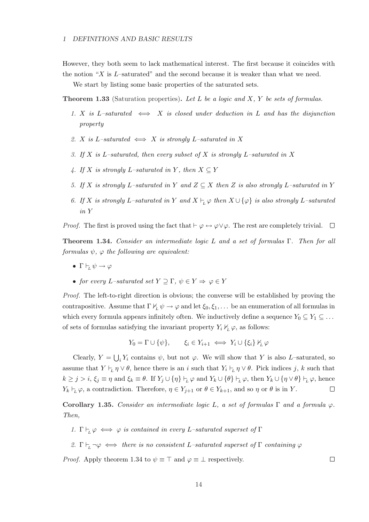### 1 DEFINITIONS AND BASIC RESULTS

However, they both seem to lack mathematical interest. The first because it coincides with the notion "X is  $L$ -saturated" and the second because it is weaker than what we need.

We start by listing some basic properties of the saturated sets.

**Theorem 1.33** (Saturation properties). Let L be a logic and X, Y be sets of formulas.

- 1. X is L–saturated  $\iff X$  is closed under deduction in L and has the disjunction property
- 2. X is L–saturated  $\iff$  X is strongly L–saturated in X
- 3. If X is L–saturated, then every subset of X is strongly L–saturated in X
- 4. If X is strongly L–saturated in Y, then  $X \subseteq Y$
- 5. If X is strongly L–saturated in Y and  $Z \subseteq X$  then Z is also strongly L–saturated in Y
- 6. If X is strongly L–saturated in Y and  $X \vdash_{\mathcal{V}} \varphi$  then  $X \cup {\varphi}$  is also strongly L–saturated in Y

*Proof.* The first is proved using the fact that  $\vdash \varphi \leftrightarrow \varphi \lor \varphi$ . The rest are completely trivial.  $\Box$ 

**Theorem 1.34.** Consider an intermediate logic L and a set of formulas Γ. Then for all formulas  $\psi$ ,  $\varphi$  the following are equivalent:

- Γ $\vdash_L \psi \rightarrow \varphi$
- for every L–saturated set  $Y \supseteq \Gamma$ ,  $\psi \in Y \Rightarrow \varphi \in Y$

Proof. The left-to-right direction is obvious; the converse will be established by proving the contrapositive. Assume that  $\Gamma \nvdash_L \psi \to \varphi$  and let  $\xi_0, \xi_1, \ldots$  be an enumeration of all formulas in which every formula appears infinitely often. We inductively define a sequence  $Y_0 \subseteq Y_1 \subseteq \ldots$ of sets of formulas satisfying the invariant property  $Y_i \nvDash_L \varphi$ , as follows:

$$
Y_0 = \Gamma \cup \{\psi\}, \qquad \xi_i \in Y_{i+1} \iff Y_i \cup \{\xi_i\} \nvdash_L \varphi
$$

S Clearly,  $Y =$  $i Y_i$  contains  $\psi$ , but not  $\varphi$ . We will show that Y is also L–saturated, so assume that  $Y \vdash_L \eta \vee \theta$ , hence there is an i such that  $Y_i \vdash_L \eta \vee \theta$ . Pick indices j, k such that  $k \geq j > i$ ,  $\xi_j \equiv \eta$  and  $\xi_k \equiv \theta$ . If  $Y_j \cup {\eta} \vdash_L \varphi$  and  $Y_k \cup {\theta} \vdash_L \varphi$ , then  $Y_k \cup {\eta} \vee \theta$   $\vdash_L \varphi$ , hence  $Y_k \vdash_L \varphi$ , a contradiction. Therefore,  $\eta \in Y_{j+1}$  or  $\theta \in Y_{k+1}$ , and so  $\eta$  or  $\theta$  is in Y.  $\Box$ 

Corollary 1.35. Consider an intermediate logic L, a set of formulas  $\Gamma$  and a formula  $\varphi$ . Then,

- 1.  $\Gamma \vdash_{\mathcal{L}} \varphi \iff \varphi$  is contained in every L-saturated superset of  $\Gamma$
- 2.  $\Gamma \vdash_{\mathcal{L}} \neg \varphi \iff$  there is no consistent L-saturated superset of  $\Gamma$  containing  $\varphi$

*Proof.* Apply theorem 1.34 to  $\psi \equiv \top$  and  $\varphi \equiv \bot$  respectively.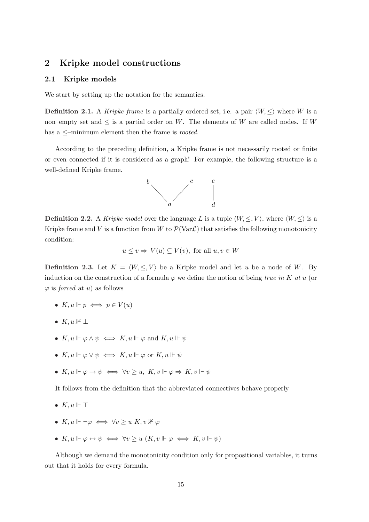### 2 Kripke model constructions

### 2.1 Kripke models

We start by setting up the notation for the semantics.

**Definition 2.1.** A Kripke frame is a partially ordered set, i.e. a pair  $\langle W, \leq \rangle$  where W is a non–empty set and  $\leq$  is a partial order on W. The elements of W are called nodes. If W has a  $\le$ -minimum element then the frame is *rooted*.

According to the preceding definition, a Kripke frame is not necessarily rooted or finite or even connected if it is considered as a graph! For example, the following structure is a well-defined Kripke frame.



**Definition 2.2.** A Kripke model over the language L is a tuple  $\langle W, \leq, V \rangle$ , where  $\langle W, \leq \rangle$  is a Kripke frame and V is a function from W to  $\mathcal{P}(\text{Var}\mathcal{L})$  that satisfies the following monotonicity condition:

$$
u \le v \Rightarrow V(u) \subseteq V(v)
$$
, for all  $u, v \in W$ 

**Definition 2.3.** Let  $K = \langle W, \leq, V \rangle$  be a Kripke model and let u be a node of W. By induction on the construction of a formula  $\varphi$  we define the notion of being true in K at u (or  $\varphi$  is *forced* at u) as follows

- $K, u \Vdash p \iff p \in V(u)$
- $K, u \nVdash \perp$
- $K, u \Vdash \varphi \land \psi \iff K, u \Vdash \varphi$  and  $K, u \Vdash \psi$
- $K, u \Vdash \varphi \lor \psi \iff K, u \Vdash \varphi$  or  $K, u \Vdash \psi$
- $K, u \Vdash \varphi \to \psi \iff \forall v \geq u, K, v \Vdash \varphi \Rightarrow K, v \Vdash \psi$

It follows from the definition that the abbreviated connectives behave properly

- $K, u \Vdash \top$
- $K, u \Vdash \neg \varphi \iff \forall v \geq u \ K, v \nvDash \varphi$
- $K, u \Vdash \varphi \leftrightarrow \psi \iff \forall v \geq u \ (K, v \Vdash \varphi \iff K, v \Vdash \psi)$

Although we demand the monotonicity condition only for propositional variables, it turns out that it holds for every formula.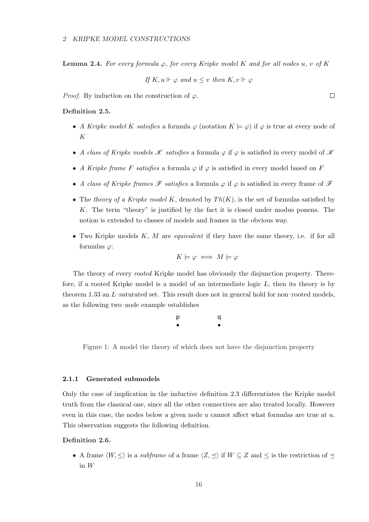**Lemma 2.4.** For every formula  $\varphi$ , for every Kripke model K and for all nodes u, v of K

If 
$$
K, u \Vdash \varphi
$$
 and  $u \leq v$  then  $K, v \Vdash \varphi$ 

*Proof.* By induction on the construction of  $\varphi$ .

### Definition 2.5.

- A Kripke model K satisfies a formula  $\varphi$  (notation  $K \models \varphi$ ) if  $\varphi$  is true at every node of K
- A class of Kripke models  $\mathscr K$  satisfies a formula  $\varphi$  if  $\varphi$  is satisfied in every model of  $\mathscr K$
- A Kripke frame F satisfies a formula  $\varphi$  if  $\varphi$  is satisfied in every model based on F
- A class of Kripke frames  $\mathscr F$  satisfies a formula  $\varphi$  if  $\varphi$  is satisfied in every frame of  $\mathscr F$
- The theory of a Kripke model K, denoted by  $Th(K)$ , is the set of formulas satisfied by K. The term "theory" is justified by the fact it is closed under modus ponens. The notion is extended to classes of models and frames in the obvious way.
- Two Kripke models  $K, M$  are *equivalent* if they have the same theory, i.e. if for all formulas  $\varphi$ :

$$
K \models \varphi \iff M \models \varphi
$$

The theory of every rooted Kripke model has obviously the disjunction property. Therefore, if a rooted Kripke model is a model of an intermediate logic  $L$ , then its theory is by theorem 1.33 an L–saturated set. This result does not in general hold for non–rooted models, as the following two–node example establishes

| p         | q         |
|-----------|-----------|
| $\bullet$ | $\bullet$ |

Figure 1: A model the theory of which does not have the disjunction property

#### 2.1.1 Generated submodels

Only the case of implication in the inductive definition 2.3 differentiates the Kripke model truth from the classical one, since all the other connectives are also treated locally. However even in this case, the nodes below a given node  $u$  cannot affect what formulas are true at  $u$ . This observation suggests the following definition.

### Definition 2.6.

• A frame  $\langle W, \leq \rangle$  is a *subframe* of a frame  $\langle Z, \preceq \rangle$  if  $W \subseteq Z$  and  $\leq$  is the restriction of  $\preceq$ in W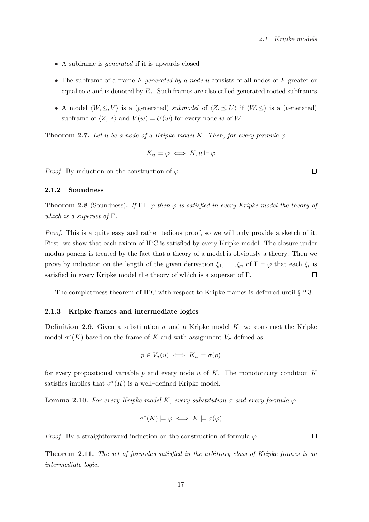- A subframe is *generated* if it is upwards closed
- The subframe of a frame  $F$  generated by a node u consists of all nodes of  $F$  greater or equal to u and is denoted by  $F_u$ . Such frames are also called generated rooted subframes
- A model  $\langle W, \leq, V \rangle$  is a (generated) submodel of  $\langle Z, \preceq, U \rangle$  if  $\langle W, \leq \rangle$  is a (generated) subframe of  $\langle Z, \preceq \rangle$  and  $V(w) = U(w)$  for every node w of W

**Theorem 2.7.** Let u be a node of a Kripke model K. Then, for every formula  $\varphi$ 

$$
K_u \models \varphi \iff K, u \Vdash \varphi
$$

*Proof.* By induction on the construction of  $\varphi$ .

### 2.1.2 Soundness

**Theorem 2.8** (Soundness). If  $\Gamma \vdash \varphi$  then  $\varphi$  is satisfied in every Kripke model the theory of which is a superset of  $\Gamma$ .

Proof. This is a quite easy and rather tedious proof, so we will only provide a sketch of it. First, we show that each axiom of IPC is satisfied by every Kripke model. The closure under modus ponens is treated by the fact that a theory of a model is obviously a theory. Then we prove by induction on the length of the given derivation  $\xi_1, \ldots, \xi_n$  of  $\Gamma \vdash \varphi$  that each  $\xi_i$  is satisfied in every Kripke model the theory of which is a superset of Γ.  $\Box$ 

The completeness theorem of IPC with respect to Kripke frames is deferred until § 2.3.

### 2.1.3 Kripke frames and intermediate logics

**Definition 2.9.** Given a substitution  $\sigma$  and a Kripke model K, we construct the Kripke model  $\sigma^*(K)$  based on the frame of K and with assignment  $V_{\sigma}$  defined as:

$$
p \in V_{\sigma}(u) \iff K_u \models \sigma(p)
$$

for every propositional variable  $p$  and every node  $u$  of  $K$ . The monotonicity condition  $K$ satisfies implies that  $\sigma^*(K)$  is a well-defined Kripke model.

**Lemma 2.10.** For every Kripke model K, every substitution  $\sigma$  and every formula  $\varphi$ 

$$
\sigma^*(K) \models \varphi \iff K \models \sigma(\varphi)
$$

*Proof.* By a straightforward induction on the construction of formula  $\varphi$ 

Theorem 2.11. The set of formulas satisfied in the arbitrary class of Kripke frames is an intermediate logic.

 $\Box$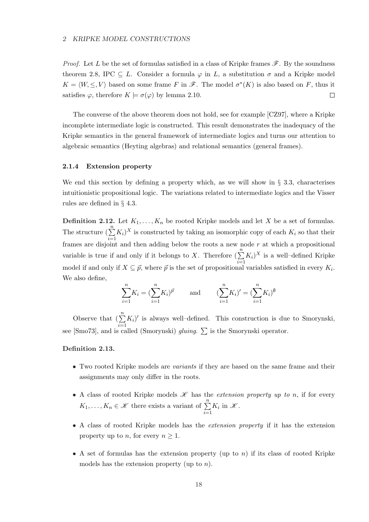*Proof.* Let L be the set of formulas satisfied in a class of Kripke frames  $\mathscr{F}$ . By the soundness theorem 2.8, IPC  $\subseteq L$ . Consider a formula  $\varphi$  in L, a substitution  $\sigma$  and a Kripke model  $K = \langle W, \leq, V \rangle$  based on some frame F in  $\mathscr{F}$ . The model  $\sigma^*(K)$  is also based on F, thus it satisfies  $\varphi$ , therefore  $K \models \sigma(\varphi)$  by lemma 2.10.  $\Box$ 

The converse of the above theorem does not hold, see for example [CZ97], where a Kripke incomplete intermediate logic is constructed. This result demonstrates the inadequacy of the Kripke semantics in the general framework of intermediate logics and turns our attention to algebraic semantics (Heyting algebras) and relational semantics (general frames).

#### 2.1.4 Extension property

We end this section by defining a property which, as we will show in  $\S$  3.3, characterises intuitionistic propositional logic. The variations related to intermediate logics and the Visser rules are defined in § 4.3.

**Definition 2.12.** Let  $K_1, \ldots, K_n$  be rooted Kripke models and let X be a set of formulas. The structure  $(\sum_{i=1}^{n} K_i)^X$  is constructed by taking an isomorphic copy of each  $K_i$  so that their frames are disjoint and then adding below the roots a new node r at which a propositional variable is true if and only if it belongs to X. Therefore  $\left(\sum_{n=1}^{n}\right)^{n}$  $i=1$  $K_i$ <sup>X</sup> is a well-defined Kripke model if and only if  $X \subseteq \vec{p}$ , where  $\vec{p}$  is the set of propositional variables satisfied in every  $K_i$ . We also define,

$$
\sum_{i=1}^{n} K_i = (\sum_{i=1}^{n} K_i)^{\vec{p}} \quad \text{and} \quad (\sum_{i=1}^{n} K_i)' = (\sum_{i=1}^{n} K_i)^{\emptyset}
$$

Observe that  $\left(\sum_{n=1}^n\right)$  $i=1$  $K_i$ <sup> $\prime$ </sup> is always well-defined. This construction is due to Smorynski, see [Smo73], and is called (Smorynski) *gluing*.  $\sum$  is the Smorynski operator.

### Definition 2.13.

- Two rooted Kripke models are variants if they are based on the same frame and their assignments may only differ in the roots.
- A class of rooted Kripke models  $\mathscr K$  has the *extension property up to n*, if for every  $K_1, \ldots, K_n \in \mathcal{K}$  there exists a variant of  $\sum_{n=1}^n$  $i=1$  $K_i$  in  $\mathscr K$ .
- A class of rooted Kripke models has the extension property if it has the extension property up to *n*, for every  $n \geq 1$ .
- A set of formulas has the extension property (up to  $n$ ) if its class of rooted Kripke models has the extension property (up to  $n$ ).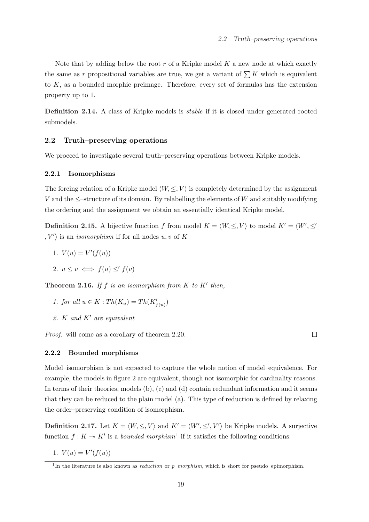Note that by adding below the root  $r$  of a Kripke model  $K$  a new node at which exactly the same as r propositional variables are true, we get a variant of  $\sum K$  which is equivalent to K, as a bounded morphic preimage. Therefore, every set of formulas has the extension property up to 1.

Definition 2.14. A class of Kripke models is *stable* if it is closed under generated rooted submodels.

### 2.2 Truth–preserving operations

We proceed to investigate several truth–preserving operations between Kripke models.

### 2.2.1 Isomorphisms

The forcing relation of a Kripke model  $\langle W, \leq, V \rangle$  is completely determined by the assignment V and the  $\leq$ -structure of its domain. By relabelling the elements of W and suitably modifying the ordering and the assignment we obtain an essentially identical Kripke model.

**Definition 2.15.** A bijective function f from model  $K = \langle W, \leq, V \rangle$  to model  $K' = \langle W', \leq \rangle$  $\langle V' \rangle$  is an *isomorphism* if for all nodes  $u, v$  of K

- 1.  $V(u) = V'(f(u))$
- 2.  $u \leq v \iff f(u) \leq f(v)$

**Theorem 2.16.** If f is an isomorphism from  $K$  to  $K'$  then,

- 1. for all  $u \in K : Th(K_u) = Th(K'_{f(u)})$
- 2. K and  $K'$  are equivalent

Proof. will come as a corollary of theorem 2.20.

 $\Box$ 

### 2.2.2 Bounded morphisms

Model–isomorphism is not expected to capture the whole notion of model–equivalence. For example, the models in figure 2 are equivalent, though not isomorphic for cardinality reasons. In terms of their theories, models (b), (c) and (d) contain redundant information and it seems that they can be reduced to the plain model (a). This type of reduction is defined by relaxing the order–preserving condition of isomorphism.

**Definition 2.17.** Let  $K = \langle W, \leq, V \rangle$  and  $K' = \langle W', \leq', V' \rangle$  be Kripke models. A surjective function  $f: K \to K'$  is a bounded morphism<sup>1</sup> if it satisfies the following conditions:

1.  $V(u) = V'(f(u))$ 

<sup>&</sup>lt;sup>1</sup>In the literature is also known as *reduction* or  $p$ -morphism, which is short for pseudo–epimorphism.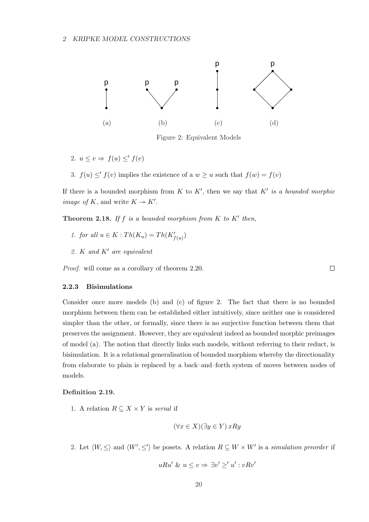

Figure 2: Equivalent Models

2.  $u \leq v \Rightarrow f(u) \leq f(v)$ 

3.  $f(u) \leq f(v)$  implies the existence of a  $w \geq u$  such that  $f(w) = f(v)$ 

If there is a bounded morphism from K to K', then we say that K' is a bounded morphic *image of K*, and write  $K \rightarrow K'$ .

 $\Box$ 

**Theorem 2.18.** If f is a bounded morphism from  $K$  to  $K'$  then,

- 1. for all  $u \in K : Th(K_u) = Th(K'_{f(u)})$
- 2. K and  $K'$  are equivalent

Proof. will come as a corollary of theorem 2.20.

#### 2.2.3 Bisimulations

Consider once more models (b) and (c) of figure 2. The fact that there is no bounded morphism between them can be established either intuitively, since neither one is considered simpler than the other, or formally, since there is no surjective function between them that preserves the assignment. However, they are equivalent indeed as bounded morphic preimages of model (a). The notion that directly links such models, without referring to their reduct, is bisimulation. It is a relational generalisation of bounded morphism whereby the directionality from elaborate to plain is replaced by a back–and–forth system of moves between nodes of models.

### Definition 2.19.

1. A relation  $R \subseteq X \times Y$  is serial if

$$
(\forall x \in X)(\exists y \in Y) \, xRy
$$

2. Let  $\langle W, \leq \rangle$  and  $\langle W', \leq' \rangle$  be posets. A relation  $R \subseteq W \times W'$  is a simulation preorder if

$$
uRu' \& u \le v \Rightarrow \exists v' \ge' u' : vRv'
$$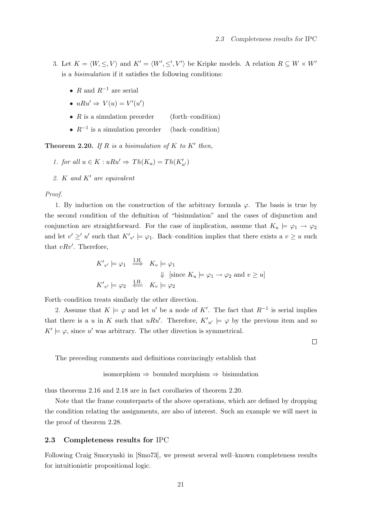- 3. Let  $K = \langle W, \leq, V \rangle$  and  $K' = \langle W', \leq', V' \rangle$  be Kripke models. A relation  $R \subseteq W \times W'$ is a bisimulation if it satisfies the following conditions:
	- R and  $R^{-1}$  are serial
	- $uRu' \Rightarrow V(u) = V'(u')$
	- $R$  is a simulation preorder (forth–condition)
	- $R^{-1}$  is a simulation preorder (back–condition)

**Theorem 2.20.** If R is a bisimulation of K to K' then,

- 1. for all  $u \in K : uRu' \Rightarrow Th(K_u) = Th(K'_{u'})$
- 2. K and  $K'$  are equivalent

#### Proof.

1. By induction on the construction of the arbitrary formula  $\varphi$ . The basis is true by the second condition of the definition of "bisimulation" and the cases of disjunction and conjunction are straightforward. For the case of implication, assume that  $K_u \models \varphi_1 \rightarrow \varphi_2$ and let  $v' \geq u'$  such that  $K'_{v'} \models \varphi_1$ . Back–condition implies that there exists a  $v \geq u$  such that  $vRv'$ . Therefore,

$$
K'_{v'} \models \varphi_1 \stackrel{\text{I.H.}}{\implies} K_v \models \varphi_1
$$
  
\n
$$
\Downarrow \text{ [since } K_u \models \varphi_1 \to \varphi_2 \text{ and } v \ge u \text{]}
$$
  
\n
$$
K'_{v'} \models \varphi_2 \stackrel{\text{I.H.}}{\iff} K_v \models \varphi_2
$$

Forth–condition treats similarly the other direction.

2. Assume that  $K \models \varphi$  and let u' be a node of K'. The fact that  $R^{-1}$  is serial implies that there is a u in K such that uRu'. Therefore,  $K'_{u'} \models \varphi$  by the previous item and so  $K' \models \varphi$ , since u' was arbitrary. The other direction is symmetrical.

The preceding comments and definitions convincingly establish that

isomorphism 
$$
\Rightarrow
$$
 bounded morphism  $\Rightarrow$  bisimulation

thus theorems 2.16 and 2.18 are in fact corollaries of theorem 2.20.

Note that the frame counterparts of the above operations, which are defined by dropping the condition relating the assignments, are also of interest. Such an example we will meet in the proof of theorem 2.28.

### 2.3 Completeness results for IPC

Following Craig Smorynski in [Smo73], we present several well–known completeness results for intuitionistic propositional logic.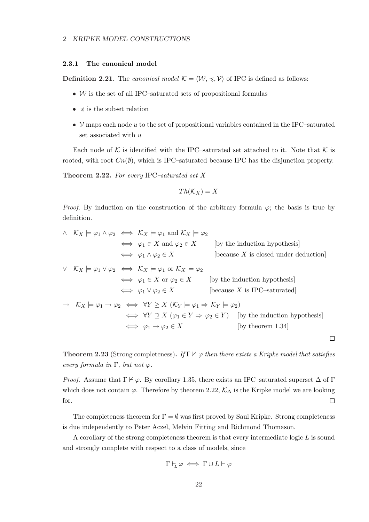### 2.3.1 The canonical model

**Definition 2.21.** The *canonical model*  $K = \langle W, \preccurlyeq, V \rangle$  of IPC is defined as follows:

- $W$  is the set of all IPC–saturated sets of propositional formulas
- $\preccurlyeq$  is the subset relation
- $V$  maps each node u to the set of propositional variables contained in the IPC–saturated set associated with u

Each node of K is identified with the IPC–saturated set attached to it. Note that K is rooted, with root  $C_n(\emptyset)$ , which is IPC–saturated because IPC has the disjunction property.

**Theorem 2.22.** For every IPC–saturated set X

$$
Th(\mathcal{K}_X)=X
$$

*Proof.* By induction on the construction of the arbitrary formula  $\varphi$ ; the basis is true by definition.

$$
\begin{array}{ll}\n\wedge & \mathcal{K}_X \models \varphi_1 \land \varphi_2 \iff \mathcal{K}_X \models \varphi_1 \text{ and } \mathcal{K}_X \models \varphi_2 \\
&\iff \varphi_1 \in X \text{ and } \varphi_2 \in X \qquad \text{[by the induction hypothesis]} \\
&\iff \varphi_1 \land \varphi_2 \in X \qquad \text{[because } X \text{ is closed under deduction]} \\
\vee & \mathcal{K}_X \models \varphi_1 \lor \varphi_2 \iff \mathcal{K}_X \models \varphi_1 \text{ or } \mathcal{K}_X \models \varphi_2 \\
&\iff \varphi_1 \in X \text{ or } \varphi_2 \in X \qquad \text{[by the induction hypothesis]} \\
&\iff \varphi_1 \lor \varphi_2 \in X \qquad \text{[because } X \text{ is IPC-saturated]} \\
\Rightarrow & \mathcal{K}_X \models \varphi_1 \to \varphi_2 \iff \forall Y \geq X \ (\mathcal{K}_Y \models \varphi_1 \Rightarrow \mathcal{K}_Y \models \varphi_2) \\
&\iff \forall Y \supseteq X \ (\varphi_1 \in Y \Rightarrow \varphi_2 \in Y) \qquad \text{[by the induction hypothesis]} \\
&\iff \varphi_1 \to \varphi_2 \in X \qquad \text{[by theorem 1.34]} \\
\Box\n\end{array}
$$

**Theorem 2.23** (Strong completeness). If  $\Gamma \nvdash \varphi$  then there exists a Kripke model that satisfies every formula in  $\Gamma$ , but not  $\varphi$ .

*Proof.* Assume that  $\Gamma \nvdash \varphi$ . By corollary 1.35, there exists an IPC–saturated superset  $\Delta$  of  $\Gamma$ which does not contain  $\varphi$ . Therefore by theorem 2.22,  $\mathcal{K}_{\Delta}$  is the Kripke model we are looking for.  $\Box$ 

The completeness theorem for  $\Gamma = \emptyset$  was first proved by Saul Kripke. Strong completeness is due independently to Peter Aczel, Melvin Fitting and Richmond Thomason.

A corollary of the strong completeness theorem is that every intermediate logic L is sound and strongly complete with respect to a class of models, since

$$
\Gamma \vdash_{\!\!L} \varphi \iff \Gamma \cup L \vdash \varphi
$$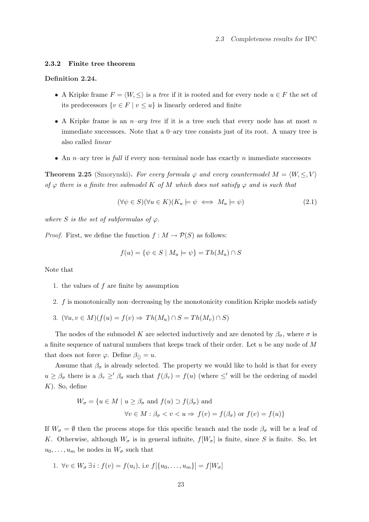### 2.3.2 Finite tree theorem

### Definition 2.24.

- A Kripke frame  $F = \langle W, \leq \rangle$  is a tree if it is rooted and for every node  $u \in F$  the set of its predecessors  $\{v \in F \mid v \leq u\}$  is linearly ordered and finite
- A Kripke frame is an  $n$ -ary tree if it is a tree such that every node has at most n immediate successors. Note that a 0–ary tree consists just of its root. A unary tree is also called linear
- An  $n$ –ary tree is full if every non–terminal node has exactly n immediate successors

**Theorem 2.25** (Smorynski). For every formula  $\varphi$  and every countermodel  $M = \langle W, \leq, V \rangle$ of  $\varphi$  there is a finite tree submodel K of M which does not satisfy  $\varphi$  and is such that

$$
(\forall \psi \in S)(\forall u \in K)(K_u \models \psi \iff M_u \models \psi)
$$
\n
$$
(2.1)
$$

where S is the set of subformulas of  $\varphi$ .

*Proof.* First, we define the function  $f : M \to \mathcal{P}(S)$  as follows:

$$
f(u) = \{ \psi \in S \mid M_u \models \psi \} = Th(M_u) \cap S
$$

Note that

- 1. the values of  $f$  are finite by assumption
- 2. f is monotonically non–decreasing by the monotonicity condition Kripke models satisfy
- 3.  $(\forall u, v \in M)(f(u) = f(v) \Rightarrow Th(M_u) \cap S = Th(M_v) \cap S)$

The nodes of the submodel K are selected inductively and are denoted by  $\beta_{\sigma}$ , where  $\sigma$  is a finite sequence of natural numbers that keeps track of their order. Let  $u$  be any node of  $M$ that does not force  $\varphi$ . Define  $\beta_{\langle} = u$ .

Assume that  $\beta_{\sigma}$  is already selected. The property we would like to hold is that for every  $u \geq \beta_{\sigma}$  there is a  $\beta_{\tau} \geq' \beta_{\sigma}$  such that  $f(\beta_{\tau}) = f(u)$  (where  $\leq'$  will be the ordering of model  $K$ ). So, define

$$
W_{\sigma} = \{ u \in M \mid u \ge \beta_{\sigma} \text{ and } f(u) \supset f(\beta_{\sigma}) \text{ and}
$$

$$
\forall v \in M : \beta_{\sigma} < v < u \Rightarrow f(v) = f(\beta_{\sigma}) \text{ or } f(v) = f(u) \}
$$

If  $W_{\sigma} = \emptyset$  then the process stops for this specific branch and the node  $\beta_{\sigma}$  will be a leaf of K. Otherwise, although  $W_{\sigma}$  is in general infinite,  $f[W_{\sigma}]$  is finite, since S is finite. So, let  $u_0, \ldots, u_m$  be nodes in  $W_{\sigma}$  such that

1. 
$$
\forall v \in W_{\sigma} \, \exists \, i : f(v) = f(u_i), \text{ i.e } f[\{u_0, \ldots, u_m\}] = f[W_{\sigma}]
$$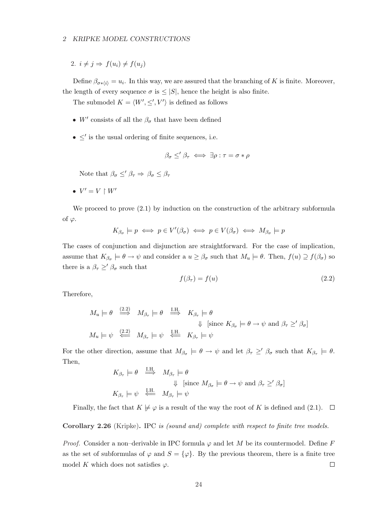#### 2 KRIPKE MODEL CONSTRUCTIONS

2.  $i \neq j \Rightarrow f(u_i) \neq f(u_j)$ 

Define  $\beta_{\sigma*(i)} = u_i$ . In this way, we are assured that the branching of K is finite. Moreover, the length of every sequence  $\sigma$  is  $\leq |S|$ , hence the height is also finite.

The submodel  $K = \langle W', \leq', V' \rangle$  is defined as follows

- W' consists of all the  $\beta_{\sigma}$  that have been defined
- $\bullet \leq'$  is the usual ordering of finite sequences, i.e.

$$
\beta_{\sigma} \leq' \beta_{\tau} \iff \exists \rho : \tau = \sigma * \rho
$$

Note that  $\beta_{\sigma} \leq \beta_{\tau} \Rightarrow \beta_{\sigma} \leq \beta_{\tau}$ 

•  $V' = V \restriction W'$ 

We proceed to prove  $(2.1)$  by induction on the construction of the arbitrary subformula of  $\varphi$ .

$$
K_{\beta_{\sigma}} \models p \iff p \in V'(\beta_{\sigma}) \iff p \in V(\beta_{\sigma}) \iff M_{\beta_{\sigma}} \models p
$$

The cases of conjunction and disjunction are straightforward. For the case of implication, assume that  $K_{\beta_{\sigma}} \models \theta \to \psi$  and consider a  $u \geq \beta_{\sigma}$  such that  $M_u \models \theta$ . Then,  $f(u) \supseteq f(\beta_{\sigma})$  so there is a  $\beta_{\tau} \geq' \beta_{\sigma}$  such that

$$
f(\beta_{\tau}) = f(u) \tag{2.2}
$$

Therefore,

$$
M_u \models \theta \stackrel{(2.2)}{\Longrightarrow} M_{\beta_{\tau}} \models \theta \stackrel{\text{I.H.}}{\Longrightarrow} K_{\beta_{\tau}} \models \theta
$$
  

$$
\Downarrow \text{ [since } K_{\beta_{\sigma}} \models \theta \to \psi \text{ and } \beta_{\tau} \ge' \beta_{\sigma} \text{]}
$$
  

$$
M_u \models \psi \stackrel{(2.2)}{\Longleftrightarrow} M_{\beta_{\tau}} \models \psi \stackrel{\text{I.H.}}{\Longleftrightarrow} K_{\beta_{\tau}} \models \psi
$$

For the other direction, assume that  $M_{\beta_{\sigma}} \models \theta \rightarrow \psi$  and let  $\beta_{\tau} \geq' \beta_{\sigma}$  such that  $K_{\beta_{\tau}} \models \theta$ . Then,

$$
K_{\beta_{\tau}} \models \theta \stackrel{\text{I.H.}}{\implies} M_{\beta_{\tau}} \models \theta
$$
  
\n
$$
\Downarrow \text{ [since } M_{\beta_{\sigma}} \models \theta \to \psi \text{ and } \beta_{\tau} \geq' \beta_{\sigma} \text{]}
$$
  
\n
$$
K_{\beta_{\tau}} \models \psi \stackrel{\text{I.H.}}{\iff} M_{\beta_{\tau}} \models \psi
$$

Finally, the fact that  $K \not\models \varphi$  is a result of the way the root of K is defined and (2.1).  $\Box$ 

#### Corollary 2.26 (Kripke). IPC is (sound and) complete with respect to finite tree models.

*Proof.* Consider a non–derivable in IPC formula  $\varphi$  and let M be its countermodel. Define F as the set of subformulas of  $\varphi$  and  $S = {\varphi}$ . By the previous theorem, there is a finite tree model K which does not satisfies  $\varphi$ .  $\Box$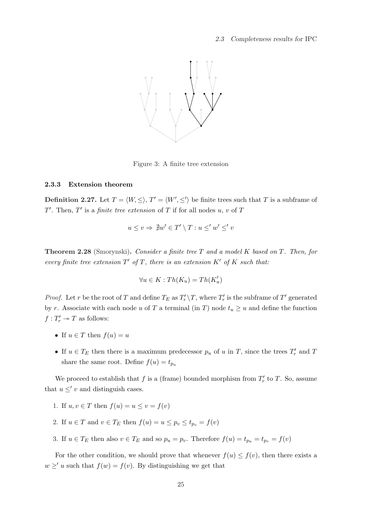

Figure 3: A finite tree extension

### 2.3.3 Extension theorem

**Definition 2.27.** Let  $T = \langle W, \leq \rangle$ ,  $T' = \langle W', \leq' \rangle$  be finite trees such that T is a subframe of T'. Then, T' is a *finite tree extension* of T if for all nodes  $u, v$  of T

$$
u \le v \Rightarrow \nexists w' \in T' \setminus T : u \le' w' \le' v
$$

**Theorem 2.28** (Smorynski). Consider a finite tree T and a model K based on T. Then, for every finite tree extension  $T'$  of T, there is an extension  $K'$  of  $K$  such that:

$$
\forall u \in K : Th(K_u) = Th(K'_u)
$$

*Proof.* Let r be the root of T and define  $T_E$  as  $T'_r \backslash T$ , where  $T'_r$  is the subframe of T' generated by r. Associate with each node u of T a terminal (in T) node  $t_u \geq u$  and define the function  $f: T'_r \to T$  as follows:

- If  $u \in T$  then  $f(u) = u$
- If  $u \in T_E$  then there is a maximum predecessor  $p_u$  of u in T, since the trees  $T'_r$  and T share the same root. Define  $f(u) = t_{p_u}$

We proceed to establish that f is a (frame) bounded morphism from  $T'_r$  to T. So, assume that  $u \leq' v$  and distinguish cases.

- 1. If  $u, v \in T$  then  $f(u) = u \le v = f(v)$
- 2. If  $u \in T$  and  $v \in T_E$  then  $f(u) = u \leq p_v \leq t_{p_v} = f(v)$
- 3. If  $u \in T_E$  then also  $v \in T_E$  and so  $p_u = p_v$ . Therefore  $f(u) = t_{p_u} = t_{p_v} = f(v)$

For the other condition, we should prove that whenever  $f(u) \leq f(v)$ , then there exists a  $w \geq u$  such that  $f(w) = f(v)$ . By distinguishing we get that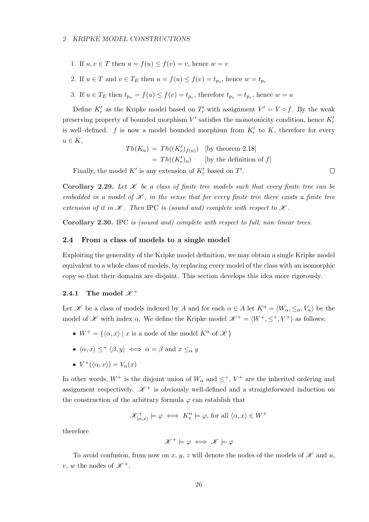- 1. If  $u, v \in T$  then  $u = f(u) \leq f(v) = v$ , hence  $w = v$
- 2. If  $u \in T$  and  $v \in T_E$  then  $u = f(u) \leq f(v) = t_{p_v}$ , hence  $w = t_{p_v}$
- 3. If  $u \in T_E$  then  $t_{p_u} = f(u) \le f(v) = t_{p_v}$ , therefore  $t_{p_u} = t_{p_v}$ , hence  $w = u$

Define  $K'_r$  as the Kripke model based on  $T'_r$  with assignment  $V' = V \circ f$ . By the weak preserving property of bounded morphism  $V'$  satisfies the monotonicity condition, hence  $K'_r$ is well-defined.  $f$  is now a model bounded morphism from  $K'_r$  to  $K$ , therefore for every  $u \in K$ ,

$$
Th(K_u) = Th((K'_r)_{f(u)})
$$
 [by theorem 2.18]  
= 
$$
Th((K'_r)_u)
$$
 [by the definition of f]

Finally, the model  $K'$  is any extension of  $K'_{r}$  based on  $T'$ .

Corollary 2.29. Let  $\mathscr K$  be a class of finite tree models such that every finite tree can be embedded in a model of  $\mathscr K$ , in the sense that for every finite tree there exists a finite tree extension of it in  $K$ . Then IPC is (sound and) complete with respect to  $K$ .

Corollary 2.30. IPC is (sound and) complete with respect to full, non-linear trees.

### 2.4 From a class of models to a single model

Exploiting the generality of the Kripke model definition, we may obtain a single Kripke model equivalent to a whole class of models, by replacing every model of the class with an isomorphic copy so that their domains are disjoint. This section develops this idea more rigorously.

### 2.4.1 The model  $\mathscr{K}^+$

Let X be a class of models indexed by A and for each  $\alpha \in A$  let  $K^{\alpha} = \langle W_{\alpha}, \leq_{\alpha}, V_{\alpha} \rangle$  be the model of  $\mathscr K$  with index  $\alpha$ . We define the Kripke model  $\mathscr K^+ = \langle W^+, \leq^+, V^+ \rangle$  as follows:

- $W^+ = \{\langle \alpha, x \rangle \mid x \text{ is a node of the model } K^{\alpha} \text{ of } \mathcal{K} \}$
- $\langle \alpha, x \rangle \leq^+ \langle \beta, y \rangle \iff \alpha = \beta$  and  $x \leq_\alpha y$
- $V^+(\langle \alpha, x \rangle) = V_\alpha(x)$

In other words,  $W^+$  is the disjoint union of  $W_\alpha$  and  $\leq^+$ ,  $V^+$  are the inherited ordering and assignment respectively.  $\mathscr{K}^+$  is obviously well-defined and a straightforward induction on the construction of the arbitrary formula  $\varphi$  can establish that

$$
\mathscr{K}^+_{\langle \alpha, x \rangle} \models \varphi \iff K_x^{\alpha} \models \varphi \text{, for all } \langle \alpha, x \rangle \in W^+
$$

therefore

$$
\mathscr{K}^+ \models \varphi \iff \mathscr{K} \models \varphi
$$

To avoid confusion, from now on x, y, z will denote the nodes of the models of  $\mathscr K$  and u, v, w the nodes of  $\mathscr{K}^+$ .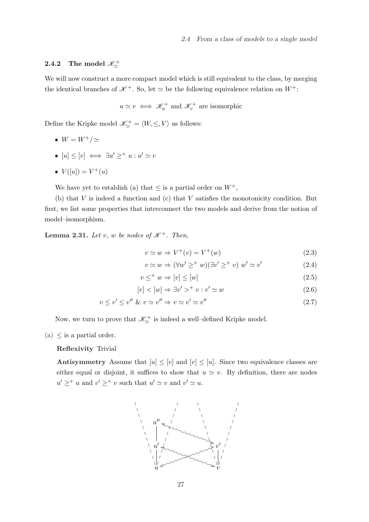# 2.4.2 The model  $\mathscr{K}^+_\simeq$

We will now construct a more compact model which is still equivalent to the class, by merging the identical branches of  $\mathscr{K}^+$ . So, let  $\simeq$  be the following equivalence relation on  $W^+$ :

 $u \simeq v \iff \mathscr{K}_u^+$  and  $\mathscr{K}_v^+$  are isomorphic

Define the Kripke model  $\mathscr{K}_{\sim}^+ = \langle W, \leq, V \rangle$  as follows:

- $W = W^+/\simeq$
- $[u] \leq [v] \iff \exists u' \geq^+ u : u' \simeq v$
- $V([u]) = V^+(u)$

We have yet to establish (a) that  $\leq$  is a partial order on  $W^+$ ,

(b) that  $V$  is indeed a function and (c) that  $V$  satisfies the monotonicity condition. But first, we list some properties that interconnect the two models and derive from the notion of model–isomorphism.

**Lemma 2.31.** Let v, w be nodes of  $\mathcal{K}^+$ . Then,

$$
v \simeq w \Rightarrow V^+(v) = V^+(w) \tag{2.3}
$$

$$
v \simeq w \Rightarrow (\forall w' \geq^+ w)(\exists v' \geq^+ v) \ w' \simeq v'
$$
 (2.4)

$$
v \leq^+ w \Rightarrow [v] \leq [w] \tag{2.5}
$$

$$
[v] < [w] \Rightarrow \exists v' >^+ v : v' \simeq w \tag{2.6}
$$

$$
v \le v' \le v'' \& v \simeq v'' \Rightarrow v \simeq v' \simeq v'' \tag{2.7}
$$

Now, we turn to prove that  $\mathscr{K}_{\simeq}^+$  is indeed a well-defined Kripke model.

(a)  $\leq$  is a partial order.

Reflexivity Trivial

Antisymmetry Assume that  $[u] \leq [v]$  and  $[v] \leq [u]$ . Since two equivalence classes are either equal or disjoint, it suffices to show that  $u \simeq v$ . By definition, there are nodes  $u' \geq^+ u$  and  $v' \geq^+ v$  such that  $u' \simeq v$  and  $v' \simeq u$ .

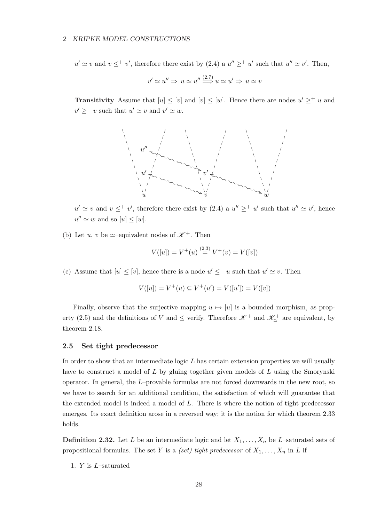## 2 KRIPKE MODEL CONSTRUCTIONS

 $u' \simeq v$  and  $v \leq^+ v'$ , therefore there exist by (2.4) a  $u'' \geq^+ u'$  such that  $u'' \simeq v'$ . Then,

$$
v' \simeq u'' \Rightarrow u \simeq u'' \stackrel{(2.7)}{\Longrightarrow} u \simeq u' \Rightarrow u \simeq v
$$

**Transitivity** Assume that  $[u] \leq [v]$  and  $[v] \leq [w]$ . Hence there are nodes  $u' \geq^+ u$  and  $v' \geq^+ v$  such that  $u' \simeq v$  and  $v' \simeq w$ .



 $u' \simeq v$  and  $v \leq^+ v'$ , therefore there exist by (2.4) a  $u'' \geq^+ u'$  such that  $u'' \simeq v'$ , hence  $u'' \simeq w$  and so  $[u] \leq [w]$ .

(b) Let u, v be  $\simeq$ -equivalent nodes of  $\mathscr{K}^+$ . Then

$$
V([u]) = V^+(u) \stackrel{(2.3)}{=} V^+(v) = V([v])
$$

(c) Assume that  $[u] \leq [v]$ , hence there is a node  $u' \leq^+ u$  such that  $u' \simeq v$ . Then

$$
V([u]) = V^+(u) \subseteq V^+(u') = V([u']) = V([v])
$$

Finally, observe that the surjective mapping  $u \mapsto [u]$  is a bounded morphism, as property (2.5) and the definitions of V and  $\leq$  verify. Therefore  $\mathscr{K}^+$  and  $\mathscr{K}^+_{\sim}$  are equivalent, by theorem 2.18.

## 2.5 Set tight predecessor

In order to show that an intermediate logic  $L$  has certain extension properties we will usually have to construct a model of L by gluing together given models of L using the Smorynski operator. In general, the L–provable formulas are not forced downwards in the new root, so we have to search for an additional condition, the satisfaction of which will guarantee that the extended model is indeed a model of L. There is where the notion of tight predecessor emerges. Its exact definition arose in a reversed way; it is the notion for which theorem 2.33 holds.

**Definition 2.32.** Let L be an intermediate logic and let  $X_1, \ldots, X_n$  be L-saturated sets of propositional formulas. The set Y is a *(set) tight predecessor* of  $X_1, \ldots, X_n$  in L if

1. Y is L–saturated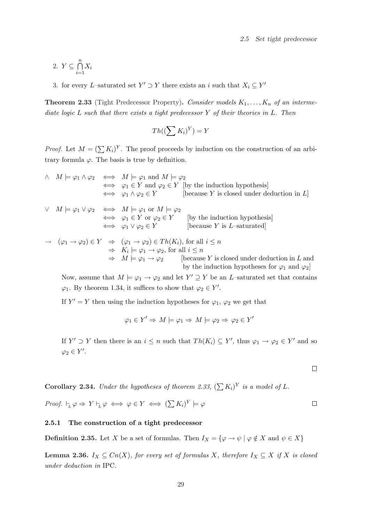$$
2. \ Y \subseteq \bigcap_{i=1}^{n} X_i
$$

3. for every L–saturated set  $Y' \supset Y$  there exists an i such that  $X_i \subseteq Y'$ 

**Theorem 2.33** (Tight Predecessor Property). Consider models  $K_1, \ldots, K_n$  of an intermediate logic  $L$  such that there exists a tight predecessor  $Y$  of their theories in  $L$ . Then

$$
Th((\sum K_i)^Y) = Y
$$

*Proof.* Let  $M = (\sum K_i)^Y$ . The proof proceeds by induction on the construction of an arbitrary formula  $\varphi$ . The basis is true by definition.

$$
\wedge \quad M \models \varphi_1 \land \varphi_2 \iff M \models \varphi_1 \text{ and } M \models \varphi_2
$$
\n
$$
\iff \varphi_1 \in Y \text{ and } \varphi_2 \in Y \text{ [by the induction hypothesis]}
$$
\n
$$
\iff \varphi_1 \land \varphi_2 \in Y \text{ [because } Y \text{ is closed under deduction in } L]
$$
\n
$$
\vee \quad M \models \varphi_1 \lor \varphi_2 \iff M \models \varphi_1 \text{ or } M \models \varphi_2
$$
\n
$$
\iff \varphi_1 \in Y \text{ or } \varphi_2 \in Y \text{ [by the induction hypothesis]}
$$
\n
$$
\iff \varphi_1 \lor \varphi_2 \in Y \text{ [because } Y \text{ is } L\text{-saturated]}
$$
\n
$$
\Rightarrow (\varphi_1 \to \varphi_2) \in Y \Rightarrow (\varphi_1 \to \varphi_2) \in Th(K_i), \text{ for all } i \leq n
$$
\n
$$
\Rightarrow K_i \models \varphi_1 \to \varphi_2, \text{ for all } i \leq n
$$
\n
$$
\Rightarrow M \models \varphi_1 \to \varphi_2 \text{ [because } Y \text{ is closed under deduction in } L \text{ and by the induction hypothesis for } \varphi_1 \text{ and } \varphi_2]
$$

Now, assume that  $M \models \varphi_1 \rightarrow \varphi_2$  and let  $Y' \supseteq Y$  be an L-saturated set that contains  $\varphi_1$ . By theorem 1.34, it suffices to show that  $\varphi_2 \in Y'$ .

If  $Y' = Y$  then using the induction hypotheses for  $\varphi_1$ ,  $\varphi_2$  we get that

$$
\varphi_1 \in Y' \Rightarrow M \models \varphi_1 \Rightarrow M \models \varphi_2 \Rightarrow \varphi_2 \in Y'
$$

If  $Y' \supset Y$  then there is an  $i \leq n$  such that  $Th(K_i) \subseteq Y'$ , thus  $\varphi_1 \to \varphi_2 \in Y'$  and so  $\varphi_2 \in Y'.$ 

**Corollary 2.34.** Under the hypotheses of theorem 2.33,  $(\sum K_i)^Y$  is a model of L.

*Proof.* 
$$
\vdash_L \varphi \Rightarrow Y \vdash_L \varphi \iff \varphi \in Y \iff (\sum K_i)^Y \models \varphi
$$

## 2.5.1 The construction of a tight predecessor

**Definition 2.35.** Let X be a set of formulas. Then  $I_X = \{ \varphi \to \psi \mid \varphi \notin X \text{ and } \psi \in X \}$ 

**Lemma 2.36.**  $I_X \subseteq Cn(X)$ , for every set of formulas X, therefore  $I_X \subseteq X$  if X is closed under deduction in IPC.

 $\Box$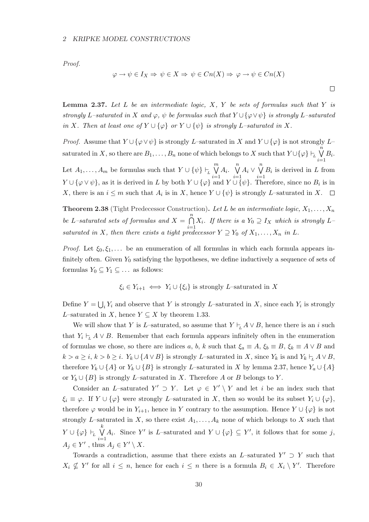Proof.

$$
\varphi \to \psi \in I_X \Rightarrow \psi \in X \Rightarrow \psi \in Cn(X) \Rightarrow \varphi \to \psi \in Cn(X)
$$

 $\Box$ 

**Lemma 2.37.** Let  $L$  be an intermediate logic,  $X$ ,  $Y$  be sets of formulas such that  $Y$  is strongly L–saturated in X and  $\varphi$ ,  $\psi$  be formulas such that  $Y \cup {\varphi \vee \psi}$  is strongly L–saturated in X. Then at least one of  $Y \cup {\varphi}$  or  $Y \cup {\psi}$  is strongly L–saturated in X.

*Proof.* Assume that  $Y \cup {\varphi \vee \psi}$  is strongly L–saturated in X and  $Y \cup {\varphi}$  is not strongly L– saturated in X, so there are  $B_1, \ldots, B_n$  none of which belongs to X such that  $Y \cup \{\varphi\} \vdash_L$  $\tilde{n}$  $B_i$ .

 $i=1$  $\mathfrak{m}$  $\overline{\mathfrak{n}}$  $\binom{n}{k}$ Let  $A_1, \ldots, A_m$  be formulas such that  $Y \cup \{\psi\} \vdash_L$  $A_i$ .  $A_i \vee$  $B_i$  is derived in L from  $i=1$  $i=1$  $i=1$  $Y \cup {\varphi \vee \psi}$ , as it is derived in L by both  $Y \cup {\varphi}$  and  $Y \cup {\psi}$ . Therefore, since no  $B_i$  is in X, there is an  $i \leq m$  such that  $A_i$  is in X, hence  $Y \cup {\psi}$  is strongly L-saturated in X.  $\Box$ 

**Theorem 2.38** (Tight Predecessor Construction). Let L be an intermediate logic,  $X_1, \ldots, X_n$ be L–saturated sets of formulas and  $X =$  $\frac{n}{2}$  $i=1$  $X_i$ . If there is a  $Y_0 \supseteq Y_X$  which is strongly Lsaturated in X, then there exists a tight predecessor  $Y \supseteq Y_0$  of  $X_1, \ldots, X_n$  in L.

*Proof.* Let  $\xi_0, \xi_1, \ldots$  be an enumeration of all formulas in which each formula appears infinitely often. Given  $Y_0$  satisfying the hypotheses, we define inductively a sequence of sets of formulas  $Y_0 \subseteq Y_1 \subseteq \ldots$  as follows:

$$
\xi_i \in Y_{i+1} \iff Y_i \cup \{\xi_i\}
$$
 is strongly *L*-saturated in *X*

Define  $Y =$ S  $_i Y_i$  and observe that Y is strongly L–saturated in X, since each  $Y_i$  is strongly L–saturated in X, hence  $Y \subseteq X$  by theorem 1.33.

We will show that Y is L–saturated, so assume that  $Y \vdash_L A \lor B$ , hence there is an i such that  $Y_i \vdash_L A \vee B$ . Remember that each formula appears infinitely often in the enumeration of formulas we chose, so there are indices a, b, k such that  $\xi_a \equiv A$ ,  $\xi_b \equiv B$ ,  $\xi_k \equiv A \vee B$  and  $k > a \geq i, k > b \geq i$ .  $Y_k \cup \{A \vee B\}$  is strongly L–saturated in X, since  $Y_k$  is and  $Y_k \vdash_L A \vee B$ , therefore  $Y_k \cup \{A\}$  or  $Y_k \cup \{B\}$  is strongly L–saturated in X by lemma 2.37, hence  $Y_a \cup \{A\}$ or  $Y_b \cup \{B\}$  is strongly L–saturated in X. Therefore A or B belongs to Y.

Consider an L–saturated  $Y' \supset Y$ . Let  $\varphi \in Y' \setminus Y$  and let i be an index such that  $\xi_i \equiv \varphi$ . If  $Y \cup {\varphi}$  were strongly L–saturated in X, then so would be its subset  $Y_i \cup {\varphi}$ , therefore  $\varphi$  would be in  $Y_{i+1}$ , hence in Y contrary to the assumption. Hence  $Y \cup {\varphi}$  is not strongly L–saturated in X, so there exist  $A_1, \ldots, A_k$  none of which belongs to X such that  $Y\cup \{\varphi\} \vdash_{\!\!L}$  $\mathbf{k}$  $i=1$ A<sub>i</sub>. Since Y' is L–saturated and  $Y \cup {\varphi} \subseteq Y'$ , it follows that for some j,  $A_j \in Y'$ , thus  $A_j \in Y' \setminus X$ .

Towards a contradiction, assume that there exists an L–saturated  $Y' \supset Y$  such that  $X_i \nsubseteq Y'$  for all  $i \leq n$ , hence for each  $i \leq n$  there is a formula  $B_i \in X_i \setminus Y'$ . Therefore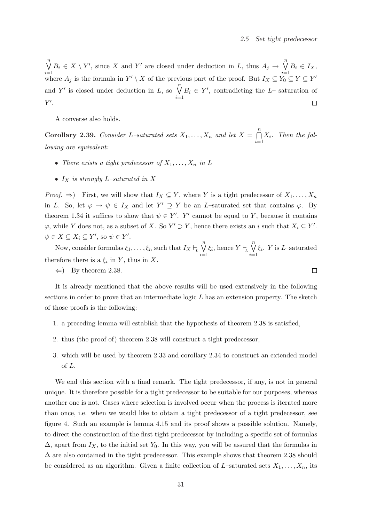$\Box$ 

 $\overline{\mathfrak{n}}$  $B_i \in X \setminus Y'$ , since X and Y' are closed under deduction in L, thus  $A_j \to \bigvee^n$  $B_i \in I_X$ ,  $i=1$  $i=1$ where  $A_j$  is the formula in  $Y' \setminus X$  of the previous part of the proof. But  $I_X \subseteq Y_0 \subseteq Y \subseteq Y'$ and Y' is closed under deduction in L, so  $\bigvee^{n}$  $B_i \in Y'$ , contradicting the L– saturation of  $i=1$  $Y'.$  $\Box$ 

A converse also holds.

Corollary 2.39. Consider L-saturated sets  $X_1, \ldots, X_n$  and let  $X =$  $\frac{n}{2}$  $i=1$  $X_i$ . Then the following are equivalent:

- There exists a tight predecessor of  $X_1, \ldots, X_n$  in L
- $I_X$  is strongly L-saturated in X

*Proof.*  $\Rightarrow$ ) First, we will show that  $I_X \subseteq Y$ , where Y is a tight predecessor of  $X_1, \ldots, X_n$ in L. So, let  $\varphi \to \psi \in I_X$  and let  $Y' \supseteq Y$  be an L-saturated set that contains  $\varphi$ . By theorem 1.34 it suffices to show that  $\psi \in Y'$ . Y' cannot be equal to Y, because it contains  $\varphi$ , while Y does not, as a subset of X. So  $Y' \supset Y$ , hence there exists an i such that  $X_i \subseteq Y'$ .  $\psi \in X \subseteq X_i \subseteq Y'$ , so  $\psi \in Y'$ .

Now, consider formulas  $\xi_1, \ldots, \xi_n$  such that  $I_X \vdash_L$  $\binom{n}{k}$  $i=1$  $\xi_i$ , hence  $Y \vdash_L$  $\overline{\mathfrak{n}}$  $i=1$  $\xi_i$ . Y is L-saturated therefore there is a  $\xi_i$  in Y, thus in X.

It is already mentioned that the above results will be used extensively in the following sections in order to prove that an intermediate logic  $L$  has an extension property. The sketch of those proofs is the following:

- 1. a preceding lemma will establish that the hypothesis of theorem 2.38 is satisfied,
- 2. thus (the proof of) theorem 2.38 will construct a tight predecessor,
- 3. which will be used by theorem 2.33 and corollary 2.34 to construct an extended model of L.

We end this section with a final remark. The tight predecessor, if any, is not in general unique. It is therefore possible for a tight predecessor to be suitable for our purposes, whereas another one is not. Cases where selection is involved occur when the process is iterated more than once, i.e. when we would like to obtain a tight predecessor of a tight predecessor, see figure 4. Such an example is lemma 4.15 and its proof shows a possible solution. Namely, to direct the construction of the first tight predecessor by including a specific set of formulas  $\Delta$ , apart from  $I_X$ , to the initial set  $Y_0$ . In this way, you will be assured that the formulas in  $\Delta$  are also contained in the tight predecessor. This example shows that theorem 2.38 should be considered as an algorithm. Given a finite collection of L–saturated sets  $X_1, \ldots, X_n$ , its

 $\Leftarrow$ ) By theorem 2.38.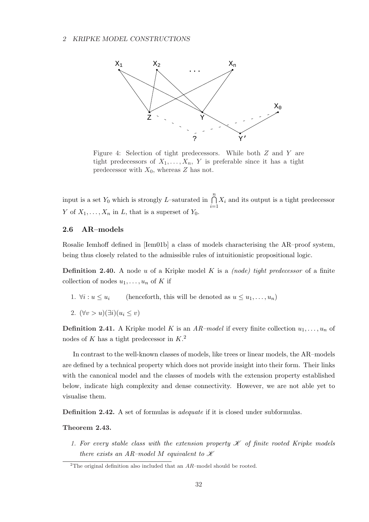

Figure 4: Selection of tight predecessors. While both Z and Y are tight predecessors of  $X_1, \ldots, X_n$ , Y is preferable since it has a tight predecessor with  $X_0$ , whereas Z has not.

input is a set  $Y_0$  which is strongly L-saturated in  $\bigcap^{n}$  $i=1$  $X_i$  and its output is a tight predecessor Y of  $X_1, \ldots, X_n$  in L, that is a superset of  $Y_0$ .

## 2.6 AR–models

Rosalie Iemhoff defined in [Iem01b] a class of models characterising the AR–proof system, being thus closely related to the admissible rules of intuitionistic propositional logic.

**Definition 2.40.** A node u of a Kripke model K is a *(node) tight predecessor* of a finite collection of nodes  $u_1, \ldots, u_n$  of K if

- 1.  $\forall i : u \leq u_i$  (henceforth, this will be denoted as  $u \leq u_1, \ldots, u_n$ )
- 2.  $(\forall v > u)(\exists i)(u_i \leq v)$

**Definition 2.41.** A Kripke model K is an AR-model if every finite collection  $u_1, \ldots, u_n$  of nodes of K has a tight predecessor in  $K<sup>2</sup>$ .

In contrast to the well-known classes of models, like trees or linear models, the AR–models are defined by a technical property which does not provide insight into their form. Their links with the canonical model and the classes of models with the extension property established below, indicate high complexity and dense connectivity. However, we are not able yet to visualise them.

Definition 2.42. A set of formulas is *adequate* if it is closed under subformulas.

## Theorem 2.43.

1. For every stable class with the extension property  $\mathscr K$  of finite rooted Kripke models there exists an AR-model M equivalent to  $\mathscr K$ 

<sup>&</sup>lt;sup>2</sup>The original definition also included that an  $AR$ –model should be rooted.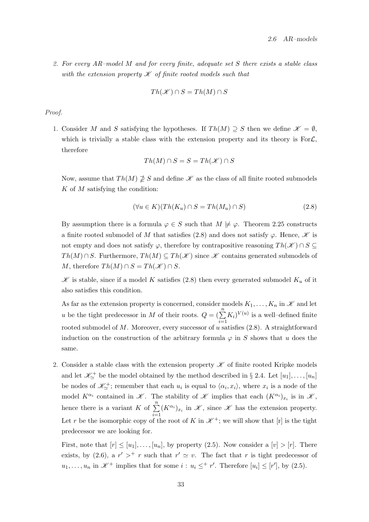2. For every AR–model M and for every finite, adequate set S there exists a stable class with the extension property  $\mathscr K$  of finite rooted models such that

$$
Th(\mathcal{K}) \cap S = Th(M) \cap S
$$

#### Proof.

1. Consider M and S satisfying the hypotheses. If  $Th(M) \supseteq S$  then we define  $\mathscr{K} = \emptyset$ , which is trivially a stable class with the extension property and its theory is For $\mathcal{L}$ , therefore

$$
Th(M) \cap S = S = Th(\mathcal{K}) \cap S
$$

Now, assume that  $Th(M) \not\supseteq S$  and define  $K$  as the class of all finite rooted submodels  $K$  of  $M$  satisfying the condition:

$$
(\forall u \in K)(Th(K_u) \cap S = Th(M_u) \cap S)
$$
\n(2.8)

By assumption there is a formula  $\varphi \in S$  such that  $M \not\models \varphi$ . Theorem 2.25 constructs a finite rooted submodel of M that satisfies (2.8) and does not satisfy  $\varphi$ . Hence,  $\mathscr K$  is not empty and does not satisfy  $\varphi$ , therefore by contrapositive reasoning  $Th(\mathscr{K}) \cap S \subseteq$  $Th(M) \cap S$ . Furthermore,  $Th(M) \subseteq Th(\mathscr{K})$  since  $\mathscr{K}$  contains generated submodels of M, therefore  $Th(M) \cap S = Th(\mathscr{K}) \cap S$ .

 $\mathscr K$  is stable, since if a model K satisfies (2.8) then every generated submodel  $K_u$  of it also satisfies this condition.

As far as the extension property is concerned, consider models  $K_1, \ldots, K_n$  in  $\mathscr K$  and let u be the tight predecessor in M of their roots.  $Q = (\sum_{n=1}^{n} q_n)^{n}$  $i=1$  $(K_i)^{V(u)}$  is a well-defined finite rooted submodel of  $M$ . Moreover, every successor of  $u$  satisfies  $(2.8)$ . A straightforward induction on the construction of the arbitrary formula  $\varphi$  in S shows that u does the same.

2. Consider a stable class with the extension property  $\mathscr K$  of finite rooted Kripke models and let  $\mathscr{K}_{\simeq}^+$  be the model obtained by the method described in § 2.4. Let  $[u_1], \ldots, [u_n]$ be nodes of  $\mathscr{K}_{\simeq}^+$ ; remember that each  $u_i$  is equal to  $\langle \alpha_i, x_i \rangle$ , where  $x_i$  is a node of the model  $K^{\alpha_i}$  contained in  $\mathscr K$ . The stability of  $\mathscr K$  implies that each  $(K^{\alpha_i})_{x_i}$  is in  $\mathscr K$ , hence there is a variant K of  $\sum_{n=1}^{\infty}$  $\sum_{i=1}^{\infty} (K^{\alpha_i})_{x_i}$  in  $\mathscr{K}$ , since  $\mathscr{K}$  has the extension property. Let r be the isomorphic copy of the root of K in  $\mathcal{K}^+$ ; we will show that  $[r]$  is the tight predecessor we are looking for.

First, note that  $[r] \leq [u_1], \ldots, [u_n]$ , by property (2.5). Now consider a  $[v] > [r]$ . There exists, by (2.6), a  $r' >^+ r$  such that  $r' \simeq v$ . The fact that r is tight predecessor of  $u_1, \ldots, u_n$  in  $\mathscr{K}^+$  implies that for some  $i : u_i \leq^+ r'$ . Therefore  $[u_i] \leq [r']$ , by (2.5).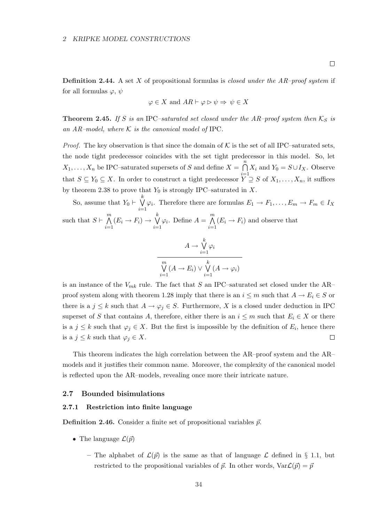**Definition 2.44.** A set X of propositional formulas is *closed under the AR–proof system* if for all formulas  $\varphi, \psi$ 

$$
\varphi \in X
$$
 and  $AR \vdash \varphi \triangleright \psi \Rightarrow \psi \in X$ 

**Theorem 2.45.** If S is an IPC–saturated set closed under the AR–proof system then  $K_S$  is an AR-model, where  $K$  is the canonical model of IPC.

*Proof.* The key observation is that since the domain of  $K$  is the set of all IPC–saturated sets, the node tight predecessor coincides with the set tight predecessor in this model. So, let  $X_1, \ldots, X_n$  be IPC–saturated supersets of S and define  $X =$  $\frac{n}{2}$ that  $S \subseteq Y_0 \subseteq X$ . In order to construct a tight predecessor  $\overline{Y} \supseteq S$  of  $X_1, \ldots, X_n$ , it suffices  $X_i$  and  $Y_0 = S \cup I_X$ . Observe by theorem 2.38 to prove that  $Y_0$  is strongly IPC–saturated in X.

So, assume that  $Y_0 \vdash$  $\bigvee^k \varphi_i$ . Therefore there are formulas  $E_1 \to F_1, \ldots, E_m \to F_m \in I_X$  $i=1$ such that  $S \vdash$  $\mathfrak{m}$  $i=1$  $(E_i \rightarrow F_i) \rightarrow$  $\mathbf{k}$  $i=1$  $\varphi_i$ . Define  $A =$  $\sum_{\lambda}$  $i=1$  $(E_i \rightarrow F_i)$  and observe that

$$
A \to \bigvee_{i=1}^{k} \varphi_i
$$

$$
\overline{\bigvee_{i=1}^{m} (A \to E_i) \vee \bigvee_{i=1}^{k} (A \to \varphi_i)}
$$

is an instance of the  $V_{mk}$  rule. The fact that S an IPC–saturated set closed under the AR– proof system along with theorem 1.28 imply that there is an  $i \leq m$  such that  $A \to E_i \in S$  or there is a  $j \leq k$  such that  $A \to \varphi_j \in S$ . Furthermore, X is a closed under deduction in IPC superset of S that contains A, therefore, either there is an  $i \leq m$  such that  $E_i \in X$  or there is a  $j \leq k$  such that  $\varphi_j \in X$ . But the first is impossible by the definition of  $E_i$ , hence there is a  $j \leq k$  such that  $\varphi_j \in X$ .  $\Box$ 

This theorem indicates the high correlation between the AR–proof system and the AR– models and it justifies their common name. Moreover, the complexity of the canonical model is reflected upon the AR–models, revealing once more their intricate nature.

## 2.7 Bounded bisimulations

## 2.7.1 Restriction into finite language

**Definition 2.46.** Consider a finite set of propositional variables  $\vec{p}$ .

- The language  $\mathcal{L}(\vec{p})$ 
	- The alphabet of  $\mathcal{L}(\vec{p})$  is the same as that of language  $\mathcal{L}$  defined in § 1.1, but restricted to the propositional variables of  $\vec{p}$ . In other words,  $\text{Var}\mathcal{L}(\vec{p}) = \vec{p}$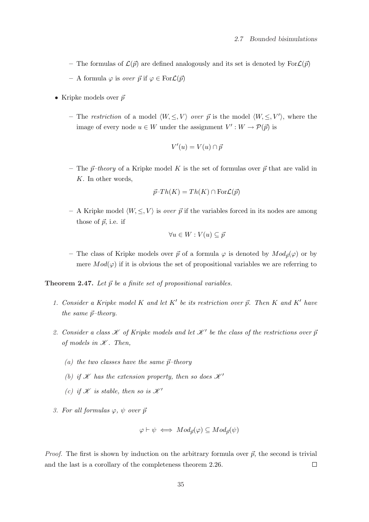- The formulas of  $\mathcal{L}(\vec{p})$  are defined analogously and its set is denoted by For $\mathcal{L}(\vec{p})$
- A formula  $\varphi$  is over  $\vec{p}$  if  $\varphi \in \text{For } \mathcal{L}(\vec{p})$
- Kripke models over  $\vec{p}$ 
	- The restriction of a model  $\langle W, \leq, V \rangle$  over  $\vec{p}$  is the model  $\langle W, \leq, V' \rangle$ , where the image of every node  $u \in W$  under the assignment  $V' : W \to \mathcal{P}(\vec{p})$  is

$$
V'(u) = V(u) \cap \vec{p}
$$

– The  $\vec{p}$ –theory of a Kripke model K is the set of formulas over  $\vec{p}$  that are valid in K. In other words,

$$
\vec{p}\text{-}Th(K)=Th(K)\cap \text{For }\mathcal{L}(\vec{p})
$$

– A Kripke model  $\langle W, \leq, V \rangle$  is *over*  $\vec{p}$  if the variables forced in its nodes are among those of  $\vec{p}$ , i.e. if

$$
\forall u \in W : V(u) \subseteq \vec{p}
$$

– The class of Kripke models over  $\vec{p}$  of a formula  $\varphi$  is denoted by  $Mod_{\vec{p}}(\varphi)$  or by mere  $Mod(\varphi)$  if it is obvious the set of propositional variables we are referring to

**Theorem 2.47.** Let  $\vec{p}$  be a finite set of propositional variables.

- 1. Consider a Kripke model K and let  $K'$  be its restriction over  $\vec{p}$ . Then K and K' have the same  $\vec{p}$ –theory.
- 2. Consider a class  $\mathscr K$  of Kripke models and let  $\mathscr K'$  be the class of the restrictions over  $\bar p$ of models in  $K$ . Then,
	- (a) the two classes have the same  $\vec{p}$ -theory
	- (b) if  $\mathscr K$  has the extension property, then so does  $\mathscr K'$
	- (c) if  $\mathscr K$  is stable, then so is  $\mathscr K'$
- 3. For all formulas  $\varphi, \psi$  over  $\vec{p}$

$$
\varphi \vdash \psi \iff Mod_{\vec{p}}(\varphi) \subseteq Mod_{\vec{p}}(\psi)
$$

*Proof.* The first is shown by induction on the arbitrary formula over  $\vec{p}$ , the second is trivial and the last is a corollary of the completeness theorem 2.26.  $\Box$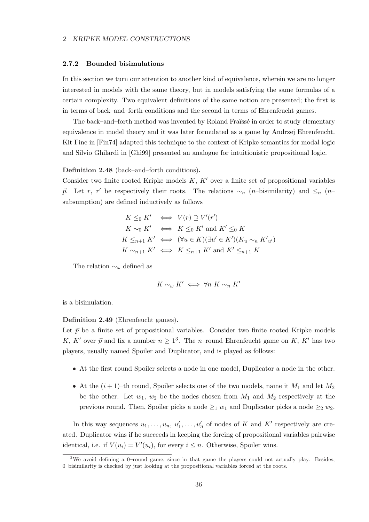#### 2.7.2 Bounded bisimulations

In this section we turn our attention to another kind of equivalence, wherein we are no longer interested in models with the same theory, but in models satisfying the same formulas of a certain complexity. Two equivalent definitions of the same notion are presented; the first is in terms of back–and–forth conditions and the second in terms of Ehrenfeucht games.

The back–and–forth method was invented by Roland Fraüssé in order to study elementary equivalence in model theory and it was later formulated as a game by Andrzej Ehrenfeucht. Kit Fine in [Fin74] adapted this technique to the context of Kripke semantics for modal logic and Silvio Ghilardi in [Ghi99] presented an analogue for intuitionistic propositional logic.

Definition 2.48 (back–and–forth conditions).

Consider two finite rooted Kripke models  $K, K'$  over a finite set of propositional variables  $\vec{p}$ . Let r, r' be respectively their roots. The relations  $\sim_n$  (n–bisimilarity) and  $\leq_n$  (n– subsumption) are defined inductively as follows

$$
K \leq_0 K' \iff V(r) \supseteq V'(r')
$$
  
\n
$$
K \sim_0 K' \iff K \leq_0 K' \text{ and } K' \leq_0 K
$$
  
\n
$$
K \leq_{n+1} K' \iff (\forall u \in K)(\exists u' \in K')(K_u \sim_n K'_{u'})
$$
  
\n
$$
K \sim_{n+1} K' \iff K \leq_{n+1} K' \text{ and } K' \leq_{n+1} K
$$

The relation  $\sim_\omega$  defined as

$$
K\sim_\omega K'\iff \forall n\ K\sim_n K'
$$

is a bisimulation.

Definition 2.49 (Ehrenfeucht games).

Let  $\vec{p}$  be a finite set of propositional variables. Consider two finite rooted Kripke models K, K' over  $\vec{p}$  and fix a number  $n \geq 1^3$ . The n-round Ehrenfeucht game on K, K' has two players, usually named Spoiler and Duplicator, and is played as follows:

- At the first round Spoiler selects a node in one model, Duplicator a node in the other.
- At the  $(i+1)$ –th round, Spoiler selects one of the two models, name it  $M_1$  and let  $M_2$ be the other. Let  $w_1, w_2$  be the nodes chosen from  $M_1$  and  $M_2$  respectively at the previous round. Then, Spoiler picks a node  $\geq_1 w_1$  and Duplicator picks a node  $\geq_2 w_2$ .

In this way sequences  $u_1, \ldots, u_n, u'_1, \ldots, u'_n$  of nodes of K and K' respectively are created. Duplicator wins if he succeeds in keeping the forcing of propositional variables pairwise identical, i.e. if  $V(u_i) = V'(u_i)$ , for every  $i \leq n$ . Otherwise, Spoiler wins.

<sup>3</sup>We avoid defining a 0–round game, since in that game the players could not actually play. Besides, 0–bisimilarity is checked by just looking at the propositional variables forced at the roots.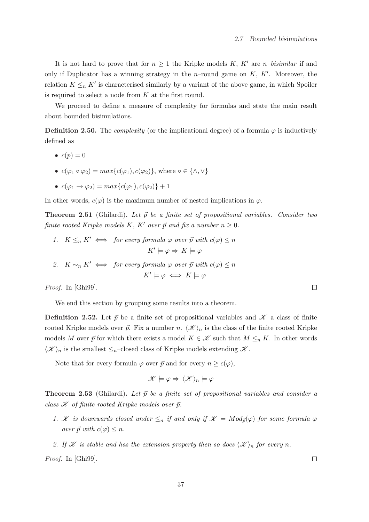It is not hard to prove that for  $n \geq 1$  the Kripke models K, K' are n–bisimilar if and only if Duplicator has a winning strategy in the *n*-round game on  $K, K'$ . Moreover, the relation  $K \leq_n K'$  is characterised similarly by a variant of the above game, in which Spoiler is required to select a node from K at the first round.

We proceed to define a measure of complexity for formulas and state the main result about bounded bisimulations.

**Definition 2.50.** The *complexity* (or the implicational degree) of a formula  $\varphi$  is inductively defined as

- $c(n) = 0$
- $c(\varphi_1 \circ \varphi_2) = max\{c(\varphi_1), c(\varphi_2)\}\$ , where  $\circ \in \{\wedge, \vee\}$
- $c(\varphi_1 \to \varphi_2) = max\{c(\varphi_1), c(\varphi_2)\} + 1$

In other words,  $c(\varphi)$  is the maximum number of nested implications in  $\varphi$ .

**Theorem 2.51** (Ghilardi). Let  $\vec{p}$  be a finite set of propositional variables. Consider two finite rooted Kripke models K, K' over  $\vec{p}$  and fix a number  $n \geq 0$ .

- 1.  $K \leq_n K' \iff$  for every formula  $\varphi$  over  $\vec{p}$  with  $c(\varphi) \leq n$  $K' \models \varphi \Rightarrow K \models \varphi$
- 2.  $K \sim_n K' \iff$  for every formula  $\varphi$  over  $\vec{p}$  with  $c(\varphi) \leq n$  $K' \models \varphi \iff K \models \varphi$

Proof. In [Ghi99].

We end this section by grouping some results into a theorem.

**Definition 2.52.** Let  $\vec{p}$  be a finite set of propositional variables and  $\mathscr K$  a class of finite rooted Kripke models over  $\vec{p}$ . Fix a number n.  $\langle \mathcal{K} \rangle_n$  is the class of the finite rooted Kripke models M over  $\vec{p}$  for which there exists a model  $K \in \mathcal{K}$  such that  $M \leq_n K$ . In other words  $\langle \mathcal{K} \rangle_n$  is the smallest  $\leq_n$ –closed class of Kripke models extending  $\mathcal{K}$ .

Note that for every formula  $\varphi$  over  $\vec{p}$  and for every  $n \geq c(\varphi)$ ,

$$
\mathscr{K} \models \varphi \Rightarrow \langle \mathscr{K} \rangle_n \models \varphi
$$

**Theorem 2.53** (Ghilardi). Let  $\vec{p}$  be a finite set of propositional variables and consider a class  $K$  of finite rooted Kripke models over  $\vec{p}$ .

1. K is downwards closed under  $\leq_n$  if and only if  $\mathscr{K} = Mod_{\vec{p}}(\varphi)$  for some formula  $\varphi$ over  $\vec{p}$  with  $c(\varphi) \leq n$ .

2. If *K* is stable and has the extension property then so does  $\langle \mathcal{K} \rangle_n$  for every n.

Proof. In [Ghi99].

 $\Box$ 

 $\Box$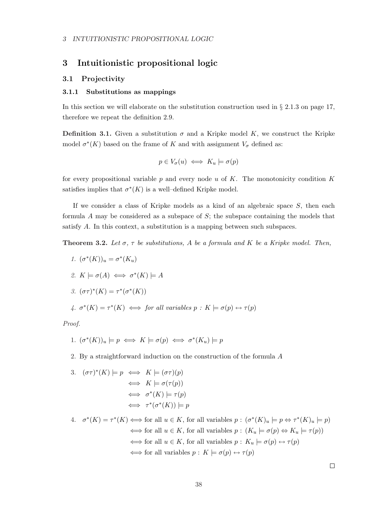# 3 Intuitionistic propositional logic

## 3.1 Projectivity

## 3.1.1 Substitutions as mappings

In this section we will elaborate on the substitution construction used in  $\S 2.1.3$  on page 17, therefore we repeat the definition 2.9.

**Definition 3.1.** Given a substitution  $\sigma$  and a Kripke model K, we construct the Kripke model  $\sigma^*(K)$  based on the frame of K and with assignment  $V_{\sigma}$  defined as:

$$
p \in V_{\sigma}(u) \iff K_u \models \sigma(p)
$$

for every propositional variable  $p$  and every node  $u$  of  $K$ . The monotonicity condition  $K$ satisfies implies that  $\sigma^*(K)$  is a well-defined Kripke model.

If we consider a class of Kripke models as a kind of an algebraic space S, then each formula  $A$  may be considered as a subspace of  $S$ ; the subspace containing the models that satisfy A. In this context, a substitution is a mapping between such subspaces.

**Theorem 3.2.** Let  $\sigma$ ,  $\tau$  be substitutions, A be a formula and K be a Kripke model. Then,

1.  $(\sigma^*(K))_u = \sigma^*(K_u)$ 2.  $K \models \sigma(A) \iff \sigma^*(K) \models A$ 3.  $(\sigma\tau)^*(K) = \tau^*(\sigma^*(K))$ 4.  $\sigma^*(K) = \tau^*(K) \iff$  for all variables  $p : K \models \sigma(p) \leftrightarrow \tau(p)$ 

Proof.

1. 
$$
(\sigma^*(K))_u \models p \iff K \models \sigma(p) \iff \sigma^*(K_u) \models p
$$

2. By a straightforward induction on the construction of the formula A

3. 
$$
(\sigma \tau)^*(K) \models p \iff K \models (\sigma \tau)(p)
$$
  
\n $\iff K \models \sigma(\tau(p))$   
\n $\iff \sigma^*(K) \models \tau(p)$   
\n $\iff \tau^*(\sigma^*(K)) \models p$ 

4.  $\sigma^*(K) = \tau^*(K) \Longleftrightarrow$  for all  $u \in K$ , for all variables  $p : (\sigma^*(K)_u \models p \Leftrightarrow \tau^*(K)_u \models p)$  $\iff$  for all  $u \in K$ , for all variables  $p : (K_u \models \sigma(p) \Leftrightarrow K_u \models \tau(p))$  $\iff$  for all  $u \in K$ , for all variables  $p : K_u \models \sigma(p) \leftrightarrow \tau(p)$  $\iff$  for all variables  $p: K \models \sigma(p) \leftrightarrow \tau(p)$ 

 $\Box$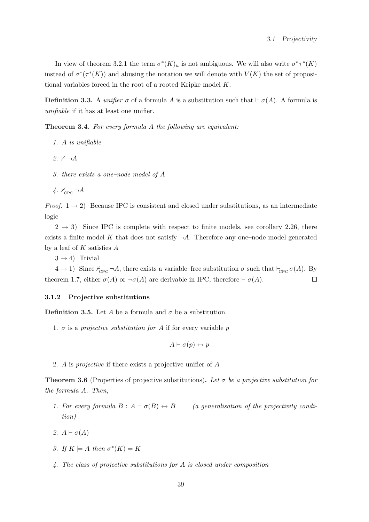In view of theorem 3.2.1 the term  $\sigma^*(K)_u$  is not ambiguous. We will also write  $\sigma^*\tau^*(K)$ instead of  $\sigma^*(\tau^*(K))$  and abusing the notation we will denote with  $V(K)$  the set of propositional variables forced in the root of a rooted Kripke model K.

**Definition 3.3.** A *unifier*  $\sigma$  of a formula A is a substitution such that  $\vdash \sigma(A)$ . A formula is unifiable if it has at least one unifier.

Theorem 3.4. For every formula A the following are equivalent:

- 1. A is unifiable
- 2.  $\nvdash \neg A$
- 3. there exists a one–node model of A
- 4.  $K_{\text{CPC}} \neg A$

*Proof.*  $1 \rightarrow 2$ ) Because IPC is consistent and closed under substitutions, as an intermediate logic

 $2 \rightarrow 3$ ) Since IPC is complete with respect to finite models, see corollary 2.26, there exists a finite model K that does not satisfy  $\neg A$ . Therefore any one–node model generated by a leaf of  $K$  satisfies  $A$ 

 $3 \rightarrow 4$ ) Trivial

 $4 \to 1$ ) Since  $\mathcal{H}_{\text{CPC}} \neg A$ , there exists a variable–free substitution  $\sigma$  such that  $\vdash_{\text{CPC}} \sigma(A)$ . By theorem 1.7, either  $\sigma(A)$  or  $\neg \sigma(A)$  are derivable in IPC, therefore  $\vdash \sigma(A)$ .  $\Box$ 

#### 3.1.2 Projective substitutions

**Definition 3.5.** Let A be a formula and  $\sigma$  be a substitution.

1.  $\sigma$  is a projective substitution for A if for every variable p

$$
A \vdash \sigma(p) \leftrightarrow p
$$

2. A is projective if there exists a projective unifier of A

**Theorem 3.6** (Properties of projective substitutions). Let  $\sigma$  be a projective substitution for the formula A. Then,

- 1. For every formula  $B : A \vdash \sigma(B) \leftrightarrow B$  (a generalisation of the projectivity condition)
- 2.  $A \vdash \sigma(A)$
- 3. If  $K \models A$  then  $\sigma^*(K) = K$
- 4. The class of projective substitutions for A is closed under composition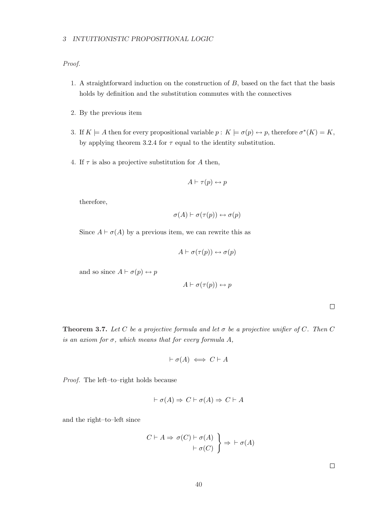Proof.

- 1. A straightforward induction on the construction of B, based on the fact that the basis holds by definition and the substitution commutes with the connectives
- 2. By the previous item
- 3. If  $K \models A$  then for every propositional variable  $p: K \models \sigma(p) \leftrightarrow p$ , therefore  $\sigma^*(K) = K$ , by applying theorem 3.2.4 for  $\tau$  equal to the identity substitution.
- 4. If  $\tau$  is also a projective substitution for A then,

$$
A \vdash \tau(p) \leftrightarrow p
$$

therefore,

$$
\sigma(A) \vdash \sigma(\tau(p)) \leftrightarrow \sigma(p)
$$

Since  $A \vdash \sigma(A)$  by a previous item, we can rewrite this as

$$
A \vdash \sigma(\tau(p)) \leftrightarrow \sigma(p)
$$

and so since  $A \vdash \sigma(p) \leftrightarrow p$ 

$$
A \vdash \sigma(\tau(p)) \leftrightarrow p
$$

 $\Box$ 

**Theorem 3.7.** Let C be a projective formula and let  $\sigma$  be a projective unifier of C. Then C is an axiom for  $\sigma$ , which means that for every formula A,

$$
\vdash \sigma(A) \iff C \vdash A
$$

Proof. The left–to–right holds because

$$
\vdash \sigma(A) \Rightarrow C \vdash \sigma(A) \Rightarrow C \vdash A
$$

and the right–to–left since

$$
C \vdash A \Rightarrow \sigma(C) \vdash \sigma(A) \ \Big\} \Rightarrow \vdash \sigma(A)
$$

$$
\vdash \sigma(C) \ \Big\} \Rightarrow \vdash \sigma(A)
$$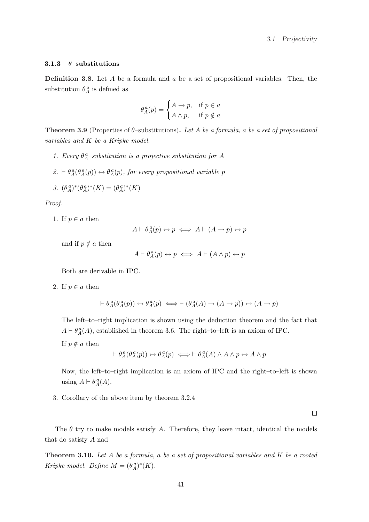## 3.1.3  $\theta$ -substitutions

**Definition 3.8.** Let  $A$  be a formula and  $a$  be a set of propositional variables. Then, the substitution  $\theta_A^a$  is defined as

$$
\theta_A^a(p) = \begin{cases} A \to p, & \text{if } p \in a \\ A \wedge p, & \text{if } p \notin a \end{cases}
$$

**Theorem 3.9** (Properties of  $\theta$ -substitutions). Let A be a formula, a be a set of propositional variables and K be a Kripke model.

- 1. Every  $\theta^a_A$ -substitution is a projective substitution for A
- $2. \vdash \theta_A^a(\theta_A^a(p)) \leftrightarrow \theta_A^a(p)$ , for every propositional variable p

$$
\mathcal{Z}^{\vphantom{A}}(\theta^{\,a}_A)^*(\theta^{\,a}_A)^*(K)=(\theta^{\,a}_A)^*(K)
$$

Proof.

1. If  $p \in a$  then

$$
A \vdash \theta_A^a(p) \leftrightarrow p \iff A \vdash (A \to p) \leftrightarrow p
$$

and if  $p \notin a$  then

$$
A \vdash \theta_A^a(p) \leftrightarrow p \iff A \vdash (A \land p) \leftrightarrow p
$$

Both are derivable in IPC.

2. If  $p \in a$  then

$$
\vdash \theta_A^a(\theta_A^a(p)) \leftrightarrow \theta_A^a(p) \iff \vdash (\theta_A^a(A) \rightarrow (A \rightarrow p)) \leftrightarrow (A \rightarrow p)
$$

The left–to–right implication is shown using the deduction theorem and the fact that  $A \vdash \theta_A^a(A)$ , established in theorem 3.6. The right–to–left is an axiom of IPC.

If  $p \notin a$  then

$$
\vdash \theta_A^a(\theta_A^a(p)) \leftrightarrow \theta_A^a(p) \iff \vdash \theta_A^a(A) \land A \land p \leftrightarrow A \land p
$$

Now, the left–to–right implication is an axiom of IPC and the right–to–left is shown using  $A \vdash \theta_A^a(A)$ .

3. Corollary of the above item by theorem 3.2.4

 $\Box$ 

The  $\theta$  try to make models satisfy A. Therefore, they leave intact, identical the models that do satisfy A nad

**Theorem 3.10.** Let  $A$  be a formula, a be a set of propositional variables and  $K$  be a rooted Kripke model. Define  $M = (\theta_A^a)^*(K)$ .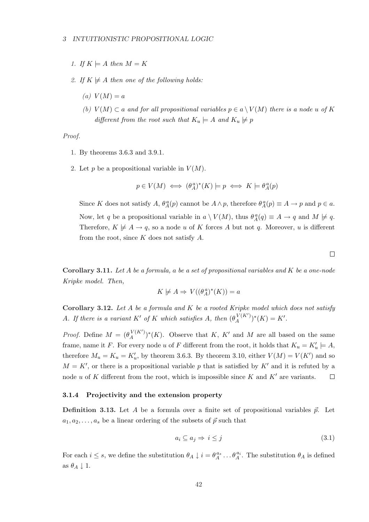#### 3 INTUITIONISTIC PROPOSITIONAL LOGIC

- 1. If  $K \models A$  then  $M = K$
- 2. If  $K \not\models A$  then one of the following holds:
	- $(a) V(M) = a$
	- (b)  $V(M) \subset a$  and for all propositional variables  $p \in a \setminus V(M)$  there is a node u of K different from the root such that  $K_u \models A$  and  $K_u \not\models p$

Proof.

- 1. By theorems 3.6.3 and 3.9.1.
- 2. Let p be a propositional variable in  $V(M)$ .

$$
p\in V(M) \iff (\theta^{\,a}_A)^*(K) \models p \iff K \models \theta^{\,a}_A(p)
$$

Since K does not satisfy A,  $\theta_A^a(p)$  cannot be  $A \wedge p$ , therefore  $\theta_A^a(p) \equiv A \rightarrow p$  and  $p \in a$ . Now, let q be a propositional variable in  $a \setminus V(M)$ , thus  $\theta_A^a(q) \equiv A \to q$  and  $M \not\models q$ . Therefore,  $K \not\models A \rightarrow q$ , so a node u of K forces A but not q. Moreover, u is different from the root, since  $K$  does not satisfy  $A$ .

Corollary 3.11. Let  $A$  be a formula, a be a set of propositional variables and  $K$  be a one-node Kripke model. Then,

$$
K \not\models A \Rightarrow V((\theta^a_A)^*(K)) = a
$$

Corollary 3.12. Let  $A$  be a formula and  $K$  be a rooted Kripke model which does not satisfy A. If there is a variant K' of K which satisfies A, then  $(\theta_A^{V(K)})$  $_{A}^{V(K')})^*(K) = K'.$ 

*Proof.* Define  $M = (\theta_A^{V(K)})$  $_{A}^{V(K')})^*(K)$ . Observe that K, K' and M are all based on the same frame, name it F. For every node u of F different from the root, it holds that  $K_u = K'_u \models A$ , therefore  $M_u = K_u = K'_u$ , by theorem 3.6.3. By theorem 3.10, either  $V(M) = V(K')$  and so  $M = K'$ , or there is a propositional variable p that is satisfied by K' and it is refuted by a node u of K different from the root, which is impossible since K and K' are variants.  $\Box$ 

#### 3.1.4 Projectivity and the extension property

**Definition 3.13.** Let A be a formula over a finite set of propositional variables  $\vec{p}$ . Let  $a_1, a_2, \ldots, a_s$  be a linear ordering of the subsets of  $\vec{p}$  such that

$$
a_i \subseteq a_j \Rightarrow i \le j \tag{3.1}
$$

For each  $i \leq s$ , we define the substitution  $\theta_A \downarrow i = \theta_A^{a_s} \dots \theta_A^{a_i}$ . The substitution  $\theta_A$  is defined as  $\theta_A \downarrow 1$ .

 $\Box$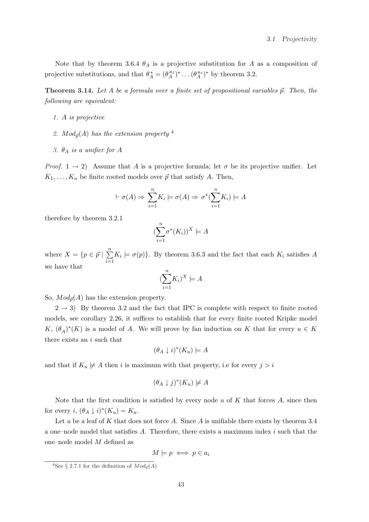Note that by theorem 3.6.4  $\theta_A$  is a projective substitution for A as a composition of projective substitutions, and that  $\theta_A^* = (\theta_A^{a_1})^* \dots (\theta_A^{a_s})^*$  by theorem 3.2.

**Theorem 3.14.** Let A be a formula over a finite set of propositional variables  $\vec{p}$ . Then, the following are equivalent:

- 1. A is projective
- 2.  $Mod_{\vec{p}}(A)$  has the extension property <sup>4</sup>
- 3.  $\theta_A$  is a unifier for A

*Proof.*  $1 \rightarrow 2$ ) Assume that A is a projective formula; let  $\sigma$  be its projective unifier. Let  $K_1, \ldots, K_n$  be finite rooted models over  $\vec{p}$  that satisfy A. Then,

$$
\vdash \sigma(A) \Rightarrow \sum_{i=1}^{n} K_i \models \sigma(A) \Rightarrow \sigma^*(\sum_{i=1}^{n} K_i) \models A
$$

therefore by theorem 3.2.1

$$
(\sum_{i=1}^n \sigma^*(K_i))^X \models A
$$

where  $X = \{p \in \vec{p} \mid$  $\frac{n}{2}$  $i=1$  $K_i \models \sigma(p)$ . By theorem 3.6.3 and the fact that each  $K_i$  satisfies A we have that

$$
(\sum_{i=1}^{n} K_i)^X \models A
$$

So,  $Mod_{\vec{p}}(A)$  has the extension property.

 $2 \rightarrow 3$ ) By theorem 3.2 and the fact that IPC is complete with respect to finite rooted models, see corollary 2.26, it suffices to establish that for every finite rooted Kripke model  $K, (\theta_A)^*(K)$  is a model of A. We will prove by fan induction on K that for every  $u \in K$ there exists an i such that

$$
(\theta_A \downarrow i)^*(K_u) \models A
$$

and that if  $K_u \not\models A$  then i is maximum with that property, i.e for every  $j > i$ 

$$
(\theta_A \downarrow j)^*(K_u) \not\models A
$$

Note that the first condition is satisfied by every node u of  $K$  that forces  $A$ , since then for every  $i, (\theta_A \downarrow i)^*(K_u) = K_u$ .

Let u be a leaf of K that does not force A. Since A is unifiable there exists by theorem 3.4 a one–node model that satisfies A. Therefore, there exists a maximum index  $i$  such that the one–node model M defined as

$$
M \models p \iff p \in a_i
$$

<sup>&</sup>lt;sup>4</sup>See § 2.7.1 for the definition of  $Mod_{\vec{p}}(A)$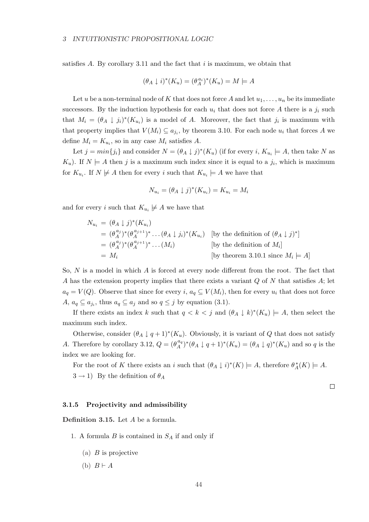satisfies A. By corollary 3.11 and the fact that  $i$  is maximum, we obtain that

$$
(\theta_A \downarrow i)^*(K_u) = (\theta_A^{a_i})^*(K_u) = M \models A
$$

Let u be a non-terminal node of K that does not force A and let  $u_1, \ldots, u_n$  be its immediate successors. By the induction hypothesis for each  $u_i$  that does not force A there is a  $j_i$  such that  $M_i = (\theta_A \downarrow j_i)^*(K_{u_i})$  is a model of A. Moreover, the fact that  $j_i$  is maximum with that property implies that  $V(M_i) \subseteq a_{j_i}$ , by theorem 3.10. For each node  $u_i$  that forces A we define  $M_i = K_{u_i}$ , so in any case  $M_i$  satisfies A.

Let  $j = min\{j_i\}$  and consider  $N = (\theta_A \downarrow j)^*(K_u)$  (if for every i,  $K_{u_i} \models A$ , then take N as  $K_u$ ). If  $N \models A$  then j is a maximum such index since it is equal to a  $j_i$ , which is maximum for  $K_{u_i}$ . If  $N \not\models A$  then for every i such that  $K_{u_i} \models A$  we have that

$$
N_{u_i} = (\theta_A \downarrow j)^*(K_{u_i}) = K_{u_i} = M_i
$$

and for every i such that  $K_{u_i} \neq A$  we have that

$$
N_{u_i} = (\theta_A \downarrow j)^*(K_{u_i})
$$
  
\n
$$
= (\theta_A^{a_j})^*(\theta_A^{a_{j+1}})^* \dots (\theta_A \downarrow j_i)^*(K_{u_i})
$$
 [by the definition of  $(\theta_A \downarrow j)^*$ ]  
\n
$$
= (\theta_A^{a_j})^*(\theta_A^{a_{j+1}})^* \dots (M_i)
$$
 [by the definition of  $M_i$ ]  
\n
$$
= M_i
$$
 [by theorem 3.10.1 since  $M_i \models A$ ]

So, N is a model in which A is forced at every node different from the root. The fact that A has the extension property implies that there exists a variant  $Q$  of  $N$  that satisfies  $A$ ; let  $a_q = V(Q)$ . Observe that since for every i,  $a_q \subseteq V(M_i)$ , then for every  $u_i$  that does not force  $A, a_q \subseteq a_{j_i}$ , thus  $a_q \subseteq a_j$  and so  $q \leq j$  by equation (3.1).

If there exists an index k such that  $q < k < j$  and  $(\theta_A \downarrow k)^*(K_u) \models A$ , then select the maximum such index.

Otherwise, consider  $(\theta_A \downarrow q+1)^*(K_u)$ . Obviously, it is variant of Q that does not satisfy A. Therefore by corollary 3.12,  $Q = (\theta_A^{a_q})$  $\binom{a_q}{A}^*(\theta_A \downarrow q+1)^*(K_u) = (\theta_A \downarrow q)^*(K_u)$  and so q is the index we are looking for.

For the root of K there exists an i such that  $(\theta_A \downarrow i)^*(K) \models A$ , therefore  $\theta_A^*(K) \models A$ .  $3 \rightarrow 1$ ) By the definition of  $\theta_A$ 

 $\Box$ 

#### 3.1.5 Projectivity and admissibility

Definition 3.15. Let A be a formula.

- 1. A formula  $B$  is contained in  $S_A$  if and only if
	- (a)  $B$  is projective
	- (b)  $B \vdash A$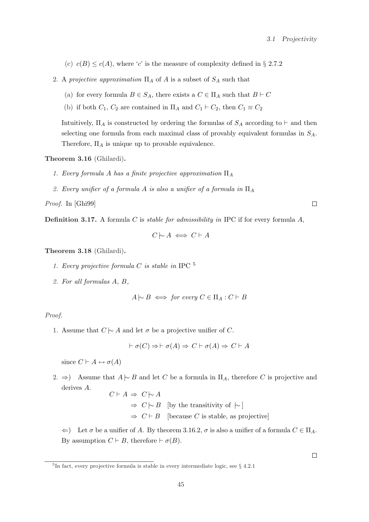$\Box$ 

 $\Box$ 

(c)  $c(B) \leq c(A)$ , where 'c' is the measure of complexity defined in § 2.7.2

- 2. A projective approximation  $\Pi_A$  of A is a subset of  $S_A$  such that
	- (a) for every formula  $B \in S_A$ , there exists a  $C \in \Pi_A$  such that  $B \vdash C$
	- (b) if both  $C_1$ ,  $C_2$  are contained in  $\Pi_A$  and  $C_1 \vdash C_2$ , then  $C_1 \equiv C_2$

Intuitively,  $\Pi_A$  is constructed by ordering the formulas of  $S_A$  according to  $\vdash$  and then selecting one formula from each maximal class of provably equivalent formulas in  $S_A$ . Therefore,  $\Pi_A$  is unique up to provable equivalence.

Theorem 3.16 (Ghilardi).

- 1. Every formula A has a finite projective approximation  $\Pi_A$
- 2. Every unifier of a formula A is also a unifier of a formula in  $\Pi_A$

Proof. In [Ghi99]

**Definition 3.17.** A formula C is *stable for admissibility in* IPC if for every formula  $A$ ,

$$
C \mid \sim A \iff C \vdash A
$$

Theorem 3.18 (Ghilardi).

- 1. Every projective formula C is stable in IPC  $^5$
- 2. For all formulas A, B,

$$
A \mid \sim B \iff \text{for every } C \in \Pi_A : C \vdash B
$$

Proof.

1. Assume that  $C \sim A$  and let  $\sigma$  be a projective unifier of C.

$$
\vdash \sigma(C) \Rightarrow \vdash \sigma(A) \Rightarrow C \vdash \sigma(A) \Rightarrow C \vdash A
$$

since  $C \vdash A \leftrightarrow \sigma(A)$ 

2. ⇒) Assume that  $A \sim B$  and let C be a formula in  $\Pi_A$ , therefore C is projective and derives A.

 $C \vdash A \Rightarrow C \rightarrow A$  $\Rightarrow C \sim B$  [by the transitivity of  $\sim$ ]  $\Rightarrow C \vdash B$  [because C is stable, as projective]

 $\Leftarrow$ ) Let  $\sigma$  be a unifier of A. By theorem 3.16.2,  $\sigma$  is also a unifier of a formula  $C \in \Pi_A$ . By assumption  $C \vdash B$ , therefore  $\vdash \sigma(B)$ .

<sup>5</sup> In fact, every projective formula is stable in every intermediate logic, see § 4.2.1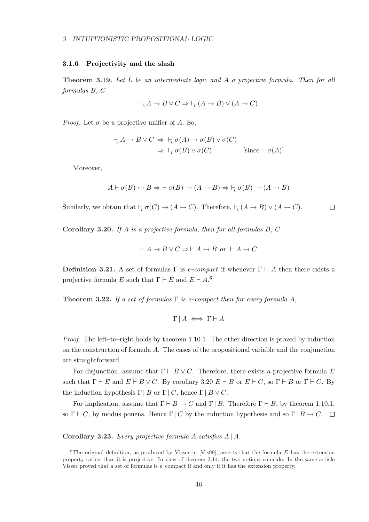#### 3.1.6 Projectivity and the slash

Theorem 3.19. Let L be an intermediate logic and A a projective formula. Then for all formulas B, C

$$
\vdash_{\!\!L} A \to B \lor C \Rightarrow \vdash_{\!\!L} (A \to B) \lor (A \to C)
$$

*Proof.* Let  $\sigma$  be a projective unifier of A. So,

$$
\vdash_L A \to B \lor C \implies \vdash_L \sigma(A) \to \sigma(B) \lor \sigma(C)
$$
  

$$
\Rightarrow \vdash_L \sigma(B) \lor \sigma(C) \qquad [\text{since } \vdash \sigma(A)]
$$

Moreover,

$$
A \vdash \sigma(B) \leftrightarrow B \Rightarrow \vdash \sigma(B) \to (A \to B) \Rightarrow \vdash_L \sigma(B) \to (A \to B)
$$

Similarly, we obtain that  $\vdash_L \sigma(C) \to (A \to C)$ . Therefore,  $\vdash_L (A \to B) \lor (A \to C)$ .  $\Box$ 

Corollary 3.20. If A is a projective formula, then for all formulas  $B, C$ 

$$
\vdash A \to B \lor C \Rightarrow \vdash A \to B \text{ or } \vdash A \to C
$$

**Definition 3.21.** A set of formulas  $\Gamma$  is *e-compact* if whenever  $\Gamma \vdash A$  then there exists a projective formula E such that  $\Gamma \vdash E$  and  $E \vdash A$ .<sup>6</sup>

**Theorem 3.22.** If a set of formulas  $\Gamma$  is e–compact then for every formula A,

$$
\Gamma \mid A \iff \Gamma \vdash A
$$

Proof. The left–to–right holds by theorem 1.10.1. The other direction is proved by induction on the construction of formula  $A$ . The cases of the propositional variable and the conjunction are straightforward.

For disjunction, assume that  $\Gamma \vdash B \lor C$ . Therefore, there exists a projective formula E such that  $\Gamma \vdash E$  and  $E \vdash B \vee C$ . By corollary 3.20  $E \vdash B$  or  $E \vdash C$ , so  $\Gamma \vdash B$  or  $\Gamma \vdash C$ . By the induction hypothesis  $\Gamma | B$  or  $\Gamma | C$ , hence  $\Gamma | B \vee C$ .

For implication, assume that  $\Gamma \vdash B \to C$  and  $\Gamma \mid B$ . Therefore  $\Gamma \vdash B$ , by theorem 1.10.1, so  $\Gamma \vdash C$ , by modus ponens. Hence  $\Gamma \mid C$  by the induction hypothesis and so  $\Gamma \mid B \to C$ .  $\Box$ 

Corollary 3.23. Every projective formula A satisfies  $A \mid A$ .

<sup>&</sup>lt;sup>6</sup>The original definition, as produced by Visser in [Vis99], asserts that the formula E has the extension property rather than it is projective. In view of theorem 3.14, the two notions coincide. In the same article Visser proved that a set of formulas is e–compact if and only if it has the extension property.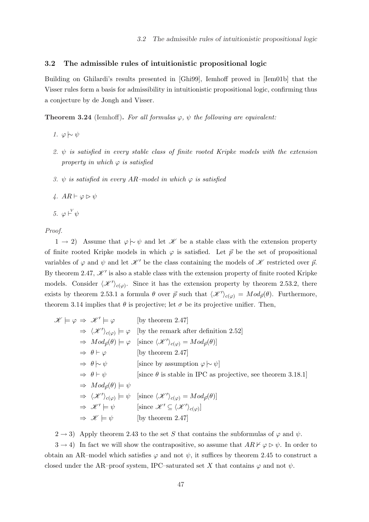## 3.2 The admissible rules of intuitionistic propositional logic

Building on Ghilardi's results presented in [Ghi99], Iemhoff proved in [Iem01b] that the Visser rules form a basis for admissibility in intuitionistic propositional logic, confirming thus a conjecture by de Jongh and Visser.

**Theorem 3.24** (Iemhoff). For all formulas  $\varphi$ ,  $\psi$  the following are equivalent:

- 1.  $\varphi \hspace{0.2em}\sim\hspace{-0.9em}\mid\hspace{0.58em} \psi$
- 2.  $\psi$  is satisfied in every stable class of finite rooted Kripke models with the extension property in which  $\varphi$  is satisfied
- 3.  $\psi$  is satisfied in every AR-model in which  $\varphi$  is satisfied
- 4.  $AR \vdash \varphi \triangleright \psi$

5. 
$$
\varphi \vdash^{V} \psi
$$

Proof.

1 → 2) Assume that  $\varphi \sim \psi$  and let X be a stable class with the extension property of finite rooted Kripke models in which  $\varphi$  is satisfied. Let  $\vec{p}$  be the set of propositional variables of  $\varphi$  and  $\psi$  and let  $\mathscr{K}'$  be the class containing the models of  $\mathscr{K}$  restricted over  $\vec{p}$ . By theorem 2.47,  $\mathcal{K}'$  is also a stable class with the extension property of finite rooted Kripke models. Consider  $\langle \mathcal{K}' \rangle_{c(\varphi)}$ . Since it has the extension property by theorem 2.53.2, there exists by theorem 2.53.1 a formula  $\theta$  over  $\vec{p}$  such that  $\langle \mathcal{K}' \rangle_{c(\varphi)} = Mod_{\vec{p}}(\theta)$ . Furthermore, theorem 3.14 implies that  $\theta$  is projective; let  $\sigma$  be its projective unifier. Then,

$$
\mathcal{K} \models \varphi \Rightarrow \mathcal{K}' \models \varphi \qquad \text{[by theorem 2.47]}
$$
\n
$$
\Rightarrow \langle \mathcal{K}' \rangle_{c(\varphi)} \models \varphi \qquad \text{[by the remark after definition 2.52]}
$$
\n
$$
\Rightarrow Mod_{\vec{p}}(\theta) \models \varphi \qquad \text{[since } \langle \mathcal{K}' \rangle_{c(\varphi)} = Mod_{\vec{p}}(\theta) \text{]}
$$
\n
$$
\Rightarrow \theta \vdash \varphi \qquad \text{[by theorem 2.47]}
$$
\n
$$
\Rightarrow \theta \vdash \psi \qquad \text{[since by assumption } \varphi \mid \neg \psi \text{]}
$$
\n
$$
\Rightarrow \theta \vdash \psi \qquad \text{[since } \theta \text{ is stable in IPC as projective, see theorem 3.18.1]}
$$
\n
$$
\Rightarrow Mod_{\vec{p}}(\theta) \models \psi \qquad \text{[since } \langle \mathcal{K}' \rangle_{c(\varphi)} = Mod_{\vec{p}}(\theta) \text{]}
$$
\n
$$
\Rightarrow \langle \mathcal{K}' \rangle_{c(\varphi)} \models \psi \qquad \text{[since } \langle \mathcal{K}' \rangle_{c(\varphi)} = Mod_{\vec{p}}(\theta) \text{]}
$$
\n
$$
\Rightarrow \mathcal{K}' \models \psi \qquad \text{[by theorem 2.47]}
$$

 $2 \rightarrow 3$ ) Apply theorem 2.43 to the set S that contains the subformulas of  $\varphi$  and  $\psi$ .

 $3 \rightarrow 4$ ) In fact we will show the contrapositive, so assume that  $AR \nvdash \varphi \triangleright \psi$ . In order to obtain an AR–model which satisfies  $\varphi$  and not  $\psi$ , it suffices by theorem 2.45 to construct a closed under the AR–proof system, IPC–saturated set X that contains  $\varphi$  and not  $\psi$ .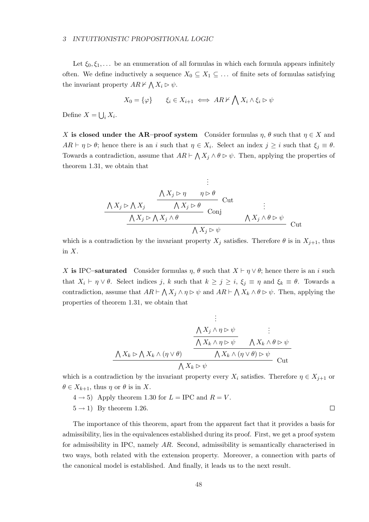#### 3 INTUITIONISTIC PROPOSITIONAL LOGIC

Let  $\xi_0, \xi_1, \ldots$  be an enumeration of all formulas in which each formula appears infinitely often. We define inductively a sequence  $X_0 \subseteq X_1 \subseteq \ldots$  of finite sets of formulas satisfying the invariant property  $AR \nvdash$  $\overline{a}$  $X_i \triangleright \psi.$ 

$$
X_0 = \{\varphi\} \qquad \xi_i \in X_{i+1} \iff AR \nvdash \bigwedge X_i \land \xi_i \rhd \psi
$$

Define  $X =$ S  $_i X_i$ .

X is closed under the AR–proof system Consider formulas  $\eta$ ,  $\theta$  such that  $\eta \in X$  and  $AR \vdash \eta \triangleright \theta$ ; hence there is an i such that  $\eta \in X_i$ . Select an index  $j \geq i$  such that  $\xi_j \equiv \theta$ . Towards a contradiction, assume that  $AR \vdash$  $\overline{ }$  $X_j \wedge \theta \triangleright \psi$ . Then, applying the properties of theorem 1.31, we obtain that

$$
\begin{array}{ccc}\n & \vdots & \\
 & \Delta X_j \rhd \eta & \eta \rhd \theta \\
\hline\n\Lambda X_j \rhd \Lambda X_j & \Delta X_j \rhd \theta & \text{Cut} \\
 & \Delta X_j \rhd \Lambda X_j \wedge \theta & \text{Conj} & \\
 & \Delta X_j \rhd \psi & \text{Cut}\n\end{array}
$$

which is a contradiction by the invariant property  $X_j$  satisfies. Therefore  $\theta$  is in  $X_{j+1}$ , thus in  $X$ .

X is IPC–saturated Consider formulas  $\eta$ ,  $\theta$  such that  $X \vdash \eta \lor \theta$ ; hence there is an i such that  $X_i \vdash \eta \lor \theta$ . Select indices j, k such that  $k \geq j \geq i$ ,  $\xi_j \equiv \eta$  and  $\xi_k \equiv \theta$ . Towards a contradiction, assume that  $AR \vdash \bigwedge X_j \land \eta \rhd \psi$  and  $AR \vdash \bigwedge X_k \land \theta \rhd \psi$ . Then, applying the properties of theorem 1.31, we obtain that

$$
\begin{array}{cc}\n\vdots \\
\mathcal{N} X_j \land \eta \triangleright \psi \\
\hline\n\mathcal{N} X_k \land (\eta \lor \theta) \\
\hline\n\mathcal{N} X_k \land (\eta \lor \theta)\n\end{array}\n\quad\n\begin{array}{cc}\n\vdots \\
\mathcal{N} X_k \land \eta \triangleright \psi \\
\hline\n\mathcal{N} X_k \land (\eta \lor \theta) \triangleright \psi \\
\hline\n\mathcal{N} X_k \land (\eta \lor \theta) \triangleright \psi \\
\hline\n\mathcal{N} X_k \triangleright \psi\n\end{array}\n\quad\n\text{Cut}
$$

which is a contradiction by the invariant property every  $X_i$  satisfies. Therefore  $\eta \in X_{i+1}$  or  $\theta \in X_{k+1}$ , thus  $\eta$  or  $\theta$  is in X.

 $(4 \rightarrow 5)$  Apply theorem 1.30 for  $L = \text{IPC}$  and  $R = V$ .

 $5 \rightarrow 1$ ) By theorem 1.26.

The importance of this theorem, apart from the apparent fact that it provides a basis for admissibility, lies in the equivalences established during its proof. First, we get a proof system for admissibility in IPC, namely AR. Second, admissibility is semantically characterised in two ways, both related with the extension property. Moreover, a connection with parts of the canonical model is established. And finally, it leads us to the next result.

 $\Box$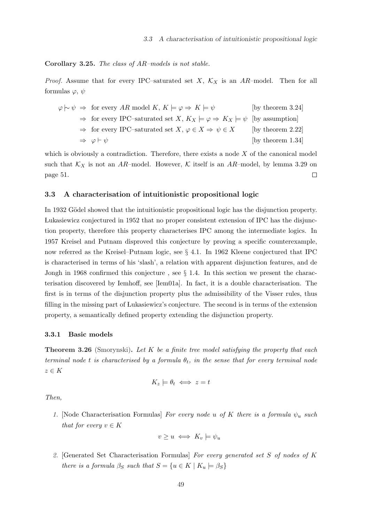#### Corollary 3.25. The class of AR–models is not stable.

*Proof.* Assume that for every IPC–saturated set X,  $\mathcal{K}_X$  is an AR–model. Then for all formulas  $\varphi, \psi$ 

| $\varphi \sim \psi \Rightarrow$ for every AR model K, $K \models \varphi \Rightarrow K \models \psi$            | [by theorem $3.24$ ] |
|-----------------------------------------------------------------------------------------------------------------|----------------------|
| $\Rightarrow$ for every IPC-saturated set X, $K_X \models \varphi \Rightarrow K_X \models \psi$ (by assumption) |                      |
| $\Rightarrow$ for every IPC-saturated set X, $\varphi \in X \Rightarrow \psi \in X$                             | [by theorem $2.22$ ] |
| $\Rightarrow \varphi \vdash \psi$                                                                               | [by theorem $1.34$ ] |

which is obviously a contradiction. Therefore, there exists a node  $X$  of the canonical model such that  $K_X$  is not an AR-model. However, K itself is an AR-model, by lemma 3.29 on  $\Box$ page 51.

#### 3.3 A characterisation of intuitionistic propositional logic

In 1932 Gödel showed that the intuitionistic propositional logic has the disjunction property. ÃLukasiewicz conjectured in 1952 that no proper consistent extension of IPC has the disjunction property, therefore this property characterises IPC among the intermediate logics. In 1957 Kreisel and Putnam disproved this conjecture by proving a specific counterexample, now referred as the Kreisel–Putnam logic, see § 4.1. In 1962 Kleene conjectured that IPC is characterised in terms of his 'slash', a relation with apparent disjunction features, and de Jongh in 1968 confirmed this conjecture , see § 1.4. In this section we present the characterisation discovered by Iemhoff, see [Iem01a]. In fact, it is a double characterisation. The first is in terms of the disjunction property plus the admissibility of the Visser rules, thus filling in the missing part of Lukasiewicz's conjecture. The second is in terms of the extension property, a semantically defined property extending the disjunction property.

#### 3.3.1 Basic models

**Theorem 3.26** (Smorynski). Let  $K$  be a finite tree model satisfying the property that each terminal node t is characterised by a formula  $\theta_t$ , in the sense that for every terminal node  $z \in K$ 

$$
K_z \models \theta_t \iff z = t
$$

Then,

1. [Node Characterisation Formulas] For every node u of K there is a formula  $\psi_u$  such that for every  $v \in K$ 

$$
v \ge u \iff K_v \models \psi_u
$$

2. [Generated Set Characterisation Formulas] For every generated set S of nodes of K there is a formula  $\beta_S$  such that  $S = \{u \in K \mid K_u \models \beta_S\}$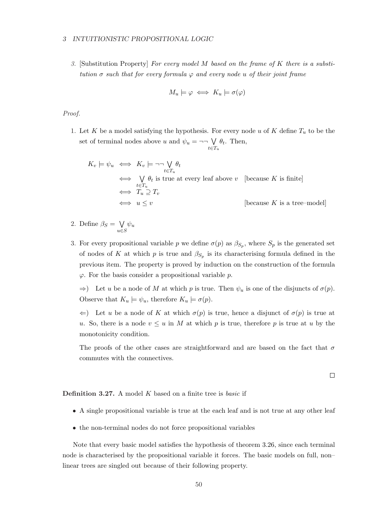#### 3 INTUITIONISTIC PROPOSITIONAL LOGIC

3. [Substitution Property] For every model  $M$  based on the frame of  $K$  there is a substitution  $\sigma$  such that for every formula  $\varphi$  and every node u of their joint frame

$$
M_u \models \varphi \iff K_u \models \sigma(\varphi)
$$

Proof.

1. Let K be a model satisfying the hypothesis. For every node u of K define  $T_u$  to be the set of terminal nodes above u and  $\psi_u = \neg\neg \bigvee$  $t \in T_u$  $\theta_t$ . Then,

$$
K_v \models \psi_u \iff K_v \models \neg \neg \bigvee_{t \in T_u} \theta_t
$$
  
\n
$$
\iff \bigvee_{t \in T_u} \theta_t \text{ is true at every leaf above } v \text{ [because } K \text{ is finite]}
$$
  
\n
$$
\iff T_u \supseteq T_v
$$
  
\n
$$
\iff u \leq v \text{ [because } K \text{ is a tree-model]}
$$

- 2. Define  $\beta_S =$  $\ddot{\phantom{0}}$ u∈S  $\psi_u$
- 3. For every propositional variable p we define  $\sigma(p)$  as  $\beta_{S_p}$ , where  $S_p$  is the generated set of nodes of K at which p is true and  $\beta_{S_p}$  is its characterising formula defined in the previous item. The property is proved by induction on the construction of the formula  $\varphi$ . For the basis consider a propositional variable p.

 $\Rightarrow$ ) Let u be a node of M at which p is true. Then  $\psi_u$  is one of the disjuncts of  $\sigma(p)$ . Observe that  $K_u \models \psi_u$ , therefore  $K_u \models \sigma(p)$ .

 $\Leftarrow$ ) Let u be a node of K at which  $\sigma(p)$  is true, hence a disjunct of  $\sigma(p)$  is true at u. So, there is a node  $v \leq u$  in M at which p is true, therefore p is true at u by the monotonicity condition.

The proofs of the other cases are straightforward and are based on the fact that  $\sigma$ commutes with the connectives.

 $\Box$ 

**Definition 3.27.** A model K based on a finite tree is *basic* if

- A single propositional variable is true at the each leaf and is not true at any other leaf
- the non-terminal nodes do not force propositional variables

Note that every basic model satisfies the hypothesis of theorem 3.26, since each terminal node is characterised by the propositional variable it forces. The basic models on full, non– linear trees are singled out because of their following property.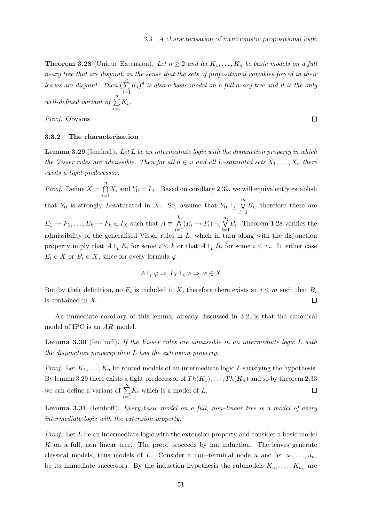$\Box$ 

**Theorem 3.28** (Unique Extension). Let  $n \geq 2$  and let  $K_1, \ldots, K_n$  be basic models on a full n-ary tree that are disjoint, in the sense that the sets of propositional variables forced in their leaves are disjoint. Then (  $\frac{n}{2}$  $i=1$  $(K_i)^\emptyset$  is also a basic model on a full n-ary tree and it is the only well-defined variant of  $\sum_{n=1}^n$  $i=1$  $K_i$ .

Proof. Obvious

#### 3.3.2 The characterisation

**Lemma 3.29** (Iemhoff). Let  $L$  be an intermediate logic with the disjunction property in which the Visser rules are admissible. Then for all  $n \in \omega$  and all L–saturated sets  $X_1, \ldots, X_n$  there exists a tight predecessor.

*Proof.* Define  $X =$  $\sum_{n=1}^{\infty}$  $i=1$  $X_i$  and  $Y_0 = I_X$ . Based on corollary 2.39, we will equivalently establish that  $Y_0$  is strongly L–saturated in X. So, assume that  $Y_0 \vdash_L$  $\overline{m}$  $i=1$  $B_i$ , therefore there are  $E_1 \to F_1, \ldots, E_k \to F_k \in I_X$  such that  $A \equiv$  $\frac{k}{\sqrt{2}}$  $\bigwedge_{i=1} (E_i \to F_i) \vdash_L$  $\mathfrak{m}$  $i=1$  $B_i$ . Theorem 1.28 verifies the admissibility of the generalised Visser rules in L, which in turn along with the disjunction property imply that  $A \vdash_L E_i$  for some  $i \leq k$  or that  $A \vdash_L B_i$  for some  $i \leq m$ . In either case  $E_i \in X$  or  $B_i \in X$ , since for every formula  $\varphi$ 

$$
A \vdash_L \varphi \Rightarrow I_X \vdash_L \varphi \Rightarrow \varphi \in X
$$

But by their definition, no  $E_i$  is included in X, therefore there exists an  $i \leq m$  such that  $B_i$ is contained in X.  $\Box$ 

An immediate corollary of this lemma, already discussed in 3.2, is that the canonical model of IPC is an AR–model.

Lemma 3.30 (Iemhoff). If the Visser rules are admissible in an intermediate logic L with the disjunction property then L has the extension property.

*Proof.* Let  $K_1, \ldots, K_n$  be rooted models of an intermediate logic L satisfying the hypothesis. By lemma 3.29 there exists a tight predecessor of  $Th(K_1), \ldots, Th(K_n)$  and so by theorem 2.33 we can define a variant of  $\sum_{n=1}^{\infty}$  $\Box$  $K_i$  which is a model of  $L$ .  $i=1$ 

Lemma 3.31 (Iemhoff). Every basic model on a full, non-linear tree is a model of every intermediate logic with the extension property.

*Proof.* Let  $L$  be an intermediate logic with the extension property and consider a basic model K on a full, non–linear tree. The proof proceeds by fan induction. The leaves generate classical models, thus models of L. Consider a non–terminal node u and let  $u_1, \ldots, u_n$ , be its immediate successors. By the induction hypothesis the submodels  $K_{u_1}, \ldots, K_{u_n}$  are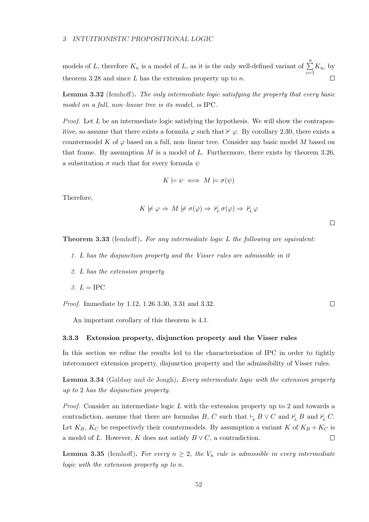models of L, therefore  $K_u$  is a model of L, as it is the only well-defined variant of  $\sum_{n=1}^{n}$  $\sum_{i=1} K_{u_i}$  by theorem 3.28 and since  $L$  has the extension property up to  $n$ .

Lemma 3.32 (Iemhoff). The only intermediate logic satisfying the property that every basic model on a full, non–linear tree is its model, is IPC.

*Proof.* Let  $L$  be an intermediate logic satisfying the hypothesis. We will show the contrapositive, so assume that there exists a formula  $\varphi$  such that  $\nvdash \varphi$ . By corollary 2.30, there exists a countermodel K of  $\varphi$  based on a full, non–linear tree. Consider any basic model M based on that frame. By assumption  $M$  is a model of  $L$ . Furthermore, there exists by theorem 3.26, a substitution  $\sigma$  such that for every formula  $\psi$ 

$$
K \models \psi \iff M \models \sigma(\psi)
$$

Therefore,

$$
K \not\models \varphi \Rightarrow M \not\models \sigma(\varphi) \Rightarrow \nvdash_L \sigma(\varphi) \Rightarrow \nvdash_L \varphi
$$

 $\Box$ 

**Theorem 3.33** (Iemhoff). For any intermediate logic  $L$  the following are equivalent:

- 1. L has the disjunction property and the Visser rules are admissible in it
- 2. L has the extension property
- 3.  $L = \text{IPC}$

Proof. Immediate by 1.12, 1.26 3.30, 3.31 and 3.32.

An important corollary of this theorem is 4.1.

## 3.3.3 Extension property, disjunction property and the Visser rules

In this section we refine the results led to the characterisation of IPC in order to tightly interconnect extension property, disjunction property and the admissibility of Visser rules.

Lemma 3.34 (Gabbay and de Jongh). Every intermediate logic with the extension property up to 2 has the disjunction property.

*Proof.* Consider an intermediate logic  $L$  with the extension property up to 2 and towards a contradiction, assume that there are formulas B, C such that  $\vdash_L B \vee C$  and  $\nvdash_L B$  and  $\nvdash_L C$ . Let  $K_B$ ,  $K_C$  be respectively their countermodels. By assumption a variant K of  $K_B + K_C$  is a model of L. However, K does not satisfy  $B \vee C$ , a contradiction.  $\Box$ 

**Lemma 3.35** (Iemhoff). For every  $n \geq 2$ , the  $V_n$  rule is admissible in every intermediate logic with the extension property up to n.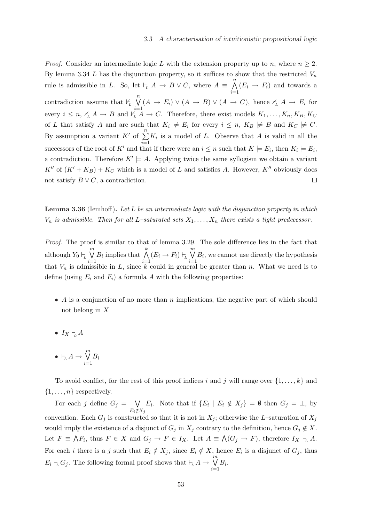*Proof.* Consider an intermediate logic L with the extension property up to n, where  $n \geq 2$ . By lemma 3.34 L has the disjunction property, so it suffices to show that the restricted  $V_n$  $\frac{n}{\sqrt{2}}$ rule is admissible in L. So, let  $\vdash_L A \to B \lor C$ , where  $A \equiv$  $(E_i \rightarrow F_i)$  and towards a  $i=1$  $\binom{n}{k}$ contradiction assume that  $\mathcal{V}_L$  $(A \to E_i) \vee (A \to B) \vee (A \to C)$ , hence  $\nvdash_L A \to E_i$  for every  $i \leq n$ ,  $\frac{1}{L}A \rightarrow B$  and  $\frac{i-1}{L}A \rightarrow C$ . Therefore, there exist models  $K_1, \ldots, K_n, K_B, K_C$ of L that satisfy A and are such that  $K_i \not\models E_i$  for every  $i \leq n$ ,  $K_B \not\models B$  and  $K_C \not\models C$ . By assumption a variant  $K'$  of  $\sum_{n=1}^n$  $K_i$  is a model of L. Observe that A is valid in all the  $i=1$ successors of the root of K' and that if there were an  $i \leq n$  such that  $K \models E_i$ , then  $K_i \models E_i$ , a contradiction. Therefore  $K' \models A$ . Applying twice the same syllogism we obtain a variant  $K''$  of  $(K' + K_B) + K_C$  which is a model of L and satisfies A. However,  $K''$  obviously does not satisfy  $B \vee C$ , a contradiction.  $\Box$ 

Lemma 3.36 (Iemhoff). Let L be an intermediate logic with the disjunction property in which  $V_n$  is admissible. Then for all L-saturated sets  $X_1, \ldots, X_n$  there exists a tight predecessor.

Proof. The proof is similar to that of lemma 3.29. The sole difference lies in the fact that although  $Y_0 \vdash_L$  $\mathfrak{m}$  $i=1$  $B_i$  implies that  $\bigwedge^k$  $\bigwedge_{i=1} (E_i \to F_i) \vdash_L$  $\mathfrak{m}$  $i=1$  $B_i$ , we cannot use directly the hypothesis that  $V_n$  is admissible in L, since k could in general be greater than n. What we need is to define (using  $E_i$  and  $F_i$ ) a formula A with the following properties:

- A is a conjunction of no more than n implications, the negative part of which should not belong in X
- $I_X \vdash_t A$
- $\bullet\,\vdash_{\!\! L} A \to$  $\overline{m}$  $i=1$  $B_i$

To avoid conflict, for the rest of this proof indices i and j will range over  $\{1, \ldots, k\}$  and  $\{1, \ldots, n\}$  respectively.

For each j define  $G_j =$  $\ddot{\phantom{0}}$  $E_i \notin X_j$  $E_i$ . Note that if  $\{E_i \mid E_i \notin X_j\} = \emptyset$  then  $G_j = \bot$ , by convention. Each  $G_j$  is constructed so that it is not in  $X_j$ ; otherwise the L–saturation of  $X_j$ would imply the existence of a disjunct of  $G_j$  in  $X_j$  contrary to the definition, hence  $G_j \notin X$ . Let  $F \equiv$  $\tilde{\ }$  $F_i$ , thus  $F \in X$  and  $G_j \to F \in I_X$ . Let  $A \equiv$  $\ddot{\phantom{1}}$  $(G_j \to F)$ , therefore  $I_X \vdash_L A$ . For each *i* there is a j such that  $E_i \notin X_j$ , since  $E_i \notin X$ , hence  $E_i$  is a disjunct of  $G_j$ , thus  $E_i \vdash_L G_j$ . The following formal proof shows that  $\vdash_L A \to$  $\frac{m}{\cdot}$  $i=1$  $B_i$ .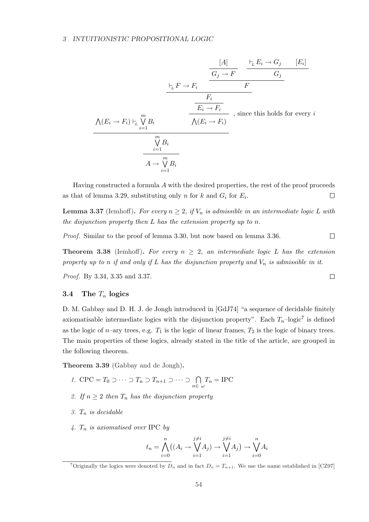## 3 INTUITIONISTIC PROPOSITIONAL LOGIC

V (E<sup>i</sup> → Fi) `<sup>L</sup> Wm i=1 Bi `<sup>L</sup> F → F<sup>i</sup> [A] G<sup>j</sup> → F `<sup>L</sup> E<sup>i</sup> → G<sup>j</sup> [E<sup>i</sup> ] G<sup>j</sup> F Fi E<sup>i</sup> → F<sup>i</sup> , since this holds for every i V (E<sup>i</sup> → Fi) Wm i=1 Bi A → Wm i=1 Bi

Having constructed a formula  $A$  with the desired properties, the rest of the proof proceeds as that of lemma 3.29, substituting only n for k and  $G_i$  for  $E_i$ .  $\Box$ 

**Lemma 3.37** (Iemhoff). For every  $n \geq 2$ , if  $V_n$  is admissible in an intermediate logic L with the disjunction property then L has the extension property up to n.

 $\begin{array}{ccc} \hline \end{array}$ Proof. Similar to the proof of lemma 3.30, but now based on lemma 3.36.

**Theorem 3.38** (Iemhoff). For every  $n \geq 2$ , an intermediate logic L has the extension property up to n if and only if L has the disjunction property and  $V_n$  is admissible in it.

 $\Box$ 

Proof. By 3.34, 3.35 and 3.37.

## 3.4 The  $T_n$  logics

D. M. Gabbay and D. H. J. de Jongh introduced in [GdJ74] "a sequence of decidable finitely axiomatisable intermediate logics with the disjunction property". Each  $T_n$ -logic<sup>7</sup> is defined as the logic of n–ary trees, e.g.  $T_1$  is the logic of linear frames,  $T_2$  is the logic of binary trees. The main properties of these logics, already stated in the title of the article, are grouped in the following theorem.

Theorem 3.39 (Gabbay and de Jongh).

- 1. CPC =  $T_0 \supset \cdots \supset T_n \supset T_{n+1} \supset \cdots \supset \bigcap_{n \in \omega} T_n = \text{IPC}$
- 2. If  $n \geq 2$  then  $T_n$  has the disjunction property
- 3.  $T_n$  is decidable
- 4.  $T_n$  is axiomatised over IPC by

$$
t_n = \bigwedge_{i=0}^n ((A_i \to \bigvee_{i=1}^{j\neq i} A_j) \to \bigvee_{i=1}^{j\neq i} A_j) \to \bigvee_{i=0}^n A_i
$$

<sup>&</sup>lt;sup>7</sup>Originally the logics were denoted by  $D_n$  and in fact  $D_n = T_{n+1}$ . We use the name established in [CZ97]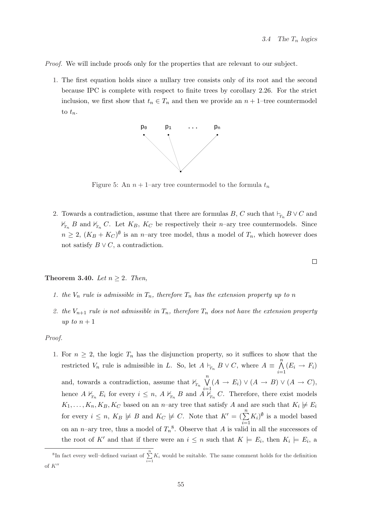Proof. We will include proofs only for the properties that are relevant to our subject.

1. The first equation holds since a nullary tree consists only of its root and the second because IPC is complete with respect to finite trees by corollary 2.26. For the strict inclusion, we first show that  $t_n \in T_n$  and then we provide an  $n + 1$ –tree countermodel to  $t_n$ .



Figure 5: An  $n + 1$ –ary tree countermodel to the formula  $t_n$ 

2. Towards a contradiction, assume that there are formulas B, C such that  $\vdash_{T_n} B \vee C$  and  $\not\vdash_{T_n} B$  and  $\not\vdash_{T_n} C$ . Let  $K_B$ ,  $K_C$  be respectively their *n*-ary tree countermodels. Since  $n \geq 2$ ,  $(K_B + K_C)^{\emptyset}$  is an *n*-ary tree model, thus a model of  $T_n$ , which however does not satisfy  $B \vee C$ , a contradiction.

Theorem 3.40. Let  $n \geq 2$ . Then,

- 1. the  $V_n$  rule is admissible in  $T_n$ , therefore  $T_n$  has the extension property up to n
- 2. the  $V_{n+1}$  rule is not admissible in  $T_n$ , therefore  $T_n$  does not have the extension property up to  $n+1$

## Proof.

1. For  $n \geq 2$ , the logic  $T_n$  has the disjunction property, so it suffices to show that the restricted  $V_n$  rule is admissible in L. So, let  $A \vdash_{T_n} B \vee C$ , where  $A \equiv$  $\frac{n}{\cdot}$  $i=1$  $(E_i \rightarrow F_i)$ and, towards a contradiction, assume that  $\nvdash T_n$  $\binom{n}{k}$  $i=1$  $(A \rightarrow E_i) \vee (A \rightarrow B) \vee (A \rightarrow C),$ hence  $A \nvDash_{T_n} E_i$  for every  $i \leq n$ ,  $A \nvDash_{T_n} B$  and  $A \nvDash_{T_n} C$ . Therefore, there exist models  $K_1, \ldots, K_n, K_B, K_C$  based on an n-ary tree that satisfy A and are such that  $K_i \not\models E_i$ for every  $i \leq n$ ,  $K_B \not\models B$  and  $K_C \not\models C$ . Note that  $K' = (\sum^n_A)^n$  $i=1$  $(K_i)^{\emptyset}$  is a model based on an *n*–ary tree, thus a model of  $T_n^8$ . Observe that A is valid in all the successors of the root of K' and that if there were an  $i \leq n$  such that  $K \models E_i$ , then  $K_i \models E_i$ , a

 $\Box$ 

<sup>&</sup>lt;sup>8</sup>In fact every well-defined variant of  $\sum_{i=1}^{n} K_i$  would be suitable. The same comment holds for the definition of  $K''$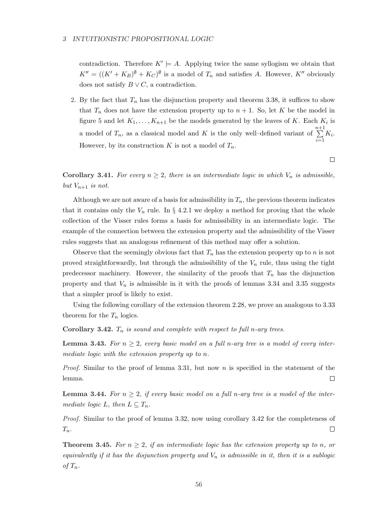#### 3 INTUITIONISTIC PROPOSITIONAL LOGIC

contradiction. Therefore  $K' \models A$ . Applying twice the same syllogism we obtain that  $K'' = ((K' + K_B)^{\emptyset} + K_C)^{\emptyset}$  is a model of  $T_n$  and satisfies A. However,  $K''$  obviously does not satisfy  $B \vee C$ , a contradiction.

2. By the fact that  $T_n$  has the disjunction property and theorem 3.38, it suffices to show that  $T_n$  does not have the extension property up to  $n + 1$ . So, let K be the model in figure 5 and let  $K_1, \ldots, K_{n+1}$  be the models generated by the leaves of K. Each  $K_i$  is a model of  $T_n$ , as a classical model and K is the only well-defined variant of  $n+1$  $i=1$  $K_i$ . However, by its construction K is not a model of  $T_n$ .

 $\Box$ 

Corollary 3.41. For every  $n \geq 2$ , there is an intermediate logic in which  $V_n$  is admissible, but  $V_{n+1}$  is not.

Although we are not aware of a basis for admissibility in  $T_n$ , the previous theorem indicates that it contains only the  $V_n$  rule. In § 4.2.1 we deploy a method for proving that the whole collection of the Visser rules forms a basis for admissibility in an intermediate logic. The example of the connection between the extension property and the admissibility of the Visser rules suggests that an analogous refinement of this method may offer a solution.

Observe that the seemingly obvious fact that  $T_n$  has the extension property up to n is not proved straightforwardly, but through the admissibility of the  $V_n$  rule, thus using the tight predecessor machinery. However, the similarity of the proofs that  $T_n$  has the disjunction property and that  $V_n$  is admissible in it with the proofs of lemmas 3.34 and 3.35 suggests that a simpler proof is likely to exist.

Using the following corollary of the extension theorem 2.28, we prove an analogous to 3.33 theorem for the  $T_n$  logics.

Corollary 3.42.  $T_n$  is sound and complete with respect to full n-ary trees.

**Lemma 3.43.** For  $n > 2$ , every basic model on a full n-ary tree is a model of every intermediate logic with the extension property up to n.

*Proof.* Similar to the proof of lemma 3.31, but now n is specified in the statement of the  $\Box$ lemma.

**Lemma 3.44.** For  $n \geq 2$ , if every basic model on a full n-ary tree is a model of the intermediate logic L, then  $L \subseteq T_n$ .

Proof. Similar to the proof of lemma 3.32, now using corollary 3.42 for the completeness of  $T_n$ .  $\overline{\phantom{a}}$ 

**Theorem 3.45.** For  $n \geq 2$ , if an intermediate logic has the extension property up to n, or equivalently if it has the disjunction property and  $V_n$  is admissible in it, then it is a sublogic of  $T_n$ .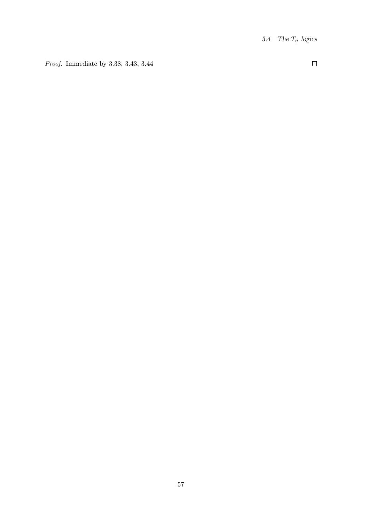Proof. Immediate by 3.38, 3.43, 3.44

 $\Box$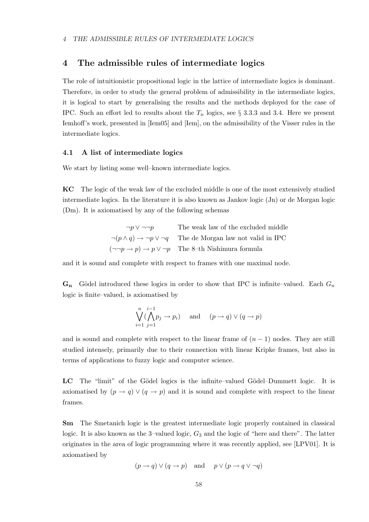# 4 The admissible rules of intermediate logics

The role of intuitionistic propositional logic in the lattice of intermediate logics is dominant. Therefore, in order to study the general problem of admissibility in the intermediate logics, it is logical to start by generalising the results and the methods deployed for the case of IPC. Such an effort led to results about the  $T_n$  logics, see § 3.3.3 and 3.4. Here we present Iemhoff's work, presented in [Iem05] and [Iem], on the admissibility of the Visser rules in the intermediate logics.

## 4.1 A list of intermediate logics

We start by listing some well–known intermediate logics.

KC The logic of the weak law of the excluded middle is one of the most extensively studied intermediate logics. In the literature it is also known as Jankov logic (Jn) or de Morgan logic (Dm). It is axiomatised by any of the following schemas

| $\neg p \vee \neg \neg p$ | The weak law of the excluded middle                                                 |
|---------------------------|-------------------------------------------------------------------------------------|
|                           | $\neg(p \land q) \rightarrow \neg p \lor \neg q$ The de Morgan law not valid in IPC |
|                           | $(\neg\neg p \rightarrow p) \rightarrow p \lor \neg p$ The 8-th Nishimura formula   |

and it is sound and complete with respect to frames with one maximal node.

 $\mathbf{G}_{\mathbf{n}}$  Gödel introduced these logics in order to show that IPC is infinite–valued. Each  $G_n$ logic is finite–valued, is axiomatised by

$$
\bigvee_{i=1}^{n} (\bigwedge_{j=1}^{i-1} p_j \to p_i) \quad \text{and} \quad (p \to q) \vee (q \to p)
$$

and is sound and complete with respect to the linear frame of  $(n - 1)$  nodes. They are still studied intensely, primarily due to their connection with linear Kripke frames, but also in terms of applications to fuzzy logic and computer science.

LC The "limit" of the Gödel logics is the infinite–valued Gödel–Dummett logic. It is axiomatised by  $(p \to q) \vee (q \to p)$  and it is sound and complete with respect to the linear frames.

Sm The Smetanich logic is the greatest intermediate logic properly contained in classical logic. It is also known as the 3–valued logic,  $G_3$  and the logic of "here and there". The latter originates in the area of logic programming where it was recently applied, see [LPV01]. It is axiomatised by

 $(p \to q) \vee (q \to p)$  and  $p \vee (p \to q \vee \neg q)$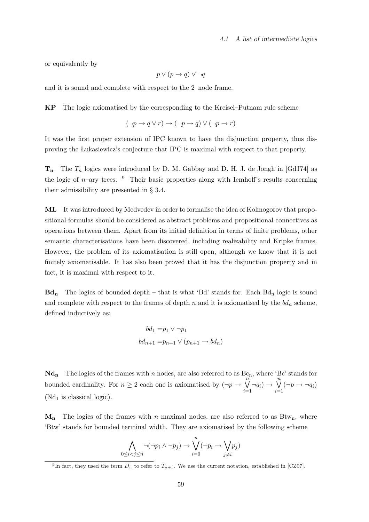or equivalently by

$$
p \lor (p \to q) \lor \neg q
$$

and it is sound and complete with respect to the 2–node frame.

KP The logic axiomatised by the corresponding to the Kreisel–Putnam rule scheme

$$
(\neg p \to q \lor r) \to (\neg p \to q) \lor (\neg p \to r)
$$

It was the first proper extension of IPC known to have the disjunction property, thus disproving the ÃLukasiewicz's conjecture that IPC is maximal with respect to that property.

 $T_n$  The  $T_n$  logics were introduced by D. M. Gabbay and D. H. J. de Jongh in [GdJ74] as the logic of n–ary trees. <sup>9</sup> Their basic properties along with Iemhoff's results concerning their admissibility are presented in § 3.4.

ML It was introduced by Medvedev in order to formalise the idea of Kolmogorov that propositional formulas should be considered as abstract problems and propositional connectives as operations between them. Apart from its initial definition in terms of finite problems, other semantic characterisations have been discovered, including realizability and Kripke frames. However, the problem of its axiomatisation is still open, although we know that it is not finitely axiomatisable. It has also been proved that it has the disjunction property and in fact, it is maximal with respect to it.

 $Bd_n$  The logics of bounded depth – that is what 'Bd' stands for. Each  $Bd_n$  logic is sound and complete with respect to the frames of depth n and it is axiomatised by the  $bd_n$  scheme, defined inductively as:

$$
bd_1 = p_1 \vee \neg p_1
$$

$$
bd_{n+1} = p_{n+1} \vee (p_{n+1} \to bd_n)
$$

 $Nd_n$  The logics of the frames with n nodes, are also referred to as  $Bc_n$ , where 'Bc' stands for bounded cardinality. For  $n \geq 2$  each one is axiomatised by  $(\neg p \rightarrow$  $\binom{n}{k}$  $i=1$  $\neg q_i) \rightarrow$  $\overline{\mathfrak{n}}$  $i=1$  $(\neg p \rightarrow \neg q_i)$  $(Nd_1$  is classical logic).

 $M_n$  The logics of the frames with n maximal nodes, are also referred to as Btw<sub>n</sub>, where 'Btw' stands for bounded terminal width. They are axiomatised by the following scheme

$$
\bigwedge_{0 \le i < j \le n} \neg(\neg p_i \land \neg p_j) \to \bigvee_{i=0}^n (\neg p_i \to \bigvee_{j \ne i} p_j)
$$

<sup>&</sup>lt;sup>9</sup>In fact, they used the term  $D_n$  to refer to  $T_{n+1}$ . We use the current notation, established in [CZ97].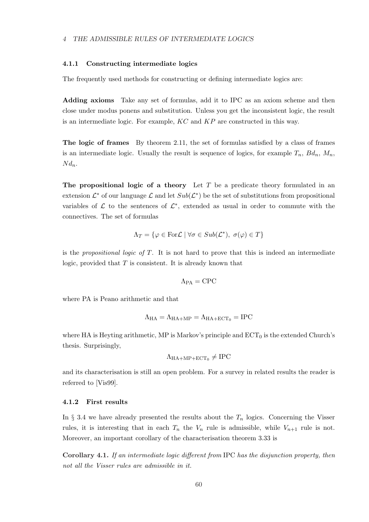## 4 THE ADMISSIBLE RULES OF INTERMEDIATE LOGICS

## 4.1.1 Constructing intermediate logics

The frequently used methods for constructing or defining intermediate logics are:

Adding axioms Take any set of formulas, add it to IPC as an axiom scheme and then close under modus ponens and substitution. Unless you get the inconsistent logic, the result is an intermediate logic. For example,  $KC$  and  $KP$  are constructed in this way.

The logic of frames By theorem 2.11, the set of formulas satisfied by a class of frames is an intermediate logic. Usually the result is sequence of logics, for example  $T_n$ ,  $Bd_n$ ,  $M_n$ ,  $Nd_n$ .

The propositional logic of a theory Let  $T$  be a predicate theory formulated in an extension  $\mathcal{L}^*$  of our language  $\mathcal{L}$  and let  $Sub(\mathcal{L}^*)$  be the set of substitutions from propositional variables of  $\mathcal L$  to the sentences of  $\mathcal L^*$ , extended as usual in order to commute with the connectives. The set of formulas

$$
\Lambda_T = \{ \varphi \in \text{For } \mathcal{L} \mid \forall \sigma \in Sub(\mathcal{L}^*), \ \sigma(\varphi) \in T \}
$$

is the propositional logic of  $T$ . It is not hard to prove that this is indeed an intermediate logic, provided that  $T$  is consistent. It is already known that

$$
\Lambda_{\text{PA}} = \text{CPC}
$$

where PA is Peano arithmetic and that

$$
\Lambda_{\text{HA}} = \Lambda_{\text{HA} + \text{MP}} = \Lambda_{\text{HA} + \text{ECT}_0} = \text{IPC}
$$

where HA is Heyting arithmetic, MP is Markov's principle and  $ECT_0$  is the extended Church's thesis. Surprisingly,

$$
\Lambda_{\rm HA+MP+ECT_0} \neq \text{IPC}
$$

and its characterisation is still an open problem. For a survey in related results the reader is referred to [Vis99].

#### 4.1.2 First results

In  $\S$  3.4 we have already presented the results about the  $T_n$  logics. Concerning the Visser rules, it is interesting that in each  $T_n$  the  $V_n$  rule is admissible, while  $V_{n+1}$  rule is not. Moreover, an important corollary of the characterisation theorem 3.33 is

Corollary 4.1. If an intermediate logic different from IPC has the disjunction property, then not all the Visser rules are admissible in it.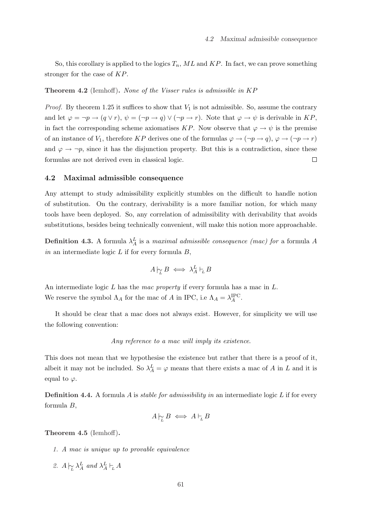So, this corollary is applied to the logics  $T_n$ , ML and KP. In fact, we can prove something stronger for the case of KP.

## Theorem 4.2 (Iemhoff). None of the Visser rules is admissible in KP

*Proof.* By theorem 1.25 it suffices to show that  $V_1$  is not admissible. So, assume the contrary and let  $\varphi = \neg p \rightarrow (q \lor r), \psi = (\neg p \rightarrow q) \lor (\neg p \rightarrow r)$ . Note that  $\varphi \rightarrow \psi$  is derivable in KP, in fact the corresponding scheme axiomatises KP. Now observe that  $\varphi \to \psi$  is the premise of an instance of  $V_1$ , therefore KP derives one of the formulas  $\varphi \to (\neg p \to q)$ ,  $\varphi \to (\neg p \to r)$ and  $\varphi \to \neg p$ , since it has the disjunction property. But this is a contradiction, since these formulas are not derived even in classical logic.  $\Box$ 

## 4.2 Maximal admissible consequence

Any attempt to study admissibility explicitly stumbles on the difficult to handle notion of substitution. On the contrary, derivability is a more familiar notion, for which many tools have been deployed. So, any correlation of admissibility with derivability that avoids substitutions, besides being technically convenient, will make this notion more approachable.

**Definition 4.3.** A formula  $\lambda_A^L$  is a maximal admissible consequence (mac) for a formula A in an intermediate logic  $L$  if for every formula  $B$ ,

$$
A\mathop{\sim}\limits_L B \iff \lambda^L_A\mathop{\vdash}\limits_L B
$$

An intermediate logic L has the mac property if every formula has a mac in L. We reserve the symbol  $\Lambda_A$  for the mac of A in IPC, i.e  $\Lambda_A = \lambda_A^{\text{IPC}}$ .

It should be clear that a mac does not always exist. However, for simplicity we will use the following convention:

#### Any reference to a mac will imply its existence.

This does not mean that we hypothesise the existence but rather that there is a proof of it, albeit it may not be included. So  $\lambda_A^L = \varphi$  means that there exists a mac of A in L and it is equal to  $\varphi$ .

**Definition 4.4.** A formula A is *stable for admissibility in* an intermediate logic L if for every formula B,

$$
A\vert_{\widetilde{L}}B \iff A\vert_{L}B
$$

Theorem 4.5 (Iemhoff).

- 1. A mac is unique up to provable equivalence
- 2.  $A \models_{\mathcal{L}} \lambda^L_A$  and  $\lambda^L_A \models_L A$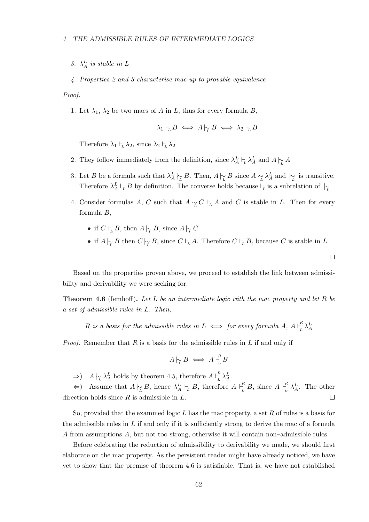3.  $\lambda_A^L$  is stable in L

4. Properties 2 and 3 characterise mac up to provable equivalence

Proof.

1. Let  $\lambda_1$ ,  $\lambda_2$  be two macs of A in L, thus for every formula B,

$$
\lambda_1 \vdash_L B \iff A \biguparrow_L B \iff \lambda_2 \vdash_L B
$$

Therefore  $\lambda_1 \vdash_L \lambda_2$ , since  $\lambda_2 \vdash_L \lambda_2$ 

- 2. They follow immediately from the definition, since  $\lambda_A^L \vdash_L \lambda_A^L$  and  $A \underset{L}{\triangleright} A$
- 3. Let B be a formula such that  $\lambda_A^L \sim_{\mathcal{L}} B$ . Then,  $A \sim_{\mathcal{L}} B$  since  $A \sim_{\mathcal{L}} \lambda_A^L$  and  $\sim_{\mathcal{L}}$  is transitive. Therefore  $\lambda_A^L \vdash_L B$  by definition. The converse holds because  $\vdash_L$  is a subrelation of  $\vdash_L$
- 4. Consider formulas A, C such that  $A \nvert L^C \vdash_L A$  and C is stable in L. Then for every formula B,
	- if  $C \vdash_L B$ , then  $A \not\vdash_L B$ , since  $A \not\vdash_L C$
	- if  $A \rvert_{\widetilde{L}} B$  then  $C \rvert_{\widetilde{L}} B$ , since  $C \rvert_{\widetilde{L}} A$ . Therefore  $C \rvert_{\widetilde{L}} B$ , because  $C$  is stable in  $L$

 $\Box$ 

Based on the properties proven above, we proceed to establish the link between admissibility and derivability we were seeking for.

**Theorem 4.6** (Iemhoff). Let L be an intermediate logic with the mac property and let R be a set of admissible rules in L. Then,

R is a basis for the admissible rules in  $L \iff$  for every formula  $A, A \vdash_L^R$  $L^R \lambda_A^L$ 

*Proof.* Remember that R is a basis for the admissible rules in L if and only if

$$
A\big|_{\widetilde{L}}B \iff A\big|_{L}^{R}B
$$

⇒)  $A\Big|_{\widetilde{L}} \lambda^L_A$  holds by theorem 4.5, therefore  $A\Big|_{\widetilde{L}}^R \lambda^L_A$ . L

 $\Leftarrow$ ) Assume that  $A \not\sim_L B$ , hence  $\lambda_A^L \vdash_L B$ , therefore  $A \vdash_L^R B$ , since  $A \vdash_L^R B$  $\sum_{L}^{R} \lambda_A^L$ . The other direction holds since  $R$  is admissible in  $L$ .  $\Box$ 

So, provided that the examined logic  $L$  has the mac property, a set  $R$  of rules is a basis for the admissible rules in  $L$  if and only if it is sufficiently strong to derive the mac of a formula A from assumptions A, but not too strong, otherwise it will contain non–admissible rules.

Before celebrating the reduction of admissibility to derivability we made, we should first elaborate on the mac property. As the persistent reader might have already noticed, we have yet to show that the premise of theorem 4.6 is satisfiable. That is, we have not established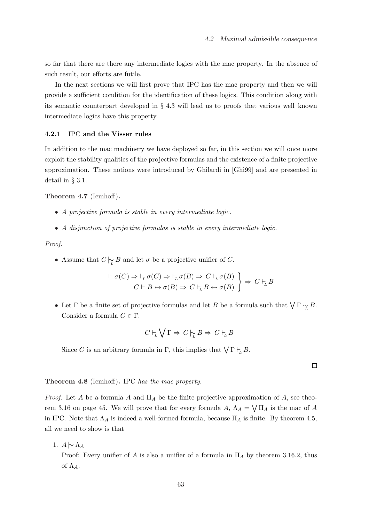so far that there are there any intermediate logics with the mac property. In the absence of such result, our efforts are futile.

In the next sections we will first prove that IPC has the mac property and then we will provide a sufficient condition for the identification of these logics. This condition along with its semantic counterpart developed in § 4.3 will lead us to proofs that various well–known intermediate logics have this property.

# 4.2.1 IPC and the Visser rules

In addition to the mac machinery we have deployed so far, in this section we will once more exploit the stability qualities of the projective formulas and the existence of a finite projective approximation. These notions were introduced by Ghilardi in [Ghi99] and are presented in detail in § 3.1.

# Theorem 4.7 (Iemhoff).

- A projective formula is stable in every intermediate logic.
- A disjunction of projective formulas is stable in every intermediate logic.

# Proof.

• Assume that  $C \nvert_{\widetilde{L}} B$  and let  $\sigma$  be a projective unifier of C.

$$
\vdash \sigma(C) \Rightarrow \vdash_L \sigma(C) \Rightarrow \vdash_L \sigma(B) \Rightarrow C \vdash_L \sigma(B)
$$
\n
$$
C \vdash B \leftrightarrow \sigma(B) \Rightarrow C \vdash_L B \leftrightarrow \sigma(B)
$$
\n
$$
\Rightarrow C \vdash_L B
$$

• Let  $\Gamma$  be a finite set of projective formulas and let B be a formula such that  $\bigvee \Gamma \biguparrow L B$ . Consider a formula  $C \in \Gamma$ .

$$
C \vdash_L \bigvee \Gamma \Rightarrow C \biguplus B \Rightarrow C \vdash_L B
$$

Since C is an arbitrary formula in  $\Gamma$ , this implies that  $\bigvee \Gamma \vdash_L B$ .

 $\Box$ 

#### Theorem 4.8 (Iemhoff). IPC has the mac property.

*Proof.* Let A be a formula A and  $\Pi_A$  be the finite projective approximation of A, see theorem 3.16 on page 45. We will prove that for every formula  $A, \Lambda_A =$  $\overline{\phantom{a}}$  $\Pi_A$  is the mac of A in IPC. Note that  $\Lambda_A$  is indeed a well-formed formula, because  $\Pi_A$  is finite. By theorem 4.5, all we need to show is that

1.  $A \sim \Lambda_A$ 

Proof: Every unifier of A is also a unifier of a formula in  $\Pi_A$  by theorem 3.16.2, thus of  $\Lambda_A$ .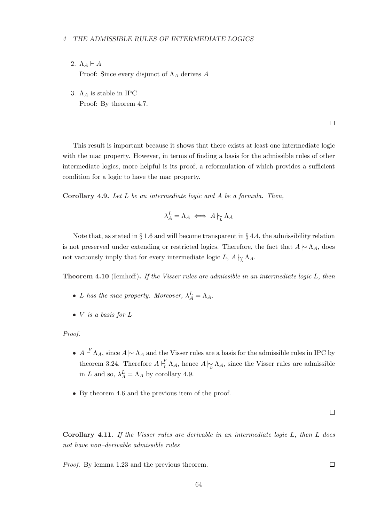- 2.  $\Lambda_A \vdash A$ Proof: Since every disjunct of  $\Lambda_A$  derives A
- 3.  $\Lambda_A$  is stable in IPC Proof: By theorem 4.7.

 $\Box$ 

This result is important because it shows that there exists at least one intermediate logic with the mac property. However, in terms of finding a basis for the admissible rules of other intermediate logics, more helpful is its proof, a reformulation of which provides a sufficient condition for a logic to have the mac property.

Corollary 4.9. Let L be an intermediate logic and A be a formula. Then,

$$
\lambda^L_A = \Lambda_A \iff A \hspace{0.2em}\sim\hspace{-0.9em}\mid\hspace{0.58em} \Lambda_A
$$

Note that, as stated in  $\S 1.6$  and will become transparent in  $\S 4.4$ , the admissibility relation is not preserved under extending or restricted logics. Therefore, the fact that  $A \sim \Lambda_A$ , does not vacuously imply that for every intermediate logic L,  $A \nvert_{\widetilde{L}} \Lambda_A$ .

Theorem 4.10 (Iemhoff). If the Visser rules are admissible in an intermediate logic L, then

- L has the mac property. Moreover,  $\lambda_A^L = \Lambda_A$ .
- $V$  is a basis for  $L$

Proof.

- $A \nightharpoonup \Lambda_A$ , since  $A \nightharpoonup \Lambda_A$  and the Visser rules are a basis for the admissible rules in IPC by theorem 3.24. Therefore  $A \vdash^V$  $\frac{L}{L} \Lambda_A$ , hence  $A \sim L \Lambda_A$ , since the Visser rules are admissible in L and so,  $\lambda_A^L = \Lambda_A$  by corollary 4.9.
- By theorem 4.6 and the previous item of the proof.

 $\Box$ 

Corollary 4.11. If the Visser rules are derivable in an intermediate logic L, then L does not have non–derivable admissible rules

Proof. By lemma 1.23 and the previous theorem.

 $\Box$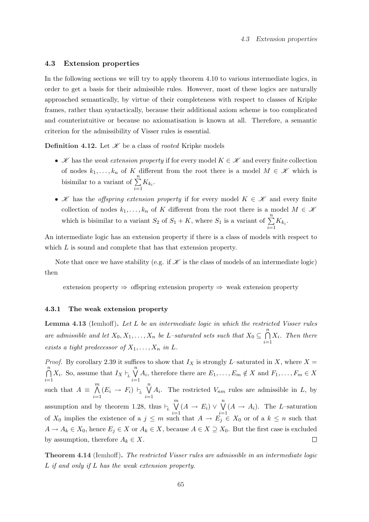#### 4.3 Extension properties

In the following sections we will try to apply theorem 4.10 to various intermediate logics, in order to get a basis for their admissible rules. However, most of these logics are naturally approached semantically, by virtue of their completeness with respect to classes of Kripke frames, rather than syntactically, because their additional axiom scheme is too complicated and counterintuitive or because no axiomatisation is known at all. Therefore, a semantic criterion for the admissibility of Visser rules is essential.

**Definition 4.12.** Let  $\mathcal{K}$  be a class of *rooted* Kripke models

- X has the weak extension property if for every model  $K \in \mathcal{K}$  and every finite collection of nodes  $k_1, \ldots, k_n$  of K different from the root there is a model  $M \in \mathcal{K}$  which is bisimilar to a variant of  $\sum_{n=1}^{\infty}$  $\sum_{i=1} K_{k_i}$ .
- K has the *offspring extension property* if for every model  $K \in \mathcal{K}$  and every finite collection of nodes  $k_1, \ldots, k_n$  of K different from the root there is a model  $M \in \mathcal{K}$ which is bisimilar to a variant  $S_2$  of  $S_1 + K$ , where  $S_1$  is a variant of  $\sum_{n=1}^{n}$  $\sum_{i=1} K_{k_i}$ .

An intermediate logic has an extension property if there is a class of models with respect to which L is sound and complete that has that extension property.

Note that once we have stability (e.g. if  $\mathscr K$  is the class of models of an intermediate logic) then

extension property  $\Rightarrow$  offspring extension property  $\Rightarrow$  weak extension property

#### 4.3.1 The weak extension property

Lemma 4.13 (Iemhoff). Let L be an intermediate logic in which the restricted Visser rules are admissible and let  $X_0, X_1, \ldots, X_n$  be L-saturated sets such that  $X_0 \subseteq$  $\frac{n}{2}$  $i=1$  $X_i$ . Then there exists a tight predecessor of  $X_1, \ldots, X_n$  in L.

*Proof.* By corollary 2.39 it suffices to show that  $I_X$  is strongly L–saturated in X, where  $X =$  $\frac{n}{2}$  $\binom{n}{k}$  $X_i$ . So, assume that  $I_X \vdash_L$  $A_i$ , therefore there are  $E_1, \ldots, E_m \notin X$  and  $F_1, \ldots, F_m \in X$  $i=1$  $i=1$  $\mathfrak{m}$  $\overline{\mathfrak{n}}$ such that  $A \equiv$  $\bigwedge_{i=1} (E_i \rightarrow F_i) \vdash_L$  $A_i$ . The restricted  $V_{nm}$  rules are admissible in  $L$ , by  $i=1$  $\mathfrak{m}$  $\binom{n}{k}$ assumption and by theorem 1.28, thus  $\vdash_L$  $(A \rightarrow E_i)$  ∨  $(A \rightarrow A_i)$ . The L-saturation  $i=1$  $i=1$ of  $X_0$  implies the existence of a  $j \leq m$  such that  $A \to E_j \in X_0$  or of a  $k \leq n$  such that  $A \to A_k \in X_0$ , hence  $E_j \in X$  or  $A_k \in X$ , because  $A \in X \supseteq X_0$ . But the first case is excluded by assumption, therefore  $A_k \in X$ .  $\Box$ 

Theorem 4.14 (Iemhoff). The restricted Visser rules are admissible in an intermediate logic L if and only if L has the weak extension property.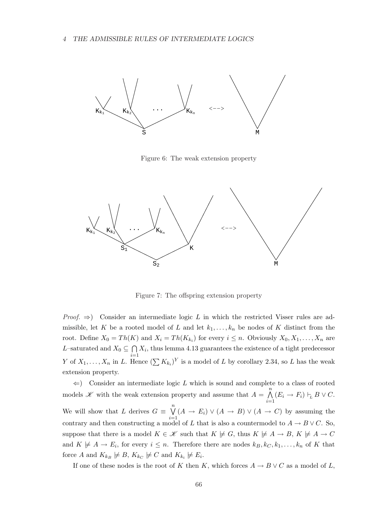

Figure 6: The weak extension property



Figure 7: The offspring extension property

*Proof.*  $\Rightarrow$  Consider an intermediate logic L in which the restricted Visser rules are admissible, let K be a rooted model of L and let  $k_1, \ldots, k_n$  be nodes of K distinct from the root. Define  $X_0 = Th(K)$  and  $X_i = Th(K_{k_i})$  for every  $i \leq n$ . Obviously  $X_0, X_1, \ldots, X_n$  are L–saturated and  $X_0 \subseteq$  $\tilde{\phantom{a}}$  $i=1$  $X_i$ , thus lemma 4.13 guarantees the existence of a tight predecessor Y of  $X_1, \ldots, X_n$  in L. Hence  $(\sum K_{k_i})^Y$  is a model of L by corollary 2.34, so L has the weak extension property.

 $\Leftarrow$ ) Consider an intermediate logic L which is sound and complete to a class of rooted models  $\mathscr K$  with the weak extension property and assume that  $A =$  $\frac{n}{\cdot}$  $\bigwedge_{i=1} (E_i \to F_i) \vdash_L B \lor C.$ We will show that L derives  $G \equiv$  $\binom{n}{k}$  $i=1$  $(A \rightarrow E_i) \vee (A \rightarrow B) \vee (A \rightarrow C)$  by assuming the contrary and then constructing a model of L that is also a countermodel to  $A \to B \vee C$ . So, suppose that there is a model  $K \in \mathcal{K}$  such that  $K \not\models G$ , thus  $K \not\models A \to B$ ,  $K \not\models A \to C$ and  $K \not\models A \rightarrow E_i$ , for every  $i \leq n$ . Therefore there are nodes  $k_B, k_C, k_1, \ldots, k_n$  of K that force A and  $K_{k_B} \not\models B, K_{k_C} \not\models C$  and  $K_{k_i} \not\models E_i$ .

If one of these nodes is the root of K then K, which forces  $A \to B \vee C$  as a model of L,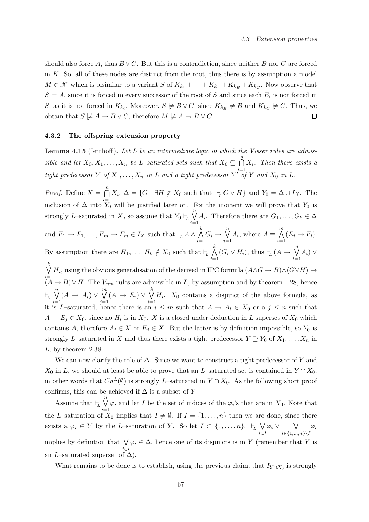should also force A, thus  $B \vee C$ . But this is a contradiction, since neither B nor C are forced in  $K$ . So, all of these nodes are distinct from the root, thus there is by assumption a model  $M \in \mathscr{K}$  which is bisimilar to a variant S of  $K_{k_1} + \cdots + K_{k_n} + K_{k_B} + K_{k_C}$ . Now observe that  $S \models A$ , since it is forced in every successor of the root of S and since each  $E_i$  is not forced in S, as it is not forced in  $K_{k_i}$ . Moreover,  $S \not\models B \lor C$ , since  $K_{k_i} \not\models B$  and  $K_{k_i} \not\models C$ . Thus, we obtain that  $S \not\models A \rightarrow B \vee C$ , therefore  $M \not\models A \rightarrow B \vee C$ .  $\Box$ 

## 4.3.2 The offspring extension property

Lemma 4.15 (Iemhoff). Let  $L$  be an intermediate logic in which the Visser rules are admissible and let  $X_0, X_1, \ldots, X_n$  be L-saturated sets such that  $X_0 \subseteq$  $\frac{n}{2}$  $i=1$  $X_i$ . Then there exists a tight predecessor Y of  $X_1, \ldots, X_n$  in L and a tight predecessor Y' of Y and  $X_0$  in L.

*Proof.* Define  $X =$  $\frac{n}{2}$  $i=1$  $X_i, \Delta = \{G \mid \exists H \notin X_0 \text{ such that } \vdash_L G \vee H\} \text{ and } Y_0 = \Delta \cup I_X.$  The inclusion of  $\Delta$  into  $Y_0$  will be justified later on. For the moment we will prove that  $Y_0$  is strongly L–saturated in X, so assume that  $Y_0 \vdash_L$  $\overline{\mathfrak{n}}$  $i=1$  $A_i$ . Therefore there are  $G_1, \ldots, G_k \in \Delta$ and  $E_1 \to F_1, \ldots, E_m \to F_m \in I_X$  such that  $\vdash_L A \land \vdots$  $\frac{k}{\sqrt{2}}$  $i=1$  $G_i \rightarrow$  $\overline{\mathfrak{n}}$  $i=1$  $A_i$ , where  $A \equiv$  $\sum_{\lambda}$  $i=1$  $(E_i \rightarrow F_i).$ By assumption there are  $H_1, \ldots, H_k \notin X_0$  such that  $\vdash_L$  $\frac{k}{\sqrt{2}}$  $\bigwedge_{i=1} (G_i \vee H_i), \text{ thus } \vdash_L (A \rightarrow$  $\overline{\mathfrak{n}}$  $i=1$  $(A_i)$  ∨ k<br> $\bigvee^k H_i$ , using the obvious generalisation of the derived in IPC formula  $(A \land G \to B) \land (G \lor H) \to$  $($ *A* → *B*)  $\vee$  *H*. The  $V_{nm}$  rules are admissible in *L*, by assumption and by theorem 1.28, hence  $\vdash_L$  $\overline{\mathfrak{n}}$  $i=1$  $(A \rightarrow A_i)$  ∨  $\overline{m}$  $i=1$  $(A \rightarrow E_i)$  ∨  $k$  $i=1$  $H_i$ .  $X_0$  contains a disjunct of the above formula, as it is L–saturated, hence there is an  $i \leq m$  such that  $A \to A_i \in X_0$  or a  $j \leq n$  such that  $A \to E_j \in X_0$ , since no  $H_i$  is in  $X_0$ . X is a closed under deduction in L superset of  $X_0$  which contains A, therefore  $A_i \in X$  or  $E_j \in X$ . But the latter is by definition impossible, so  $Y_0$  is strongly L–saturated in X and thus there exists a tight predecessor  $Y \supseteq Y_0$  of  $X_1, \ldots, X_n$  in L, by theorem 2.38.

We can now clarify the role of  $\Delta$ . Since we want to construct a tight predecessor of Y and  $X_0$  in L, we should at least be able to prove that an L–saturated set is contained in  $Y \cap X_0$ , in other words that  $Cn^L(\emptyset)$  is strongly L–saturated in  $Y \cap X_0$ . As the following short proof confirms, this can be achieved if  $\Delta$  is a subset of Y.

Assume that  $\vdash_L$  $\overline{v}$  $i=1$  $\varphi_i$  and let I be the set of indices of the  $\varphi_i$ 's that are in  $X_0$ . Note that the L–saturation of  $X_0$  implies that  $I \neq \emptyset$ . If  $I = \{1, \ldots, n\}$  then we are done, since there exists a  $\varphi_i \in Y$  by the *L*-saturation of Y. So let  $I \subset \{1, \ldots, n\}$ .  $\vdash_L$  $\ddot{\phantom{0}}$ i∈I  $\varphi_i$  ∨  $\ddot{\phantom{0}}$  $i \in \{1,...,n\} \backslash I$  $\varphi_i$ implies by definition that  $\sqrt{}$ i∈I  $\varphi_i \in \Delta$ , hence one of its disjuncts is in Y (remember that Y is an L–saturated superset of  $\Delta$ ).

What remains to be done is to establish, using the previous claim, that  $I_{Y \cap X_0}$  is strongly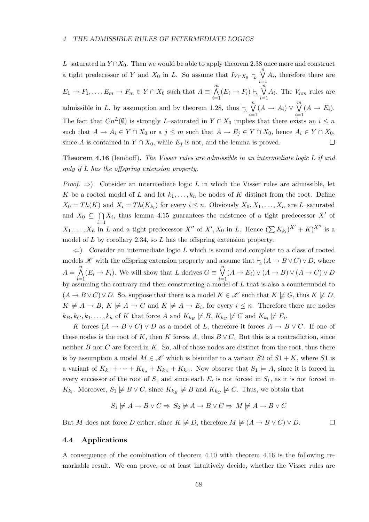L–saturated in  $Y \cap X_0$ . Then we would be able to apply theorem 2.38 once more and construct  $\binom{n}{k}$ a tight predecessor of Y and  $X_0$  in L. So assume that  $I_{Y \cap X_0} \vdash_L$  $A_i$ , therefore there are  $i=1$  $\sum_{\lambda}$  $\overline{n}$  $E_1 \to F_1, \ldots, E_m \to F_m \in Y \cap X_0$  such that  $A \equiv$  $\bigwedge_{i=1} (E_i \to F_i) \vdash_L$  $A_i$ . The  $V_{nm}$  rules are  $i=1$  $\overline{\mathfrak{n}}$  $\overline{m}$ admissible in L, by assumption and by theorem 1.28, thus  $\vdash_L$  $(A \rightarrow A_i)$  ∨  $(A \rightarrow E_i).$  $i=1$  $i=1$ The fact that  $Cn^L(\emptyset)$  is strongly L–saturated in  $Y \cap X_0$  implies that there exists an  $i \leq n$ such that  $A \to A_i \in Y \cap X_0$  or a  $j \leq m$  such that  $A \to E_j \in Y \cap X_0$ , hence  $A_i \in Y \cap X_0$ , since A is contained in  $Y \cap X_0$ , while  $E_j$  is not, and the lemma is proved.  $\Box$ 

# **Theorem 4.16** (Iemhoff). The Visser rules are admissible in an intermediate logic L if and only if L has the offspring extension property.

*Proof.*  $\Rightarrow$  Consider an intermediate logic L in which the Visser rules are admissible, let K be a rooted model of L and let  $k_1, \ldots, k_n$  be nodes of K distinct from the root. Define  $X_0 = Th(K)$  and  $X_i = Th(K_{k_i})$  for every  $i \leq n$ . Obviously  $X_0, X_1, \ldots, X_n$  are L-saturated and  $X_0 \subseteq$  $\tilde{\phantom{a}}$  $i=1$  $X_i$ , thus lemma 4.15 guarantees the existence of a tight predecessor  $X'$  of  $X_1, \ldots, X_n$  in L and a tight predecessor  $X''$  of  $X', X_0$  in L. Hence  $(\sum K_{k_i})^{X'} + K^{X''}$  is a model of  $L$  by corollary 2.34, so  $L$  has the offspring extension property.

 $\Leftarrow$ ) Consider an intermediate logic L which is sound and complete to a class of rooted models  $\mathscr K$  with the offspring extension property and assume that  $\vdash_L (A \to B \lor C) \lor D$ , where  $A =$  $\sum_{\lambda}$  $i=1$  $(E_i \rightarrow F_i)$ . We will show that L derives  $G \equiv$  $\binom{n}{k}$  $i=1$  $(A \to E_i) \lor (A \to B) \lor (A \to C) \lor D$ by assuming the contrary and then constructing a model of  $L$  that is also a countermodel to  $(A \to B \lor C) \lor D$ . So, suppose that there is a model  $K \in \mathcal{K}$  such that  $K \not\models G$ , thus  $K \not\models D$ ,  $K \not\models A \to B, K \not\models A \to C$  and  $K \not\models A \to E_i$ , for every  $i \leq n$ . Therefore there are nodes  $k_B, k_C, k_1, \ldots, k_n$  of K that force A and  $K_{k_B} \not\models B, K_{k_C} \not\models C$  and  $K_{k_i} \not\models E_i$ .

K forces  $(A \to B \lor C) \lor D$  as a model of L, therefore it forces  $A \to B \lor C$ . If one of these nodes is the root of K, then K forces A, thus  $B \vee C$ . But this is a contradiction, since neither  $B$  nor  $C$  are forced in  $K$ . So, all of these nodes are distinct from the root, thus there is by assumption a model  $M \in \mathcal{K}$  which is bisimilar to a variant  $S2$  of  $S1 + K$ , where  $S1$  is a variant of  $K_{k_1} + \cdots + K_{k_n} + K_{k_B} + K_{k_C}$ . Now observe that  $S_1 \models A$ , since it is forced in every successor of the root of  $S_1$  and since each  $E_i$  is not forced in  $S_1$ , as it is not forced in  $K_{k_i}$ . Moreover,  $S_1 \not\models B \lor C$ , since  $K_{k_i} \not\models B$  and  $K_{k_i} \not\models C$ . Thus, we obtain that

$$
S_1 \not\models A \rightarrow B \lor C \Rightarrow S_2 \not\models A \rightarrow B \lor C \Rightarrow M \not\models A \rightarrow B \lor C
$$

 $\Box$ 

But M does not force D either, since  $K \not\models D$ , therefore  $M \not\models (A \rightarrow B \lor C) \lor D$ .

# 4.4 Applications

A consequence of the combination of theorem 4.10 with theorem 4.16 is the following remarkable result. We can prove, or at least intuitively decide, whether the Visser rules are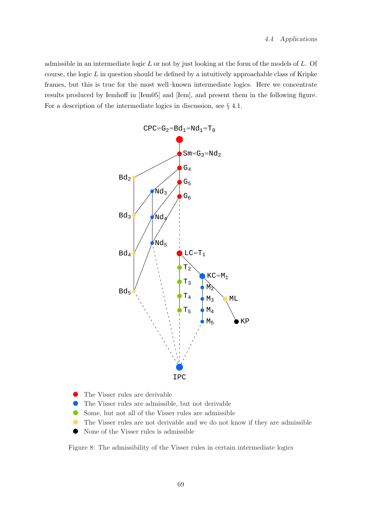admissible in an intermediate logic  $L$  or not by just looking at the form of the models of  $L$ . Of course, the logic  $L$  in question should be defined by a intuitively approachable class of Kripke frames, but this is true for the most well–known intermediate logics. Here we concentrate results produced by Iemhoff in [Iem05] and [Iem], and present them in the following figure. For a description of the intermediate logics in discussion, see § 4.1.



- ✇ The Visser rules are derivable
- $\bullet$ The Visser rules are admissible, but not derivable
- $\blacksquare$ Some, but not all of the Visser rules are admissible
- $\bullet$ The Visser rules are not derivable and we do not know if they are admissible
- ✇ None of the Visser rules is admissible

Figure 8: The admissibility of the Visser rules in certain intermediate logics